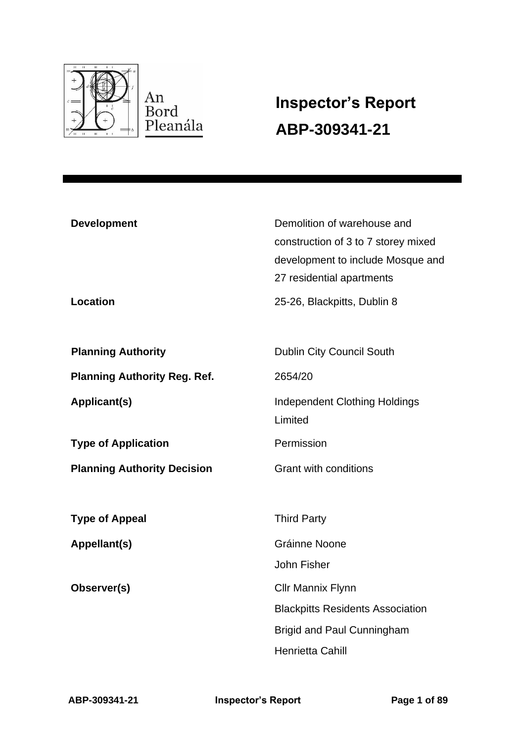

# **Inspector's Report ABP-309341-21**

| <b>Development</b><br><b>Location</b> | Demolition of warehouse and<br>construction of 3 to 7 storey mixed<br>development to include Mosque and<br>27 residential apartments<br>25-26, Blackpitts, Dublin 8 |
|---------------------------------------|---------------------------------------------------------------------------------------------------------------------------------------------------------------------|
| <b>Planning Authority</b>             | Dublin City Council South                                                                                                                                           |
| <b>Planning Authority Reg. Ref.</b>   | 2654/20                                                                                                                                                             |
| Applicant(s)                          | Independent Clothing Holdings<br>Limited                                                                                                                            |
| <b>Type of Application</b>            | Permission                                                                                                                                                          |
| <b>Planning Authority Decision</b>    | <b>Grant with conditions</b>                                                                                                                                        |
| <b>Type of Appeal</b>                 | <b>Third Party</b>                                                                                                                                                  |
| Appellant(s)                          | Gráinne Noone                                                                                                                                                       |
|                                       | John Fisher                                                                                                                                                         |
| Observer(s)                           | <b>Cllr Mannix Flynn</b>                                                                                                                                            |
|                                       | <b>Blackpitts Residents Association</b>                                                                                                                             |
|                                       | <b>Brigid and Paul Cunningham</b>                                                                                                                                   |
|                                       | Henrietta Cahill                                                                                                                                                    |

**ABP-309341-21 Inspector's Report Page 1 of 89**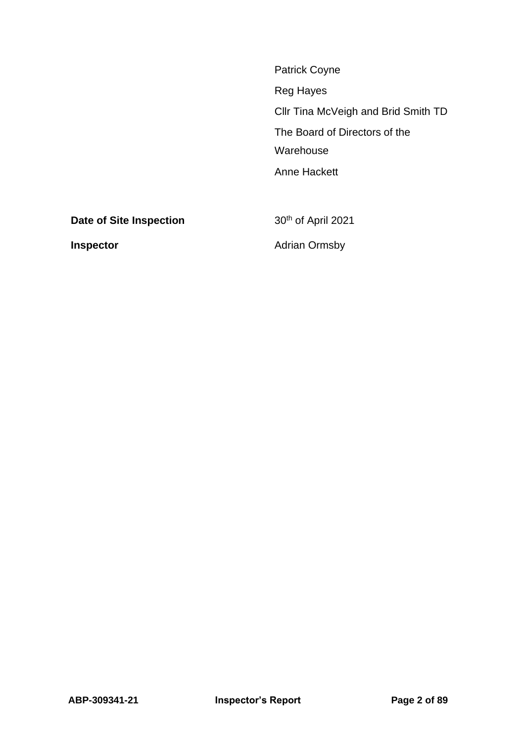| <b>Patrick Coyne</b>                |
|-------------------------------------|
| Reg Hayes                           |
| CIIr Tina McVeigh and Brid Smith TD |
| The Board of Directors of the       |
| Warehouse                           |
| Anne Hackett                        |
|                                     |
|                                     |

**Date of Site Inspection** 30<sup>th</sup> of April 2021

**Inspector Adrian Ormsby**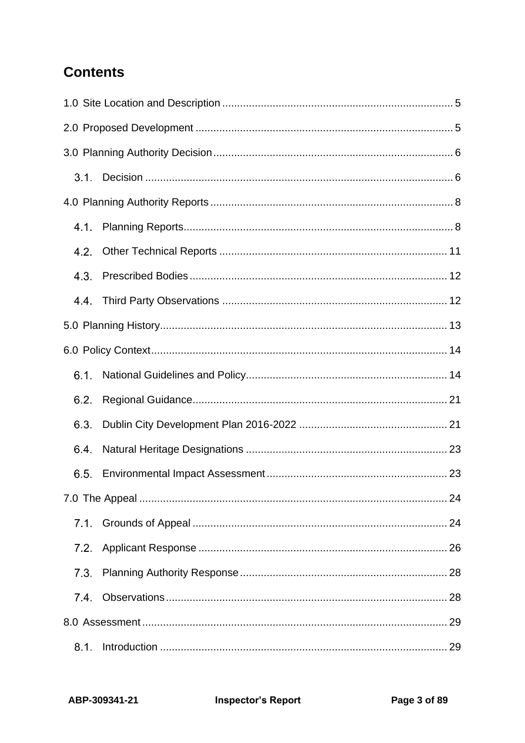# **Contents**

| $3.1 -$          |  |
|------------------|--|
|                  |  |
| 4.1.             |  |
| 4.2.             |  |
| 4.3.             |  |
| 4.4 <sub>1</sub> |  |
|                  |  |
|                  |  |
| 6.1.             |  |
| 6.2.             |  |
| 6.3.             |  |
| $6.4^{\circ}$    |  |
| 6.5.             |  |
|                  |  |
| 7.1.             |  |
| 7.2.             |  |
| 7.3              |  |
| 7.4              |  |
|                  |  |
| 8.1.             |  |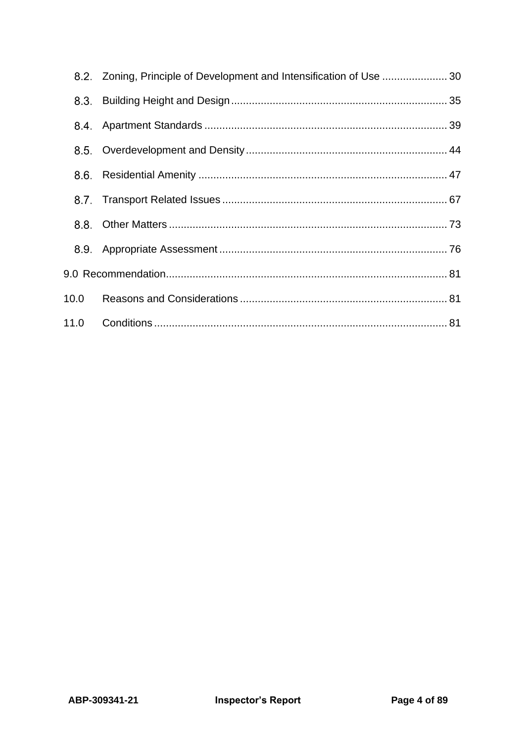|      | 8.2. Zoning, Principle of Development and Intensification of Use  30 |  |
|------|----------------------------------------------------------------------|--|
| 8.3. |                                                                      |  |
| 8.4. |                                                                      |  |
|      |                                                                      |  |
|      |                                                                      |  |
|      |                                                                      |  |
| 8.8. |                                                                      |  |
| 8.9. |                                                                      |  |
|      |                                                                      |  |
| 10.0 |                                                                      |  |
| 11.0 |                                                                      |  |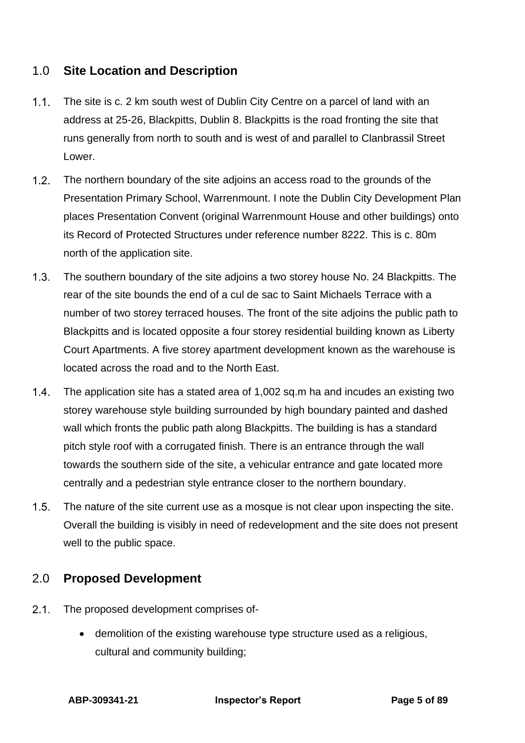# <span id="page-4-0"></span>1.0 **Site Location and Description**

- $1.1.$ The site is c. 2 km south west of Dublin City Centre on a parcel of land with an address at 25-26, Blackpitts, Dublin 8. Blackpitts is the road fronting the site that runs generally from north to south and is west of and parallel to Clanbrassil Street Lower.
- $1.2.$ The northern boundary of the site adjoins an access road to the grounds of the Presentation Primary School, Warrenmount. I note the Dublin City Development Plan places Presentation Convent (original Warrenmount House and other buildings) onto its Record of Protected Structures under reference number 8222. This is c. 80m north of the application site.
- $1.3.$ The southern boundary of the site adjoins a two storey house No. 24 Blackpitts. The rear of the site bounds the end of a cul de sac to Saint Michaels Terrace with a number of two storey terraced houses. The front of the site adjoins the public path to Blackpitts and is located opposite a four storey residential building known as Liberty Court Apartments. A five storey apartment development known as the warehouse is located across the road and to the North East.
- $1.4.$ The application site has a stated area of 1,002 sq.m ha and incudes an existing two storey warehouse style building surrounded by high boundary painted and dashed wall which fronts the public path along Blackpitts. The building is has a standard pitch style roof with a corrugated finish. There is an entrance through the wall towards the southern side of the site, a vehicular entrance and gate located more centrally and a pedestrian style entrance closer to the northern boundary.
- $1.5.$ The nature of the site current use as a mosque is not clear upon inspecting the site. Overall the building is visibly in need of redevelopment and the site does not present well to the public space.

# <span id="page-4-1"></span>2.0 **Proposed Development**

- $2.1.$ The proposed development comprises of-
	- demolition of the existing warehouse type structure used as a religious, cultural and community building;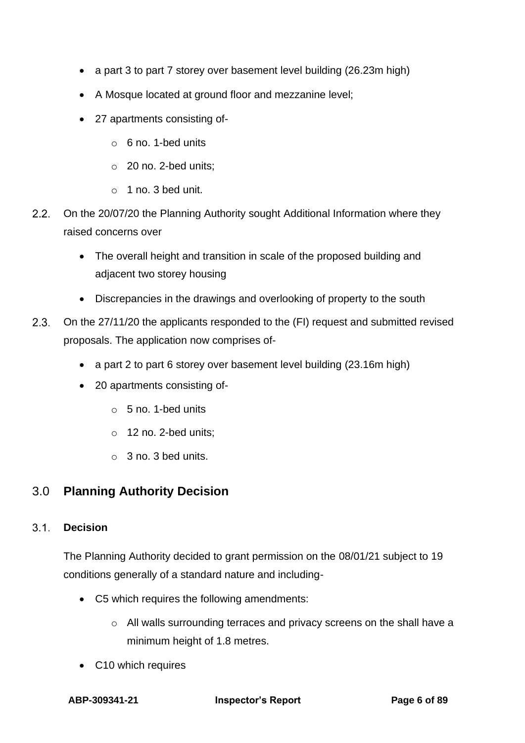- a part 3 to part 7 storey over basement level building (26.23m high)
- A Mosque located at ground floor and mezzanine level;
- 27 apartments consisting of
	- o 6 no. 1-bed units
	- o 20 no. 2-bed units;
	- $\circ$  1 no. 3 bed unit.
- $2.2.$ On the 20/07/20 the Planning Authority sought Additional Information where they raised concerns over
	- The overall height and transition in scale of the proposed building and adjacent two storey housing
	- Discrepancies in the drawings and overlooking of property to the south
- $2.3.$ On the 27/11/20 the applicants responded to the (FI) request and submitted revised proposals. The application now comprises of-
	- a part 2 to part 6 storey over basement level building (23.16m high)
	- 20 apartments consisting of
		- o 5 no. 1-bed units
		- o 12 no. 2-bed units;
		- o 3 no. 3 bed units.

# <span id="page-5-0"></span>3.0 **Planning Authority Decision**

#### <span id="page-5-1"></span>**Decision**  $3.1$

The Planning Authority decided to grant permission on the 08/01/21 subject to 19 conditions generally of a standard nature and including-

- C5 which requires the following amendments:
	- o All walls surrounding terraces and privacy screens on the shall have a minimum height of 1.8 metres.
- C10 which requires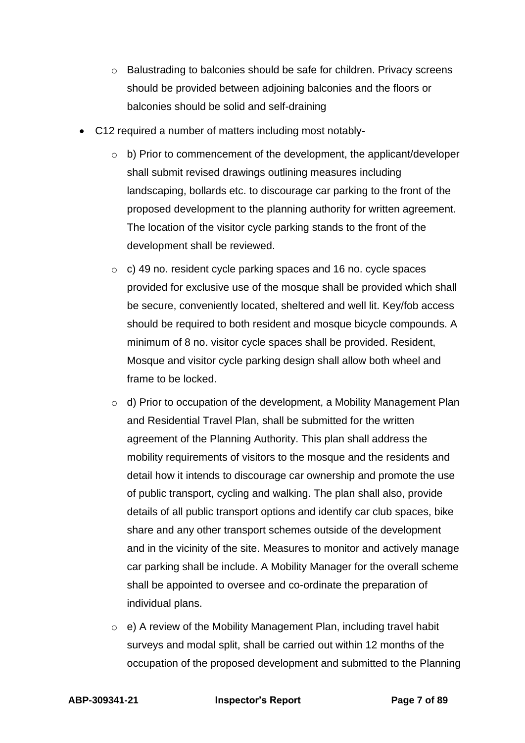- o Balustrading to balconies should be safe for children. Privacy screens should be provided between adjoining balconies and the floors or balconies should be solid and self-draining
- C12 required a number of matters including most notably-
	- $\circ$  b) Prior to commencement of the development, the applicant/developer shall submit revised drawings outlining measures including landscaping, bollards etc. to discourage car parking to the front of the proposed development to the planning authority for written agreement. The location of the visitor cycle parking stands to the front of the development shall be reviewed.
	- o c) 49 no. resident cycle parking spaces and 16 no. cycle spaces provided for exclusive use of the mosque shall be provided which shall be secure, conveniently located, sheltered and well lit. Key/fob access should be required to both resident and mosque bicycle compounds. A minimum of 8 no. visitor cycle spaces shall be provided. Resident, Mosque and visitor cycle parking design shall allow both wheel and frame to be locked.
	- $\circ$  d) Prior to occupation of the development, a Mobility Management Plan and Residential Travel Plan, shall be submitted for the written agreement of the Planning Authority. This plan shall address the mobility requirements of visitors to the mosque and the residents and detail how it intends to discourage car ownership and promote the use of public transport, cycling and walking. The plan shall also, provide details of all public transport options and identify car club spaces, bike share and any other transport schemes outside of the development and in the vicinity of the site. Measures to monitor and actively manage car parking shall be include. A Mobility Manager for the overall scheme shall be appointed to oversee and co-ordinate the preparation of individual plans.
	- o e) A review of the Mobility Management Plan, including travel habit surveys and modal split, shall be carried out within 12 months of the occupation of the proposed development and submitted to the Planning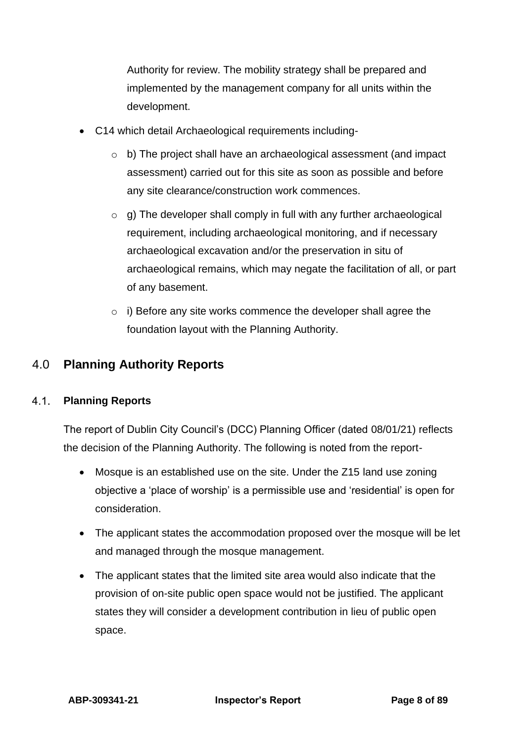Authority for review. The mobility strategy shall be prepared and implemented by the management company for all units within the development.

- C14 which detail Archaeological requirements including
	- o b) The project shall have an archaeological assessment (and impact assessment) carried out for this site as soon as possible and before any site clearance/construction work commences.
	- $\circ$  g) The developer shall comply in full with any further archaeological requirement, including archaeological monitoring, and if necessary archaeological excavation and/or the preservation in situ of archaeological remains, which may negate the facilitation of all, or part of any basement.
	- o i) Before any site works commence the developer shall agree the foundation layout with the Planning Authority.

# <span id="page-7-0"></span>4.0 **Planning Authority Reports**

#### <span id="page-7-1"></span> $4.1.$ **Planning Reports**

The report of Dublin City Council's (DCC) Planning Officer (dated 08/01/21) reflects the decision of the Planning Authority. The following is noted from the report-

- Mosque is an established use on the site. Under the Z15 land use zoning objective a 'place of worship' is a permissible use and 'residential' is open for consideration.
- The applicant states the accommodation proposed over the mosque will be let and managed through the mosque management.
- The applicant states that the limited site area would also indicate that the provision of on-site public open space would not be justified. The applicant states they will consider a development contribution in lieu of public open space.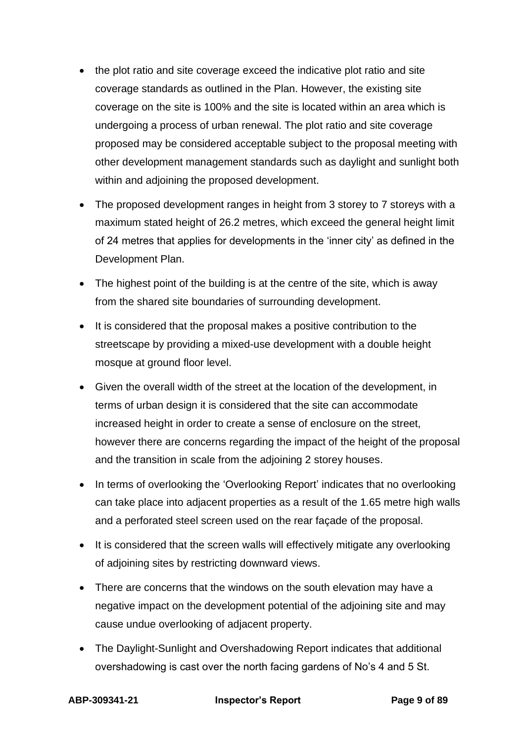- the plot ratio and site coverage exceed the indicative plot ratio and site coverage standards as outlined in the Plan. However, the existing site coverage on the site is 100% and the site is located within an area which is undergoing a process of urban renewal. The plot ratio and site coverage proposed may be considered acceptable subject to the proposal meeting with other development management standards such as daylight and sunlight both within and adjoining the proposed development.
- The proposed development ranges in height from 3 storey to 7 storeys with a maximum stated height of 26.2 metres, which exceed the general height limit of 24 metres that applies for developments in the 'inner city' as defined in the Development Plan.
- The highest point of the building is at the centre of the site, which is away from the shared site boundaries of surrounding development.
- It is considered that the proposal makes a positive contribution to the streetscape by providing a mixed-use development with a double height mosque at ground floor level.
- Given the overall width of the street at the location of the development, in terms of urban design it is considered that the site can accommodate increased height in order to create a sense of enclosure on the street, however there are concerns regarding the impact of the height of the proposal and the transition in scale from the adjoining 2 storey houses.
- In terms of overlooking the 'Overlooking Report' indicates that no overlooking can take place into adjacent properties as a result of the 1.65 metre high walls and a perforated steel screen used on the rear façade of the proposal.
- It is considered that the screen walls will effectively mitigate any overlooking of adjoining sites by restricting downward views.
- There are concerns that the windows on the south elevation may have a negative impact on the development potential of the adjoining site and may cause undue overlooking of adjacent property.
- The Daylight-Sunlight and Overshadowing Report indicates that additional overshadowing is cast over the north facing gardens of No's 4 and 5 St.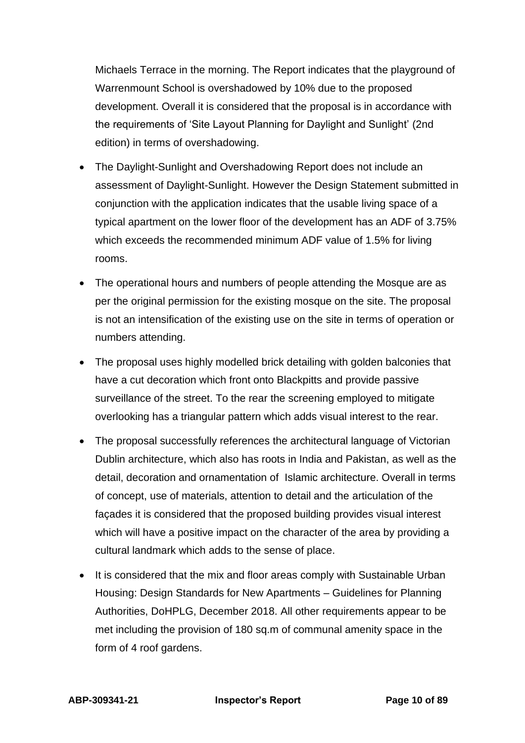Michaels Terrace in the morning. The Report indicates that the playground of Warrenmount School is overshadowed by 10% due to the proposed development. Overall it is considered that the proposal is in accordance with the requirements of 'Site Layout Planning for Daylight and Sunlight' (2nd edition) in terms of overshadowing.

- The Daylight-Sunlight and Overshadowing Report does not include an assessment of Daylight-Sunlight. However the Design Statement submitted in conjunction with the application indicates that the usable living space of a typical apartment on the lower floor of the development has an ADF of 3.75% which exceeds the recommended minimum ADF value of 1.5% for living rooms.
- The operational hours and numbers of people attending the Mosque are as per the original permission for the existing mosque on the site. The proposal is not an intensification of the existing use on the site in terms of operation or numbers attending.
- The proposal uses highly modelled brick detailing with golden balconies that have a cut decoration which front onto Blackpitts and provide passive surveillance of the street. To the rear the screening employed to mitigate overlooking has a triangular pattern which adds visual interest to the rear.
- The proposal successfully references the architectural language of Victorian Dublin architecture, which also has roots in India and Pakistan, as well as the detail, decoration and ornamentation of Islamic architecture. Overall in terms of concept, use of materials, attention to detail and the articulation of the façades it is considered that the proposed building provides visual interest which will have a positive impact on the character of the area by providing a cultural landmark which adds to the sense of place.
- It is considered that the mix and floor areas comply with Sustainable Urban Housing: Design Standards for New Apartments – Guidelines for Planning Authorities, DoHPLG, December 2018. All other requirements appear to be met including the provision of 180 sq.m of communal amenity space in the form of 4 roof gardens.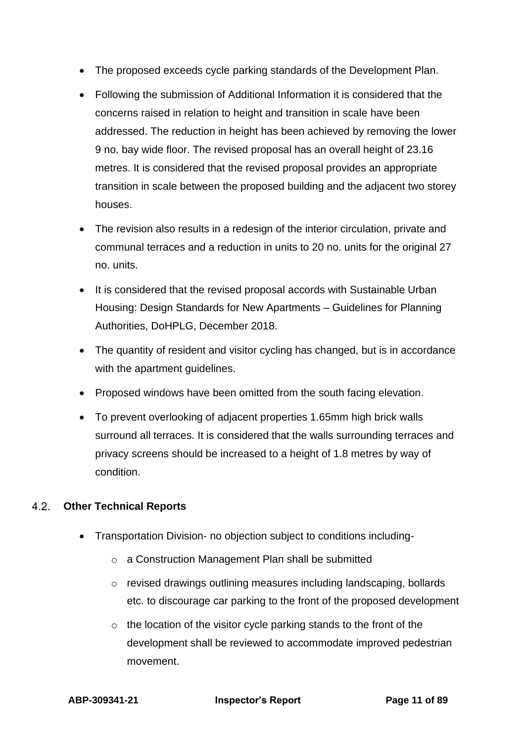- The proposed exceeds cycle parking standards of the Development Plan.
- Following the submission of Additional Information it is considered that the concerns raised in relation to height and transition in scale have been addressed. The reduction in height has been achieved by removing the lower 9 no. bay wide floor. The revised proposal has an overall height of 23.16 metres. It is considered that the revised proposal provides an appropriate transition in scale between the proposed building and the adjacent two storey houses.
- The revision also results in a redesign of the interior circulation, private and communal terraces and a reduction in units to 20 no. units for the original 27 no. units.
- It is considered that the revised proposal accords with Sustainable Urban Housing: Design Standards for New Apartments – Guidelines for Planning Authorities, DoHPLG, December 2018.
- The quantity of resident and visitor cycling has changed, but is in accordance with the apartment guidelines.
- Proposed windows have been omitted from the south facing elevation.
- To prevent overlooking of adjacent properties 1.65mm high brick walls surround all terraces. It is considered that the walls surrounding terraces and privacy screens should be increased to a height of 1.8 metres by way of condition.

#### <span id="page-10-0"></span> $4.2<sub>1</sub>$ **Other Technical Reports**

- Transportation Division- no objection subject to conditions including
	- o a Construction Management Plan shall be submitted
	- o revised drawings outlining measures including landscaping, bollards etc. to discourage car parking to the front of the proposed development
	- $\circ$  the location of the visitor cycle parking stands to the front of the development shall be reviewed to accommodate improved pedestrian movement.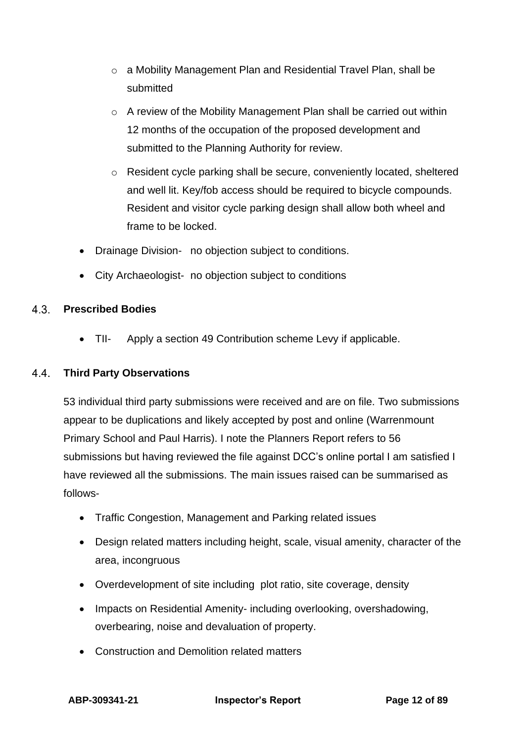- o a Mobility Management Plan and Residential Travel Plan, shall be submitted
- o A review of the Mobility Management Plan shall be carried out within 12 months of the occupation of the proposed development and submitted to the Planning Authority for review.
- o Resident cycle parking shall be secure, conveniently located, sheltered and well lit. Key/fob access should be required to bicycle compounds. Resident and visitor cycle parking design shall allow both wheel and frame to be locked.
- Drainage Division- no objection subject to conditions.
- <span id="page-11-0"></span>• City Archaeologist- no objection subject to conditions

### **Prescribed Bodies**

<span id="page-11-1"></span>• TII- Apply a section 49 Contribution scheme Levy if applicable.

#### **Third Party Observations**  $4.4$

53 individual third party submissions were received and are on file. Two submissions appear to be duplications and likely accepted by post and online (Warrenmount Primary School and Paul Harris). I note the Planners Report refers to 56 submissions but having reviewed the file against DCC's online portal I am satisfied I have reviewed all the submissions. The main issues raised can be summarised as follows-

- Traffic Congestion, Management and Parking related issues
- Design related matters including height, scale, visual amenity, character of the area, incongruous
- Overdevelopment of site including plot ratio, site coverage, density
- Impacts on Residential Amenity- including overlooking, overshadowing, overbearing, noise and devaluation of property.
- Construction and Demolition related matters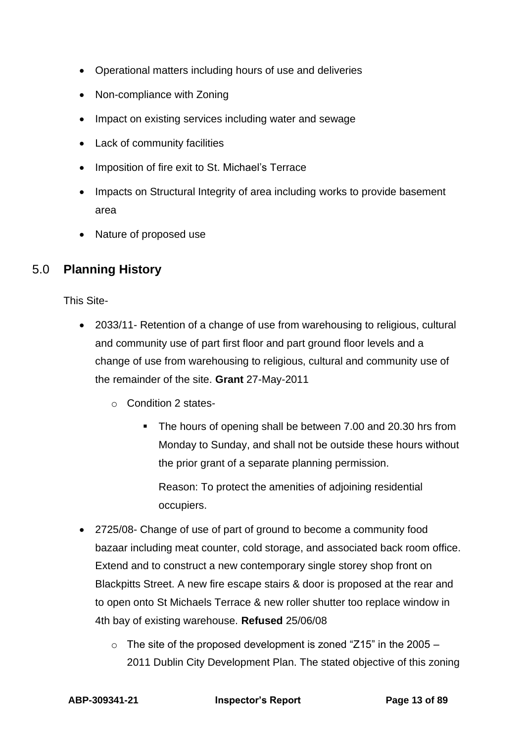- Operational matters including hours of use and deliveries
- Non-compliance with Zoning
- Impact on existing services including water and sewage
- Lack of community facilities
- Imposition of fire exit to St. Michael's Terrace
- Impacts on Structural Integrity of area including works to provide basement area
- <span id="page-12-0"></span>• Nature of proposed use

# 5.0 **Planning History**

This Site-

- 2033/11- Retention of a change of use from warehousing to religious, cultural and community use of part first floor and part ground floor levels and a change of use from warehousing to religious, cultural and community use of the remainder of the site. **Grant** 27-May-2011
	- o Condition 2 states-
		- The hours of opening shall be between 7.00 and 20.30 hrs from Monday to Sunday, and shall not be outside these hours without the prior grant of a separate planning permission.

Reason: To protect the amenities of adjoining residential occupiers.

- 2725/08- Change of use of part of ground to become a community food bazaar including meat counter, cold storage, and associated back room office. Extend and to construct a new contemporary single storey shop front on Blackpitts Street. A new fire escape stairs & door is proposed at the rear and to open onto St Michaels Terrace & new roller shutter too replace window in 4th bay of existing warehouse. **Refused** 25/06/08
	- $\circ$  The site of the proposed development is zoned "Z15" in the 2005 2011 Dublin City Development Plan. The stated objective of this zoning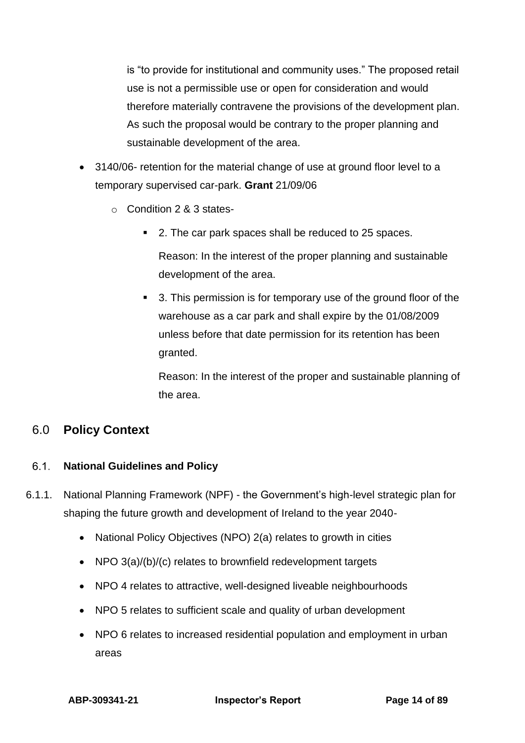is "to provide for institutional and community uses." The proposed retail use is not a permissible use or open for consideration and would therefore materially contravene the provisions of the development plan. As such the proposal would be contrary to the proper planning and sustainable development of the area.

- 3140/06- retention for the material change of use at ground floor level to a temporary supervised car-park. **Grant** 21/09/06
	- o Condition 2 & 3 states-
		- 2. The car park spaces shall be reduced to 25 spaces.

Reason: In the interest of the proper planning and sustainable development of the area.

■ 3. This permission is for temporary use of the ground floor of the warehouse as a car park and shall expire by the 01/08/2009 unless before that date permission for its retention has been granted.

Reason: In the interest of the proper and sustainable planning of the area.

## <span id="page-13-0"></span>6.0 **Policy Context**

#### <span id="page-13-1"></span> $6.1.$ **National Guidelines and Policy**

- 6.1.1. National Planning Framework (NPF) the Government's high-level strategic plan for shaping the future growth and development of Ireland to the year 2040-
	- National Policy Objectives (NPO) 2(a) relates to growth in cities
	- NPO 3(a)/(b)/(c) relates to brownfield redevelopment targets
	- NPO 4 relates to attractive, well-designed liveable neighbourhoods
	- NPO 5 relates to sufficient scale and quality of urban development
	- NPO 6 relates to increased residential population and employment in urban areas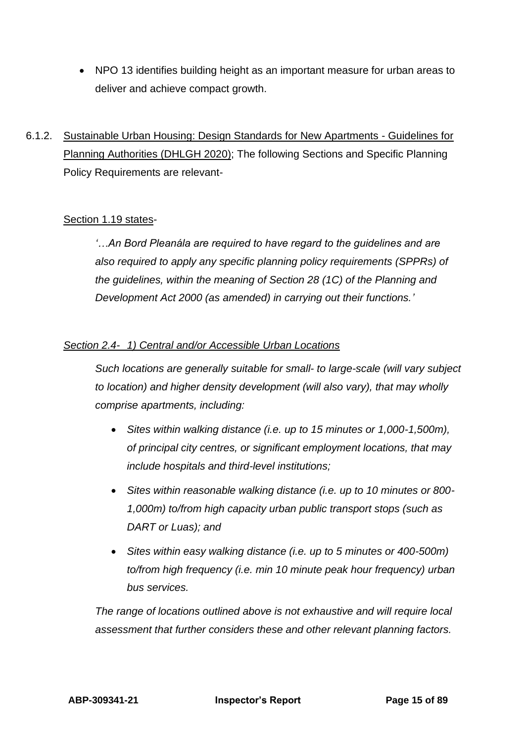- NPO 13 identifies building height as an important measure for urban areas to deliver and achieve compact growth.
- 6.1.2. Sustainable Urban Housing: Design Standards for New Apartments Guidelines for Planning Authorities (DHLGH 2020); The following Sections and Specific Planning Policy Requirements are relevant-

### Section 1.19 states-

*'…An Bord Pleanála are required to have regard to the guidelines and are also required to apply any specific planning policy requirements (SPPRs) of the guidelines, within the meaning of Section 28 (1C) of the Planning and Development Act 2000 (as amended) in carrying out their functions.'*

#### *Section 2.4- 1) Central and/or Accessible Urban Locations*

*Such locations are generally suitable for small- to large-scale (will vary subject to location) and higher density development (will also vary), that may wholly comprise apartments, including:*

- *Sites within walking distance (i.e. up to 15 minutes or 1,000-1,500m), of principal city centres, or significant employment locations, that may include hospitals and third-level institutions;*
- *Sites within reasonable walking distance (i.e. up to 10 minutes or 800- 1,000m) to/from high capacity urban public transport stops (such as DART or Luas); and*
- *Sites within easy walking distance (i.e. up to 5 minutes or 400-500m) to/from high frequency (i.e. min 10 minute peak hour frequency) urban bus services.*

*The range of locations outlined above is not exhaustive and will require local assessment that further considers these and other relevant planning factors.*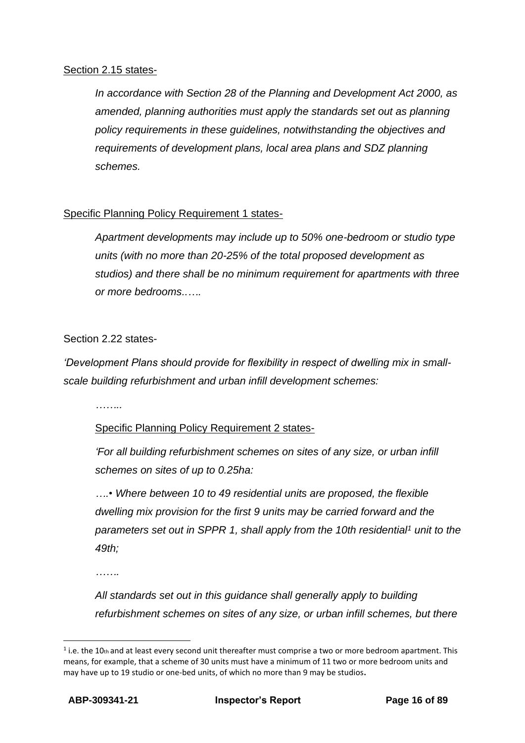#### Section 2.15 states-

*In accordance with Section 28 of the Planning and Development Act 2000, as amended, planning authorities must apply the standards set out as planning policy requirements in these guidelines, notwithstanding the objectives and requirements of development plans, local area plans and SDZ planning schemes.*

### Specific Planning Policy Requirement 1 states-

*Apartment developments may include up to 50% one-bedroom or studio type units (with no more than 20-25% of the total proposed development as studios) and there shall be no minimum requirement for apartments with three or more bedrooms..….*

### Section 2.22 states-

*'Development Plans should provide for flexibility in respect of dwelling mix in smallscale building refurbishment and urban infill development schemes:*

*……..*

### Specific Planning Policy Requirement 2 states-

*'For all building refurbishment schemes on sites of any size, or urban infill schemes on sites of up to 0.25ha:*

*….• Where between 10 to 49 residential units are proposed, the flexible dwelling mix provision for the first 9 units may be carried forward and the parameters set out in SPPR 1, shall apply from the 10th residential<sup>1</sup> unit to the 49th;*

*…….*

*All standards set out in this guidance shall generally apply to building refurbishment schemes on sites of any size, or urban infill schemes, but there*

 $<sup>1</sup>$  i.e. the 10th and at least every second unit thereafter must comprise a two or more bedroom apartment. This</sup> means, for example, that a scheme of 30 units must have a minimum of 11 two or more bedroom units and may have up to 19 studio or one-bed units, of which no more than 9 may be studios**.**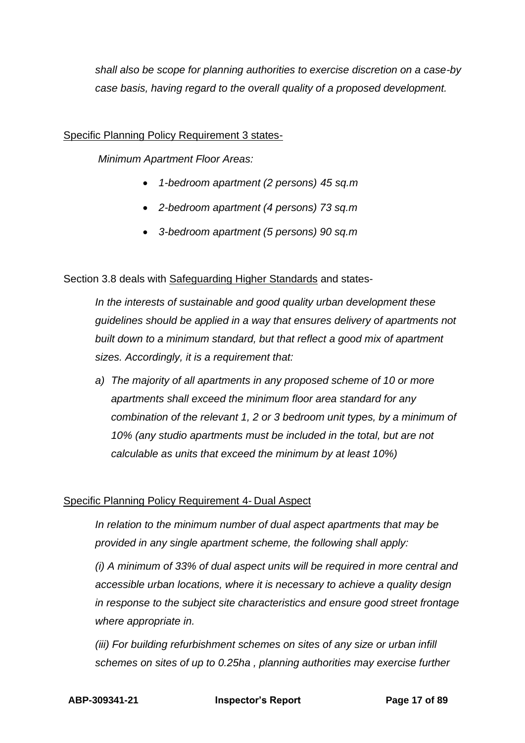*shall also be scope for planning authorities to exercise discretion on a case-by case basis, having regard to the overall quality of a proposed development.*

#### Specific Planning Policy Requirement 3 states-

*Minimum Apartment Floor Areas:*

- *1-bedroom apartment (2 persons) 45 sq.m*
- *2-bedroom apartment (4 persons) 73 sq.m*
- *3-bedroom apartment (5 persons) 90 sq.m*

### Section 3.8 deals with Safeguarding Higher Standards and states-

*In the interests of sustainable and good quality urban development these guidelines should be applied in a way that ensures delivery of apartments not built down to a minimum standard, but that reflect a good mix of apartment sizes. Accordingly, it is a requirement that:*

*a) The majority of all apartments in any proposed scheme of 10 or more apartments shall exceed the minimum floor area standard for any combination of the relevant 1, 2 or 3 bedroom unit types, by a minimum of 10% (any studio apartments must be included in the total, but are not calculable as units that exceed the minimum by at least 10%)*

### Specific Planning Policy Requirement 4- Dual Aspect

*In relation to the minimum number of dual aspect apartments that may be provided in any single apartment scheme, the following shall apply:*

*(i) A minimum of 33% of dual aspect units will be required in more central and accessible urban locations, where it is necessary to achieve a quality design in response to the subject site characteristics and ensure good street frontage where appropriate in.*

*(iii) For building refurbishment schemes on sites of any size or urban infill schemes on sites of up to 0.25ha , planning authorities may exercise further* 

**ABP-309341-21 Inspector's Report Page 17 of 89**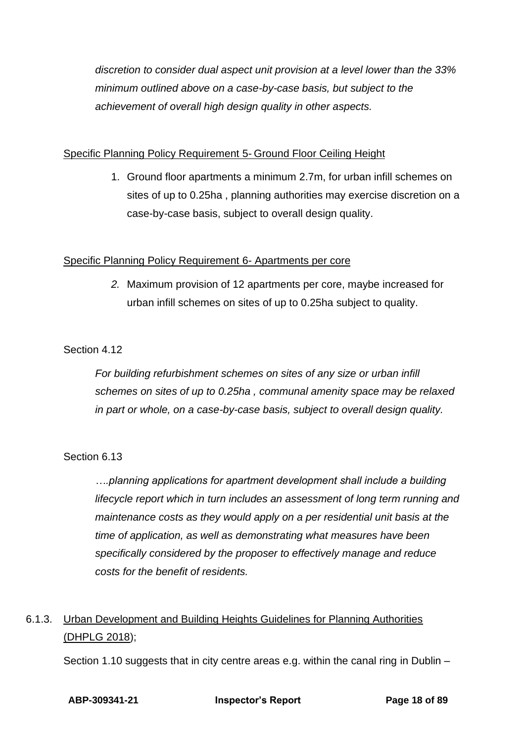*discretion to consider dual aspect unit provision at a level lower than the 33% minimum outlined above on a case-by-case basis, but subject to the achievement of overall high design quality in other aspects.*

### Specific Planning Policy Requirement 5- Ground Floor Ceiling Height

1. Ground floor apartments a minimum 2.7m, for urban infill schemes on sites of up to 0.25ha , planning authorities may exercise discretion on a case-by-case basis, subject to overall design quality.

### Specific Planning Policy Requirement 6- Apartments per core

*2.* Maximum provision of 12 apartments per core, maybe increased for urban infill schemes on sites of up to 0.25ha subject to quality.

### Section 4.12

*For building refurbishment schemes on sites of any size or urban infill schemes on sites of up to 0.25ha , communal amenity space may be relaxed in part or whole, on a case-by-case basis, subject to overall design quality.*

### Section 6.13

*….planning applications for apartment development shall include a building lifecycle report which in turn includes an assessment of long term running and maintenance costs as they would apply on a per residential unit basis at the time of application, as well as demonstrating what measures have been specifically considered by the proposer to effectively manage and reduce costs for the benefit of residents.*

# 6.1.3. Urban Development and Building Heights Guidelines for Planning Authorities (DHPLG 2018);

Section 1.10 suggests that in city centre areas e.g. within the canal ring in Dublin –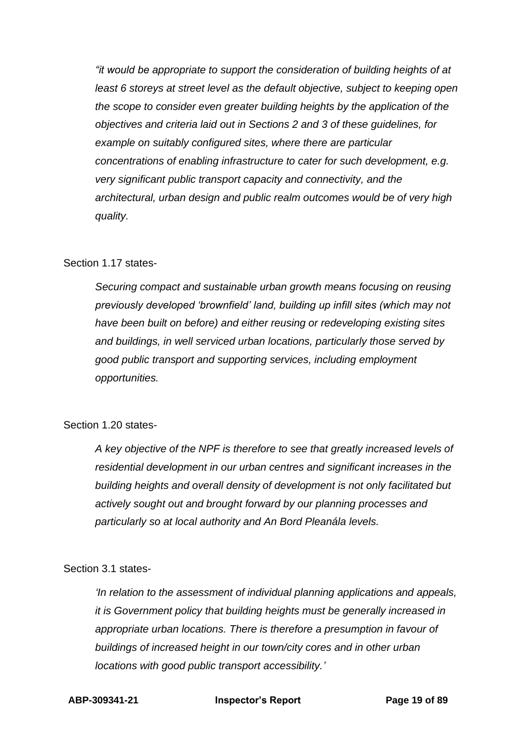*"it would be appropriate to support the consideration of building heights of at least 6 storeys at street level as the default objective, subject to keeping open the scope to consider even greater building heights by the application of the objectives and criteria laid out in Sections 2 and 3 of these guidelines, for example on suitably configured sites, where there are particular concentrations of enabling infrastructure to cater for such development, e.g. very significant public transport capacity and connectivity, and the architectural, urban design and public realm outcomes would be of very high quality.*

#### Section 1.17 states-

*Securing compact and sustainable urban growth means focusing on reusing previously developed 'brownfield' land, building up infill sites (which may not have been built on before) and either reusing or redeveloping existing sites and buildings, in well serviced urban locations, particularly those served by good public transport and supporting services, including employment opportunities.*

#### Section 1.20 states-

*A key objective of the NPF is therefore to see that greatly increased levels of residential development in our urban centres and significant increases in the building heights and overall density of development is not only facilitated but actively sought out and brought forward by our planning processes and particularly so at local authority and An Bord Pleanála levels.*

#### Section 3.1 states-

*'In relation to the assessment of individual planning applications and appeals, it is Government policy that building heights must be generally increased in appropriate urban locations. There is therefore a presumption in favour of buildings of increased height in our town/city cores and in other urban locations with good public transport accessibility.'*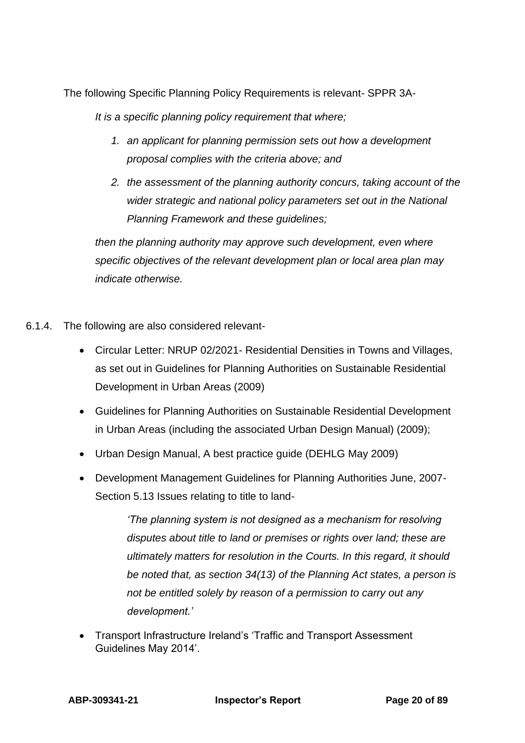The following Specific Planning Policy Requirements is relevant- SPPR 3A-

*It is a specific planning policy requirement that where;*

- *1. an applicant for planning permission sets out how a development proposal complies with the criteria above; and*
- *2. the assessment of the planning authority concurs, taking account of the wider strategic and national policy parameters set out in the National Planning Framework and these guidelines;*

*then the planning authority may approve such development, even where specific objectives of the relevant development plan or local area plan may indicate otherwise.*

- 6.1.4. The following are also considered relevant-
	- Circular Letter: NRUP 02/2021- Residential Densities in Towns and Villages, as set out in Guidelines for Planning Authorities on Sustainable Residential Development in Urban Areas (2009)
	- Guidelines for Planning Authorities on Sustainable Residential Development in Urban Areas (including the associated Urban Design Manual) (2009);
	- Urban Design Manual, A best practice guide (DEHLG May 2009)
	- Development Management Guidelines for Planning Authorities June, 2007- Section 5.13 Issues relating to title to land-

*'The planning system is not designed as a mechanism for resolving disputes about title to land or premises or rights over land; these are ultimately matters for resolution in the Courts. In this regard, it should be noted that, as section 34(13) of the Planning Act states, a person is not be entitled solely by reason of a permission to carry out any development.'*

• Transport Infrastructure Ireland's 'Traffic and Transport Assessment Guidelines May 2014'.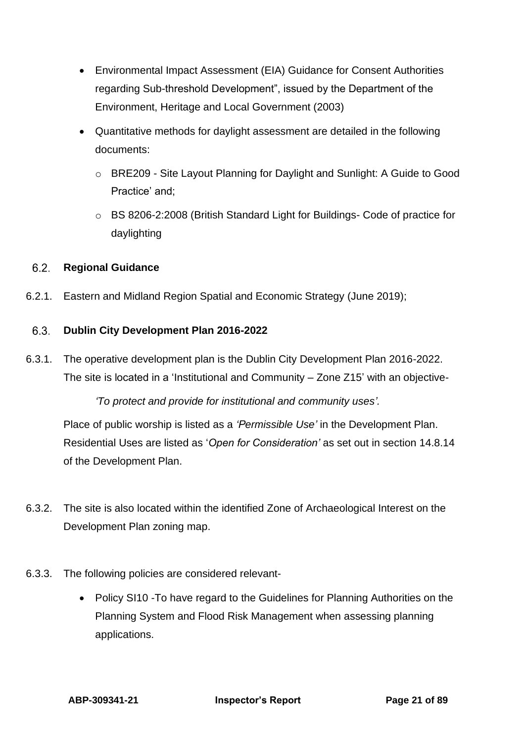- Environmental Impact Assessment (EIA) Guidance for Consent Authorities regarding Sub-threshold Development", issued by the Department of the Environment, Heritage and Local Government (2003)
- Quantitative methods for daylight assessment are detailed in the following documents:
	- o BRE209 Site Layout Planning for Daylight and Sunlight: A Guide to Good Practice' and;
	- o BS 8206-2:2008 (British Standard Light for Buildings- Code of practice for daylighting

#### <span id="page-20-0"></span> $6.2.$ **Regional Guidance**

6.2.1. Eastern and Midland Region Spatial and Economic Strategy (June 2019);

#### <span id="page-20-1"></span> $6.3.$ **Dublin City Development Plan 2016-2022**

6.3.1. The operative development plan is the Dublin City Development Plan 2016-2022. The site is located in a 'Institutional and Community – Zone Z15' with an objective-

*'To protect and provide for institutional and community uses'.*

Place of public worship is listed as a *'Permissible Use'* in the Development Plan. Residential Uses are listed as '*Open for Consideration'* as set out in section 14.8.14 of the Development Plan.

- 6.3.2. The site is also located within the identified Zone of Archaeological Interest on the Development Plan zoning map.
- 6.3.3. The following policies are considered relevant-
	- Policy SI10 -To have regard to the Guidelines for Planning Authorities on the Planning System and Flood Risk Management when assessing planning applications.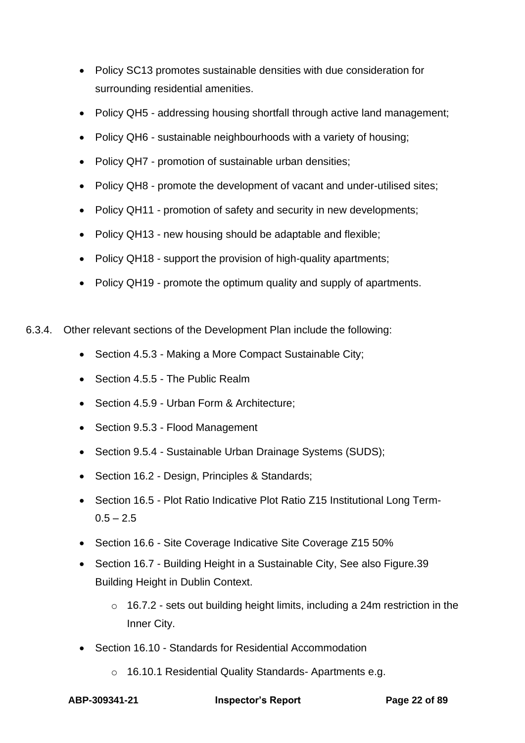- Policy SC13 promotes sustainable densities with due consideration for surrounding residential amenities.
- Policy QH5 addressing housing shortfall through active land management;
- Policy QH6 sustainable neighbourhoods with a variety of housing;
- Policy QH7 promotion of sustainable urban densities;
- Policy QH8 promote the development of vacant and under-utilised sites;
- Policy QH11 promotion of safety and security in new developments;
- Policy QH13 new housing should be adaptable and flexible;
- Policy QH18 support the provision of high-quality apartments;
- Policy QH19 promote the optimum quality and supply of apartments.
- 6.3.4. Other relevant sections of the Development Plan include the following:
	- Section 4.5.3 Making a More Compact Sustainable City;
	- Section 4.5.5 The Public Realm
	- Section 4.5.9 Urban Form & Architecture:
	- Section 9.5.3 Flood Management
	- Section 9.5.4 Sustainable Urban Drainage Systems (SUDS);
	- Section 16.2 Design, Principles & Standards;
	- Section 16.5 Plot Ratio Indicative Plot Ratio Z15 Institutional Long Term- $0.5 - 2.5$
	- Section 16.6 Site Coverage Indicative Site Coverage Z15 50%
	- Section 16.7 Building Height in a Sustainable City, See also Figure.39 Building Height in Dublin Context.
		- o 16.7.2 sets out building height limits, including a 24m restriction in the Inner City.
	- Section 16.10 Standards for Residential Accommodation
		- o 16.10.1 Residential Quality Standards- Apartments e.g.

**ABP-309341-21 Inspector's Report Page 22 of 89**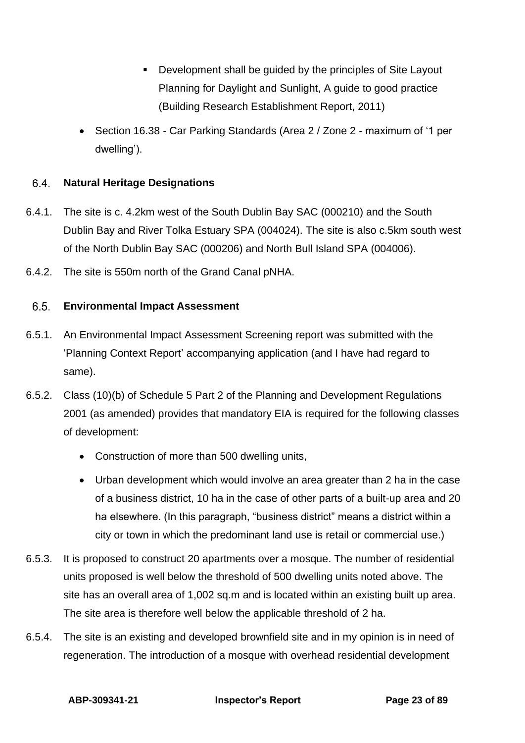- Development shall be guided by the principles of Site Layout Planning for Daylight and Sunlight, A guide to good practice (Building Research Establishment Report, 2011)
- Section 16.38 Car Parking Standards (Area 2 / Zone 2 maximum of '1 per dwelling').

#### <span id="page-22-0"></span> $6.4.$ **Natural Heritage Designations**

- 6.4.1. The site is c. 4.2km west of the South Dublin Bay SAC (000210) and the South Dublin Bay and River Tolka Estuary SPA (004024). The site is also c.5km south west of the North Dublin Bay SAC (000206) and North Bull Island SPA (004006).
- 6.4.2. The site is 550m north of the Grand Canal pNHA.

#### <span id="page-22-1"></span> $6.5.$ **Environmental Impact Assessment**

- 6.5.1. An Environmental Impact Assessment Screening report was submitted with the 'Planning Context Report' accompanying application (and I have had regard to same).
- 6.5.2. Class (10)(b) of Schedule 5 Part 2 of the Planning and Development Regulations 2001 (as amended) provides that mandatory EIA is required for the following classes of development:
	- Construction of more than 500 dwelling units,
	- Urban development which would involve an area greater than 2 ha in the case of a business district, 10 ha in the case of other parts of a built-up area and 20 ha elsewhere. (In this paragraph, "business district" means a district within a city or town in which the predominant land use is retail or commercial use.)
- 6.5.3. It is proposed to construct 20 apartments over a mosque. The number of residential units proposed is well below the threshold of 500 dwelling units noted above. The site has an overall area of 1,002 sq.m and is located within an existing built up area. The site area is therefore well below the applicable threshold of 2 ha.
- 6.5.4. The site is an existing and developed brownfield site and in my opinion is in need of regeneration. The introduction of a mosque with overhead residential development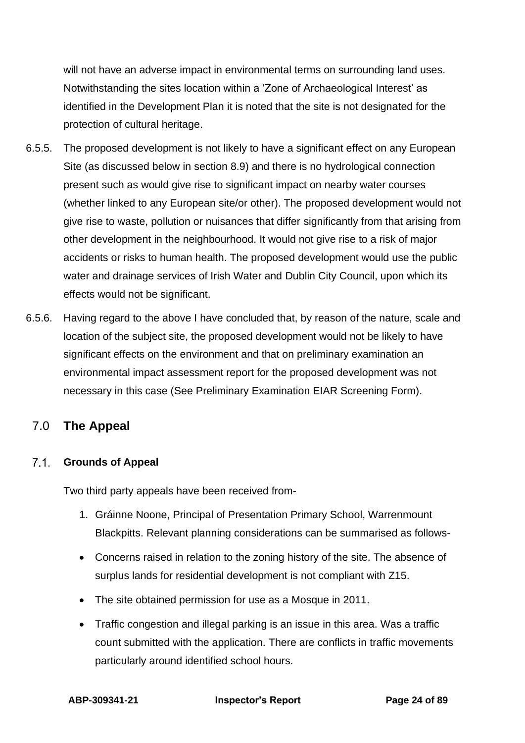will not have an adverse impact in environmental terms on surrounding land uses. Notwithstanding the sites location within a 'Zone of Archaeological Interest' as identified in the Development Plan it is noted that the site is not designated for the protection of cultural heritage.

- 6.5.5. The proposed development is not likely to have a significant effect on any European Site (as discussed below in section 8.9) and there is no hydrological connection present such as would give rise to significant impact on nearby water courses (whether linked to any European site/or other). The proposed development would not give rise to waste, pollution or nuisances that differ significantly from that arising from other development in the neighbourhood. It would not give rise to a risk of major accidents or risks to human health. The proposed development would use the public water and drainage services of Irish Water and Dublin City Council, upon which its effects would not be significant.
- 6.5.6. Having regard to the above I have concluded that, by reason of the nature, scale and location of the subject site, the proposed development would not be likely to have significant effects on the environment and that on preliminary examination an environmental impact assessment report for the proposed development was not necessary in this case (See Preliminary Examination EIAR Screening Form).

# <span id="page-23-0"></span>7.0 **The Appeal**

### <span id="page-23-1"></span>**Grounds of Appeal**

Two third party appeals have been received from-

- 1. Gráinne Noone, Principal of Presentation Primary School, Warrenmount Blackpitts. Relevant planning considerations can be summarised as follows-
- Concerns raised in relation to the zoning history of the site. The absence of surplus lands for residential development is not compliant with Z15.
- The site obtained permission for use as a Mosque in 2011.
- Traffic congestion and illegal parking is an issue in this area. Was a traffic count submitted with the application. There are conflicts in traffic movements particularly around identified school hours.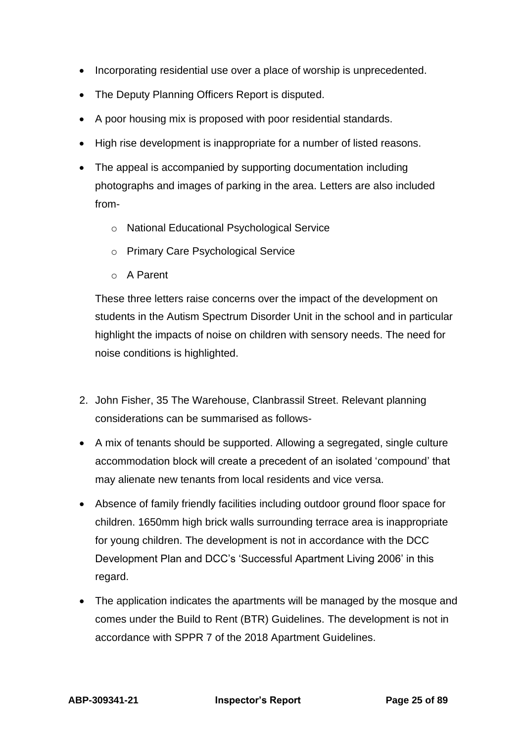- Incorporating residential use over a place of worship is unprecedented.
- The Deputy Planning Officers Report is disputed.
- A poor housing mix is proposed with poor residential standards.
- High rise development is inappropriate for a number of listed reasons.
- The appeal is accompanied by supporting documentation including photographs and images of parking in the area. Letters are also included from
	- o National Educational Psychological Service
	- o Primary Care Psychological Service
	- o A Parent

These three letters raise concerns over the impact of the development on students in the Autism Spectrum Disorder Unit in the school and in particular highlight the impacts of noise on children with sensory needs. The need for noise conditions is highlighted.

- 2. John Fisher, 35 The Warehouse, Clanbrassil Street. Relevant planning considerations can be summarised as follows-
- A mix of tenants should be supported. Allowing a segregated, single culture accommodation block will create a precedent of an isolated 'compound' that may alienate new tenants from local residents and vice versa.
- Absence of family friendly facilities including outdoor ground floor space for children. 1650mm high brick walls surrounding terrace area is inappropriate for young children. The development is not in accordance with the DCC Development Plan and DCC's 'Successful Apartment Living 2006' in this regard.
- The application indicates the apartments will be managed by the mosque and comes under the Build to Rent (BTR) Guidelines. The development is not in accordance with SPPR 7 of the 2018 Apartment Guidelines.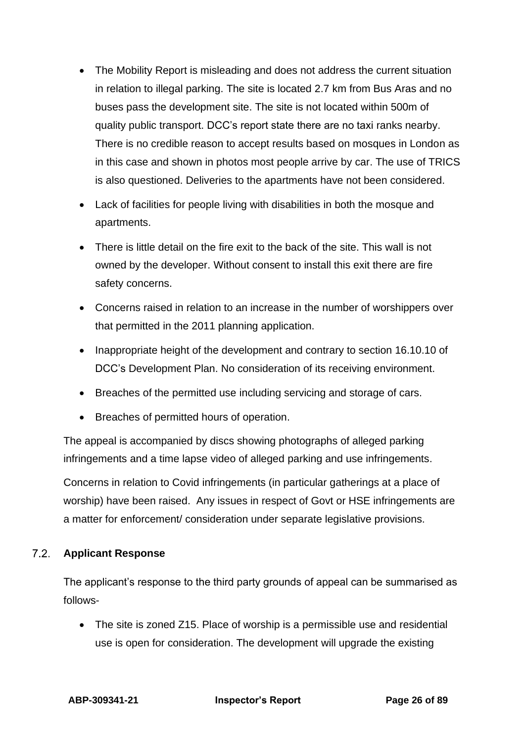- The Mobility Report is misleading and does not address the current situation in relation to illegal parking. The site is located 2.7 km from Bus Aras and no buses pass the development site. The site is not located within 500m of quality public transport. DCC's report state there are no taxi ranks nearby. There is no credible reason to accept results based on mosques in London as in this case and shown in photos most people arrive by car. The use of TRICS is also questioned. Deliveries to the apartments have not been considered.
- Lack of facilities for people living with disabilities in both the mosque and apartments.
- There is little detail on the fire exit to the back of the site. This wall is not owned by the developer. Without consent to install this exit there are fire safety concerns.
- Concerns raised in relation to an increase in the number of worshippers over that permitted in the 2011 planning application.
- Inappropriate height of the development and contrary to section 16.10.10 of DCC's Development Plan. No consideration of its receiving environment.
- Breaches of the permitted use including servicing and storage of cars.
- Breaches of permitted hours of operation.

The appeal is accompanied by discs showing photographs of alleged parking infringements and a time lapse video of alleged parking and use infringements.

Concerns in relation to Covid infringements (in particular gatherings at a place of worship) have been raised. Any issues in respect of Govt or HSE infringements are a matter for enforcement/ consideration under separate legislative provisions.

#### <span id="page-25-0"></span> $7.2<sub>1</sub>$ **Applicant Response**

The applicant's response to the third party grounds of appeal can be summarised as follows-

• The site is zoned Z15. Place of worship is a permissible use and residential use is open for consideration. The development will upgrade the existing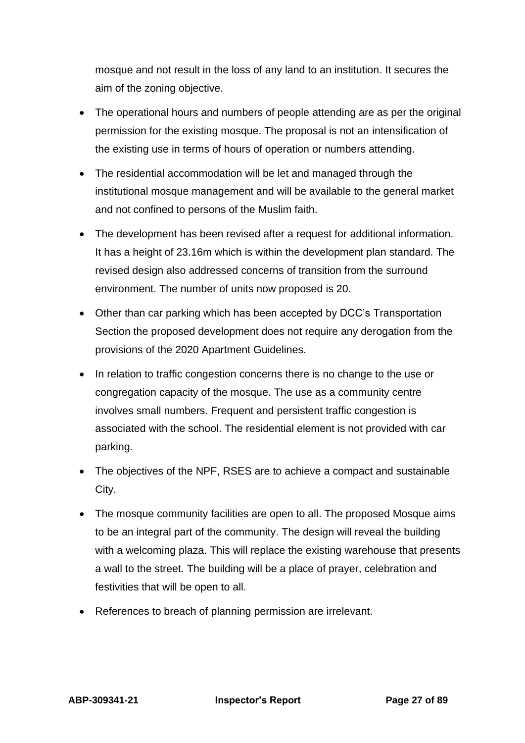mosque and not result in the loss of any land to an institution. It secures the aim of the zoning objective.

- The operational hours and numbers of people attending are as per the original permission for the existing mosque. The proposal is not an intensification of the existing use in terms of hours of operation or numbers attending.
- The residential accommodation will be let and managed through the institutional mosque management and will be available to the general market and not confined to persons of the Muslim faith.
- The development has been revised after a request for additional information. It has a height of 23.16m which is within the development plan standard. The revised design also addressed concerns of transition from the surround environment. The number of units now proposed is 20.
- Other than car parking which has been accepted by DCC's Transportation Section the proposed development does not require any derogation from the provisions of the 2020 Apartment Guidelines.
- In relation to traffic congestion concerns there is no change to the use or congregation capacity of the mosque. The use as a community centre involves small numbers. Frequent and persistent traffic congestion is associated with the school. The residential element is not provided with car parking.
- The objectives of the NPF, RSES are to achieve a compact and sustainable City.
- The mosque community facilities are open to all. The proposed Mosque aims to be an integral part of the community. The design will reveal the building with a welcoming plaza. This will replace the existing warehouse that presents a wall to the street. The building will be a place of prayer, celebration and festivities that will be open to all.
- References to breach of planning permission are irrelevant.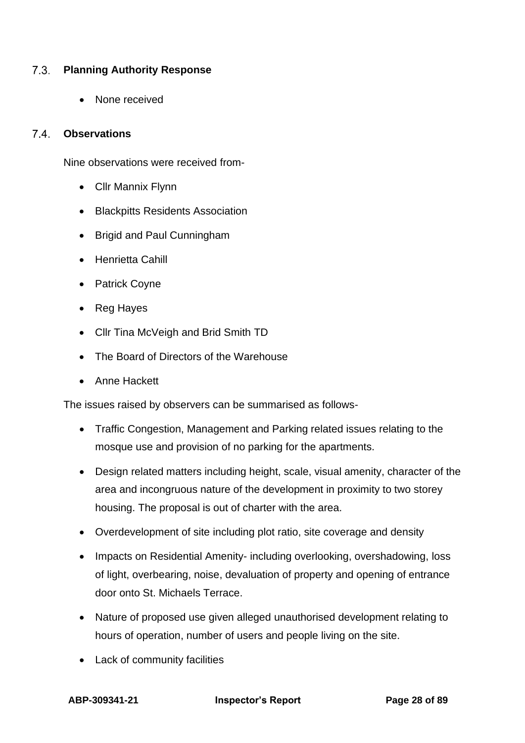#### <span id="page-27-0"></span> $7.3.$ **Planning Authority Response**

• None received

### <span id="page-27-1"></span>**Observations**

Nine observations were received from-

- Cllr Mannix Flynn
- Blackpitts Residents Association
- Brigid and Paul Cunningham
- Henrietta Cahill
- Patrick Coyne
- Reg Hayes
- Cllr Tina McVeigh and Brid Smith TD
- The Board of Directors of the Warehouse
- Anne Hackett

The issues raised by observers can be summarised as follows-

- Traffic Congestion, Management and Parking related issues relating to the mosque use and provision of no parking for the apartments.
- Design related matters including height, scale, visual amenity, character of the area and incongruous nature of the development in proximity to two storey housing. The proposal is out of charter with the area.
- Overdevelopment of site including plot ratio, site coverage and density
- Impacts on Residential Amenity- including overlooking, overshadowing, loss of light, overbearing, noise, devaluation of property and opening of entrance door onto St. Michaels Terrace.
- Nature of proposed use given alleged unauthorised development relating to hours of operation, number of users and people living on the site.
- Lack of community facilities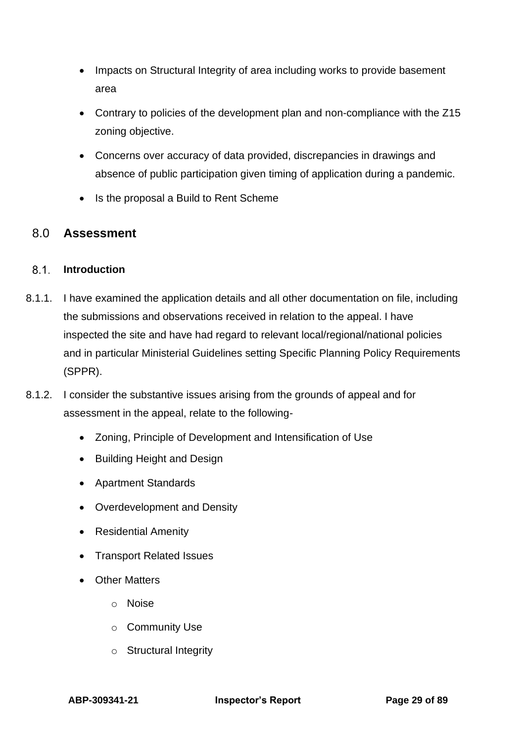- Impacts on Structural Integrity of area including works to provide basement area
- Contrary to policies of the development plan and non-compliance with the Z15 zoning objective.
- Concerns over accuracy of data provided, discrepancies in drawings and absence of public participation given timing of application during a pandemic.
- <span id="page-28-0"></span>• Is the proposal a Build to Rent Scheme

## 8.0 **Assessment**

### <span id="page-28-1"></span>**Introduction**

- 8.1.1. I have examined the application details and all other documentation on file, including the submissions and observations received in relation to the appeal. I have inspected the site and have had regard to relevant local/regional/national policies and in particular Ministerial Guidelines setting Specific Planning Policy Requirements (SPPR).
- 8.1.2. I consider the substantive issues arising from the grounds of appeal and for assessment in the appeal, relate to the following-
	- Zoning, Principle of Development and Intensification of Use
	- Building Height and Design
	- Apartment Standards
	- Overdevelopment and Density
	- Residential Amenity
	- Transport Related Issues
	- Other Matters
		- o Noise
		- o Community Use
		- o Structural Integrity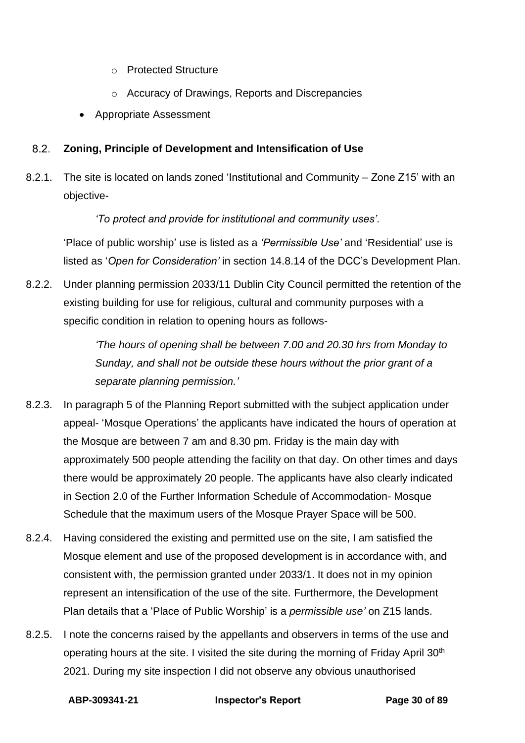- o Protected Structure
- o Accuracy of Drawings, Reports and Discrepancies
- <span id="page-29-0"></span>• Appropriate Assessment

#### $8.2.$ **Zoning, Principle of Development and Intensification of Use**

8.2.1. The site is located on lands zoned 'Institutional and Community – Zone Z15' with an objective-

*'To protect and provide for institutional and community uses'.*

'Place of public worship' use is listed as a *'Permissible Use'* and 'Residential' use is listed as '*Open for Consideration'* in section 14.8.14 of the DCC's Development Plan.

8.2.2. Under planning permission 2033/11 Dublin City Council permitted the retention of the existing building for use for religious, cultural and community purposes with a specific condition in relation to opening hours as follows-

> *'The hours of opening shall be between 7.00 and 20.30 hrs from Monday to Sunday, and shall not be outside these hours without the prior grant of a separate planning permission.'*

- 8.2.3. In paragraph 5 of the Planning Report submitted with the subject application under appeal- 'Mosque Operations' the applicants have indicated the hours of operation at the Mosque are between 7 am and 8.30 pm. Friday is the main day with approximately 500 people attending the facility on that day. On other times and days there would be approximately 20 people. The applicants have also clearly indicated in Section 2.0 of the Further Information Schedule of Accommodation- Mosque Schedule that the maximum users of the Mosque Prayer Space will be 500.
- 8.2.4. Having considered the existing and permitted use on the site, I am satisfied the Mosque element and use of the proposed development is in accordance with, and consistent with, the permission granted under 2033/1. It does not in my opinion represent an intensification of the use of the site. Furthermore, the Development Plan details that a 'Place of Public Worship' is a *permissible use'* on Z15 lands.
- 8.2.5. I note the concerns raised by the appellants and observers in terms of the use and operating hours at the site. I visited the site during the morning of Friday April 30<sup>th</sup> 2021. During my site inspection I did not observe any obvious unauthorised

**ABP-309341-21 Inspector's Report Page 30 of 89**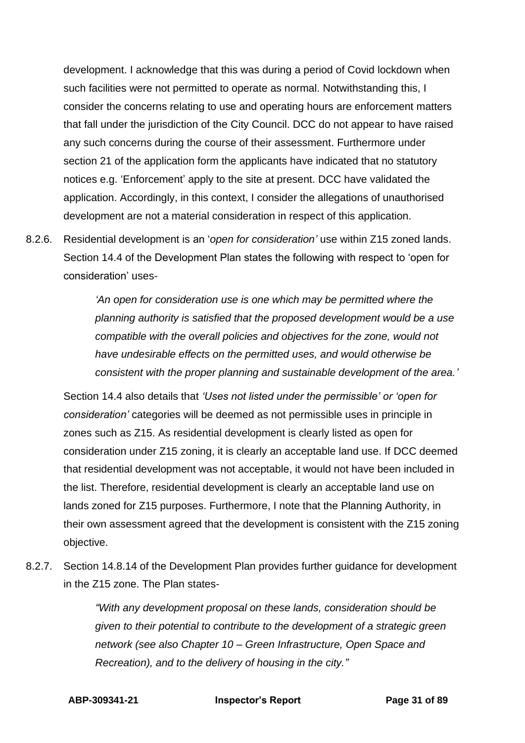development. I acknowledge that this was during a period of Covid lockdown when such facilities were not permitted to operate as normal. Notwithstanding this, I consider the concerns relating to use and operating hours are enforcement matters that fall under the jurisdiction of the City Council. DCC do not appear to have raised any such concerns during the course of their assessment. Furthermore under section 21 of the application form the applicants have indicated that no statutory notices e.g. 'Enforcement' apply to the site at present. DCC have validated the application. Accordingly, in this context, I consider the allegations of unauthorised development are not a material consideration in respect of this application.

8.2.6. Residential development is an '*open for consideration'* use within Z15 zoned lands. Section 14.4 of the Development Plan states the following with respect to 'open for consideration' uses-

> *'An open for consideration use is one which may be permitted where the planning authority is satisfied that the proposed development would be a use compatible with the overall policies and objectives for the zone, would not have undesirable effects on the permitted uses, and would otherwise be consistent with the proper planning and sustainable development of the area.'*

Section 14.4 also details that *'Uses not listed under the permissible' or 'open for consideration'* categories will be deemed as not permissible uses in principle in zones such as Z15. As residential development is clearly listed as open for consideration under Z15 zoning, it is clearly an acceptable land use. If DCC deemed that residential development was not acceptable, it would not have been included in the list. Therefore, residential development is clearly an acceptable land use on lands zoned for Z15 purposes. Furthermore, I note that the Planning Authority, in their own assessment agreed that the development is consistent with the Z15 zoning objective.

8.2.7. Section 14.8.14 of the Development Plan provides further guidance for development in the Z15 zone. The Plan states-

> *"With any development proposal on these lands, consideration should be given to their potential to contribute to the development of a strategic green network (see also Chapter 10 – Green Infrastructure, Open Space and Recreation), and to the delivery of housing in the city."*

**ABP-309341-21 Inspector's Report Page 31 of 89**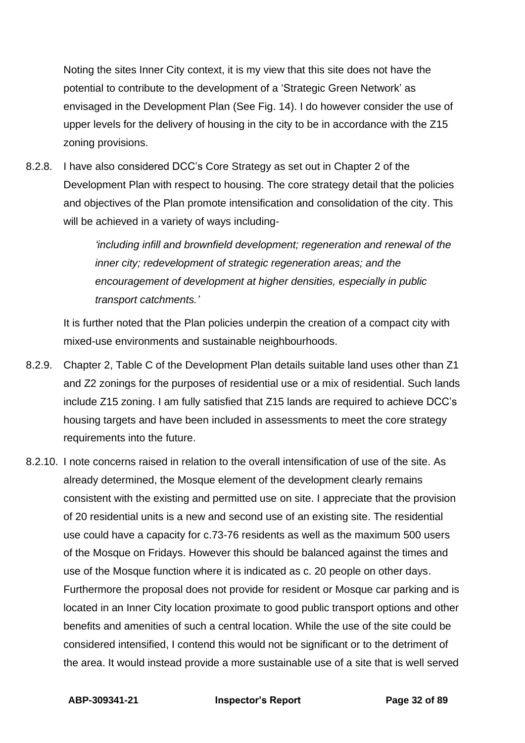Noting the sites Inner City context, it is my view that this site does not have the potential to contribute to the development of a 'Strategic Green Network' as envisaged in the Development Plan (See Fig. 14). I do however consider the use of upper levels for the delivery of housing in the city to be in accordance with the Z15 zoning provisions.

8.2.8. I have also considered DCC's Core Strategy as set out in Chapter 2 of the Development Plan with respect to housing. The core strategy detail that the policies and objectives of the Plan promote intensification and consolidation of the city. This will be achieved in a variety of ways including-

> *'including infill and brownfield development; regeneration and renewal of the inner city; redevelopment of strategic regeneration areas; and the encouragement of development at higher densities, especially in public transport catchments.'*

It is further noted that the Plan policies underpin the creation of a compact city with mixed-use environments and sustainable neighbourhoods.

- 8.2.9. Chapter 2, Table C of the Development Plan details suitable land uses other than Z1 and Z2 zonings for the purposes of residential use or a mix of residential. Such lands include Z15 zoning. I am fully satisfied that Z15 lands are required to achieve DCC's housing targets and have been included in assessments to meet the core strategy requirements into the future.
- 8.2.10. I note concerns raised in relation to the overall intensification of use of the site. As already determined, the Mosque element of the development clearly remains consistent with the existing and permitted use on site. I appreciate that the provision of 20 residential units is a new and second use of an existing site. The residential use could have a capacity for c.73-76 residents as well as the maximum 500 users of the Mosque on Fridays. However this should be balanced against the times and use of the Mosque function where it is indicated as c. 20 people on other days. Furthermore the proposal does not provide for resident or Mosque car parking and is located in an Inner City location proximate to good public transport options and other benefits and amenities of such a central location. While the use of the site could be considered intensified, I contend this would not be significant or to the detriment of the area. It would instead provide a more sustainable use of a site that is well served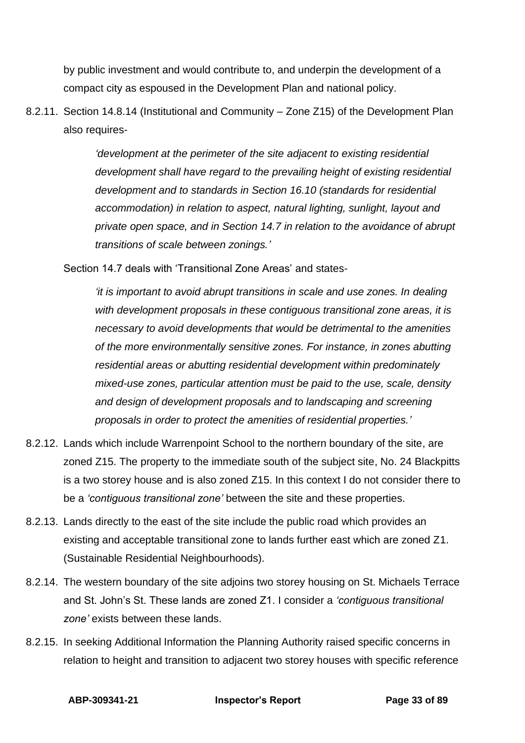by public investment and would contribute to, and underpin the development of a compact city as espoused in the Development Plan and national policy.

8.2.11. Section 14.8.14 (Institutional and Community – Zone Z15) of the Development Plan also requires-

> *'development at the perimeter of the site adjacent to existing residential development shall have regard to the prevailing height of existing residential development and to standards in Section 16.10 (standards for residential accommodation) in relation to aspect, natural lighting, sunlight, layout and private open space, and in Section 14.7 in relation to the avoidance of abrupt transitions of scale between zonings.'*

Section 14.7 deals with 'Transitional Zone Areas' and states-

*'it is important to avoid abrupt transitions in scale and use zones. In dealing with development proposals in these contiguous transitional zone areas, it is necessary to avoid developments that would be detrimental to the amenities of the more environmentally sensitive zones. For instance, in zones abutting residential areas or abutting residential development within predominately mixed-use zones, particular attention must be paid to the use, scale, density and design of development proposals and to landscaping and screening proposals in order to protect the amenities of residential properties.'*

- 8.2.12. Lands which include Warrenpoint School to the northern boundary of the site, are zoned Z15. The property to the immediate south of the subject site, No. 24 Blackpitts is a two storey house and is also zoned Z15. In this context I do not consider there to be a *'contiguous transitional zone'* between the site and these properties.
- 8.2.13. Lands directly to the east of the site include the public road which provides an existing and acceptable transitional zone to lands further east which are zoned Z1. (Sustainable Residential Neighbourhoods).
- 8.2.14. The western boundary of the site adjoins two storey housing on St. Michaels Terrace and St. John's St. These lands are zoned Z1. I consider a *'contiguous transitional*  zone' exists between these lands.
- 8.2.15. In seeking Additional Information the Planning Authority raised specific concerns in relation to height and transition to adjacent two storey houses with specific reference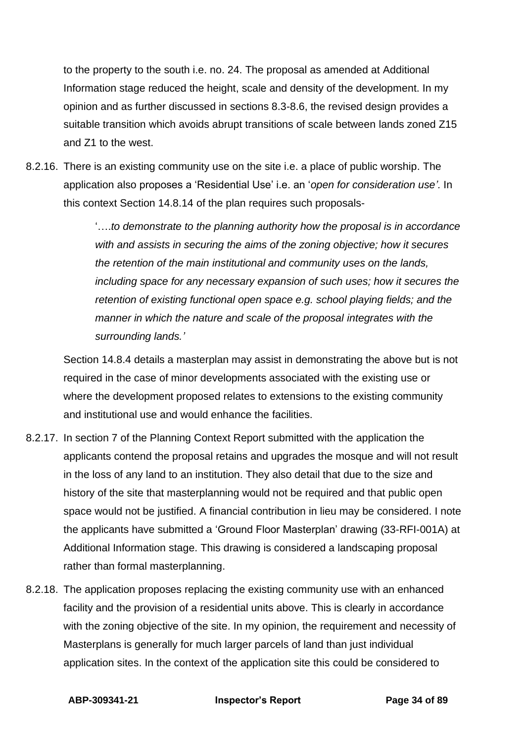to the property to the south i.e. no. 24. The proposal as amended at Additional Information stage reduced the height, scale and density of the development. In my opinion and as further discussed in sections 8.3-8.6, the revised design provides a suitable transition which avoids abrupt transitions of scale between lands zoned Z15 and Z1 to the west.

8.2.16. There is an existing community use on the site i.e. a place of public worship. The application also proposes a 'Residential Use' i.e. an '*open for consideration use'.* In this context Section 14.8.14 of the plan requires such proposals-

> '….*to demonstrate to the planning authority how the proposal is in accordance with and assists in securing the aims of the zoning objective; how it secures the retention of the main institutional and community uses on the lands, including space for any necessary expansion of such uses; how it secures the retention of existing functional open space e.g. school playing fields; and the manner in which the nature and scale of the proposal integrates with the surrounding lands.'*

Section 14.8.4 details a masterplan may assist in demonstrating the above but is not required in the case of minor developments associated with the existing use or where the development proposed relates to extensions to the existing community and institutional use and would enhance the facilities.

- 8.2.17. In section 7 of the Planning Context Report submitted with the application the applicants contend the proposal retains and upgrades the mosque and will not result in the loss of any land to an institution. They also detail that due to the size and history of the site that masterplanning would not be required and that public open space would not be justified. A financial contribution in lieu may be considered. I note the applicants have submitted a 'Ground Floor Masterplan' drawing (33-RFI-001A) at Additional Information stage. This drawing is considered a landscaping proposal rather than formal masterplanning.
- 8.2.18. The application proposes replacing the existing community use with an enhanced facility and the provision of a residential units above. This is clearly in accordance with the zoning objective of the site. In my opinion, the requirement and necessity of Masterplans is generally for much larger parcels of land than just individual application sites. In the context of the application site this could be considered to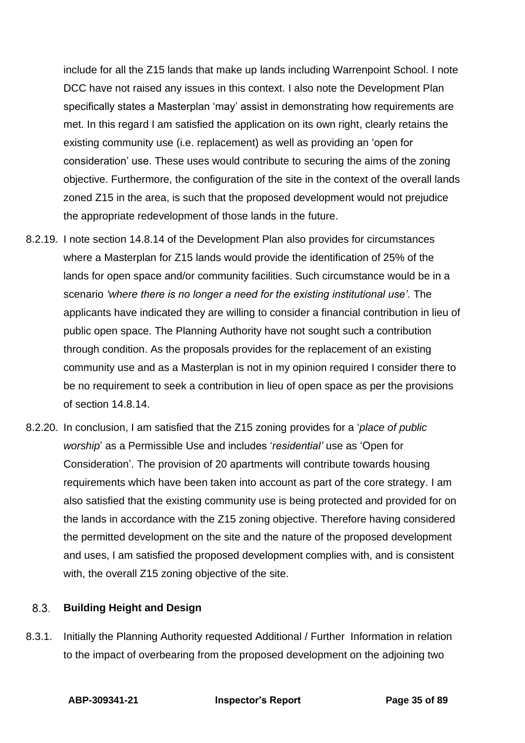include for all the Z15 lands that make up lands including Warrenpoint School. I note DCC have not raised any issues in this context. I also note the Development Plan specifically states a Masterplan 'may' assist in demonstrating how requirements are met. In this regard I am satisfied the application on its own right, clearly retains the existing community use (i.e. replacement) as well as providing an 'open for consideration' use. These uses would contribute to securing the aims of the zoning objective. Furthermore, the configuration of the site in the context of the overall lands zoned Z15 in the area, is such that the proposed development would not prejudice the appropriate redevelopment of those lands in the future.

- 8.2.19. I note section 14.8.14 of the Development Plan also provides for circumstances where a Masterplan for Z15 lands would provide the identification of 25% of the lands for open space and/or community facilities. Such circumstance would be in a scenario *'where there is no longer a need for the existing institutional use'.* The applicants have indicated they are willing to consider a financial contribution in lieu of public open space. The Planning Authority have not sought such a contribution through condition. As the proposals provides for the replacement of an existing community use and as a Masterplan is not in my opinion required I consider there to be no requirement to seek a contribution in lieu of open space as per the provisions of section 14.8.14.
- 8.2.20. In conclusion, I am satisfied that the Z15 zoning provides for a '*place of public worship*' as a Permissible Use and includes '*residential'* use as 'Open for Consideration'. The provision of 20 apartments will contribute towards housing requirements which have been taken into account as part of the core strategy. I am also satisfied that the existing community use is being protected and provided for on the lands in accordance with the Z15 zoning objective. Therefore having considered the permitted development on the site and the nature of the proposed development and uses, I am satisfied the proposed development complies with, and is consistent with, the overall Z15 zoning objective of the site.

#### <span id="page-34-0"></span> $8.3.$ **Building Height and Design**

8.3.1. Initially the Planning Authority requested Additional / Further Information in relation to the impact of overbearing from the proposed development on the adjoining two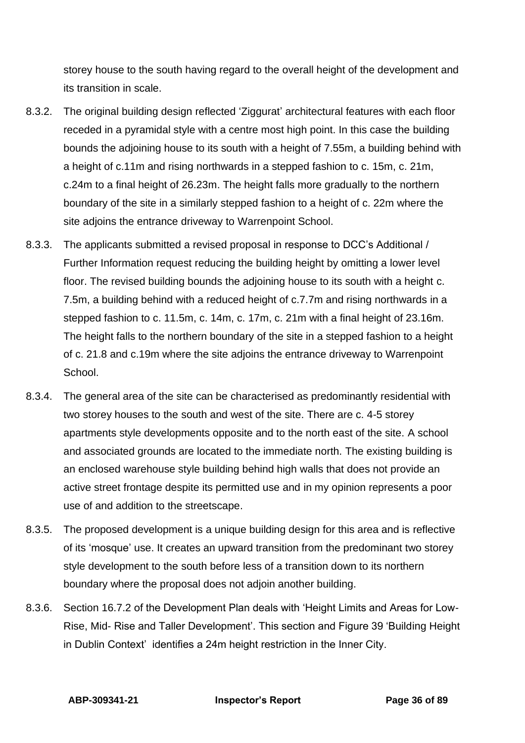storey house to the south having regard to the overall height of the development and its transition in scale.

- 8.3.2. The original building design reflected 'Ziggurat' architectural features with each floor receded in a pyramidal style with a centre most high point. In this case the building bounds the adjoining house to its south with a height of 7.55m, a building behind with a height of c.11m and rising northwards in a stepped fashion to c. 15m, c. 21m, c.24m to a final height of 26.23m. The height falls more gradually to the northern boundary of the site in a similarly stepped fashion to a height of c. 22m where the site adjoins the entrance driveway to Warrenpoint School.
- 8.3.3. The applicants submitted a revised proposal in response to DCC's Additional / Further Information request reducing the building height by omitting a lower level floor. The revised building bounds the adjoining house to its south with a height c. 7.5m, a building behind with a reduced height of c.7.7m and rising northwards in a stepped fashion to c. 11.5m, c. 14m, c. 17m, c. 21m with a final height of 23.16m. The height falls to the northern boundary of the site in a stepped fashion to a height of c. 21.8 and c.19m where the site adjoins the entrance driveway to Warrenpoint School.
- 8.3.4. The general area of the site can be characterised as predominantly residential with two storey houses to the south and west of the site. There are c. 4-5 storey apartments style developments opposite and to the north east of the site. A school and associated grounds are located to the immediate north. The existing building is an enclosed warehouse style building behind high walls that does not provide an active street frontage despite its permitted use and in my opinion represents a poor use of and addition to the streetscape.
- 8.3.5. The proposed development is a unique building design for this area and is reflective of its 'mosque' use. It creates an upward transition from the predominant two storey style development to the south before less of a transition down to its northern boundary where the proposal does not adjoin another building.
- 8.3.6. Section 16.7.2 of the Development Plan deals with 'Height Limits and Areas for Low-Rise, Mid- Rise and Taller Development'. This section and Figure 39 'Building Height in Dublin Context' identifies a 24m height restriction in the Inner City.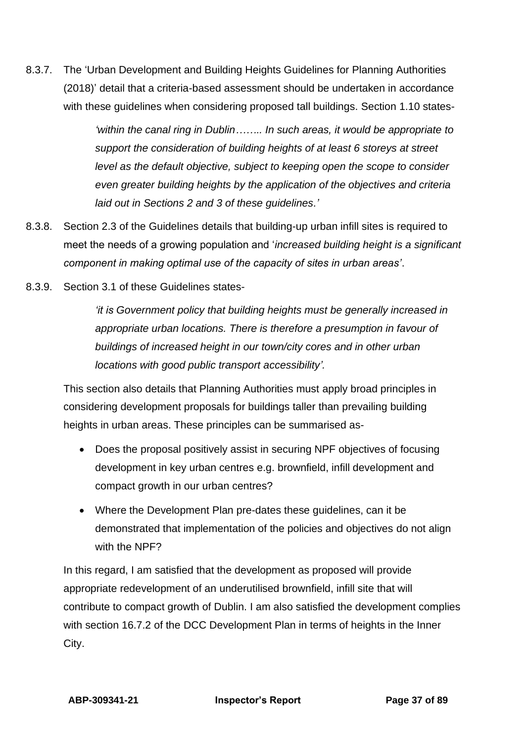8.3.7. The 'Urban Development and Building Heights Guidelines for Planning Authorities (2018)' detail that a criteria-based assessment should be undertaken in accordance with these guidelines when considering proposed tall buildings. Section 1.10 states-

> *'within the canal ring in Dublin…….. In such areas, it would be appropriate to support the consideration of building heights of at least 6 storeys at street level as the default objective, subject to keeping open the scope to consider even greater building heights by the application of the objectives and criteria laid out in Sections 2 and 3 of these guidelines.'*

- 8.3.8. Section 2.3 of the Guidelines details that building-up urban infill sites is required to meet the needs of a growing population and '*increased building height is a significant component in making optimal use of the capacity of sites in urban areas'*.
- 8.3.9. Section 3.1 of these Guidelines states-

*'it is Government policy that building heights must be generally increased in appropriate urban locations. There is therefore a presumption in favour of buildings of increased height in our town/city cores and in other urban locations with good public transport accessibility'.*

This section also details that Planning Authorities must apply broad principles in considering development proposals for buildings taller than prevailing building heights in urban areas. These principles can be summarised as-

- Does the proposal positively assist in securing NPF objectives of focusing development in key urban centres e.g. brownfield, infill development and compact growth in our urban centres?
- Where the Development Plan pre-dates these guidelines, can it be demonstrated that implementation of the policies and objectives do not align with the NPF?

In this regard, I am satisfied that the development as proposed will provide appropriate redevelopment of an underutilised brownfield, infill site that will contribute to compact growth of Dublin. I am also satisfied the development complies with section 16.7.2 of the DCC Development Plan in terms of heights in the Inner City.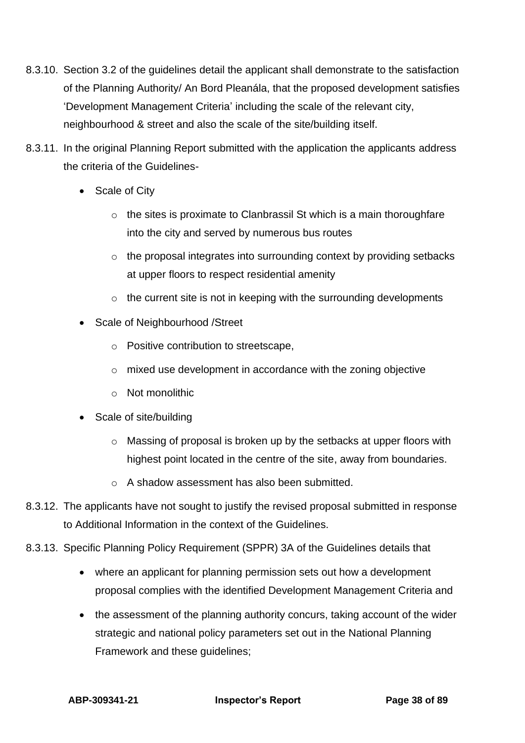- 8.3.10. Section 3.2 of the guidelines detail the applicant shall demonstrate to the satisfaction of the Planning Authority/ An Bord Pleanála, that the proposed development satisfies 'Development Management Criteria' including the scale of the relevant city, neighbourhood & street and also the scale of the site/building itself.
- 8.3.11. In the original Planning Report submitted with the application the applicants address the criteria of the Guidelines-
	- Scale of City
		- $\circ$  the sites is proximate to Clanbrassil St which is a main thoroughfare into the city and served by numerous bus routes
		- o the proposal integrates into surrounding context by providing setbacks at upper floors to respect residential amenity
		- $\circ$  the current site is not in keeping with the surrounding developments
	- Scale of Neighbourhood / Street
		- o Positive contribution to streetscape,
		- o mixed use development in accordance with the zoning objective
		- o Not monolithic
	- Scale of site/building
		- $\circ$  Massing of proposal is broken up by the setbacks at upper floors with highest point located in the centre of the site, away from boundaries.
		- o A shadow assessment has also been submitted.
- 8.3.12. The applicants have not sought to justify the revised proposal submitted in response to Additional Information in the context of the Guidelines.
- 8.3.13. Specific Planning Policy Requirement (SPPR) 3A of the Guidelines details that
	- where an applicant for planning permission sets out how a development proposal complies with the identified Development Management Criteria and
	- the assessment of the planning authority concurs, taking account of the wider strategic and national policy parameters set out in the National Planning Framework and these guidelines;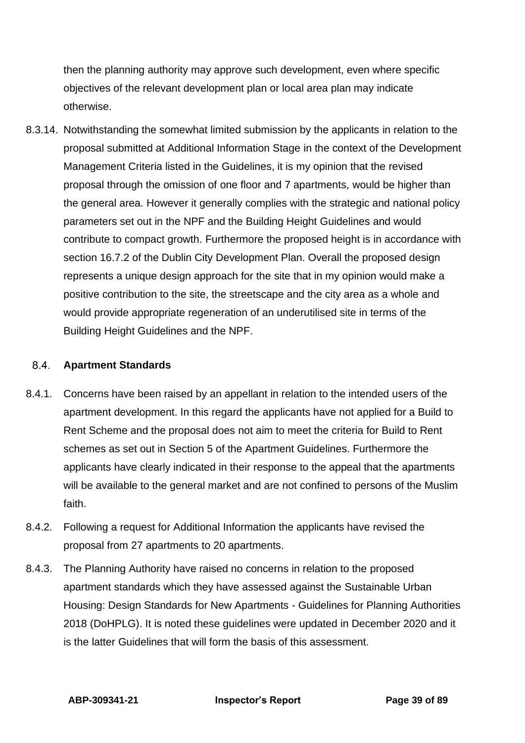then the planning authority may approve such development, even where specific objectives of the relevant development plan or local area plan may indicate otherwise.

8.3.14. Notwithstanding the somewhat limited submission by the applicants in relation to the proposal submitted at Additional Information Stage in the context of the Development Management Criteria listed in the Guidelines, it is my opinion that the revised proposal through the omission of one floor and 7 apartments, would be higher than the general area. However it generally complies with the strategic and national policy parameters set out in the NPF and the Building Height Guidelines and would contribute to compact growth. Furthermore the proposed height is in accordance with section 16.7.2 of the Dublin City Development Plan. Overall the proposed design represents a unique design approach for the site that in my opinion would make a positive contribution to the site, the streetscape and the city area as a whole and would provide appropriate regeneration of an underutilised site in terms of the Building Height Guidelines and the NPF.

#### 8.4. **Apartment Standards**

- 8.4.1. Concerns have been raised by an appellant in relation to the intended users of the apartment development. In this regard the applicants have not applied for a Build to Rent Scheme and the proposal does not aim to meet the criteria for Build to Rent schemes as set out in Section 5 of the Apartment Guidelines. Furthermore the applicants have clearly indicated in their response to the appeal that the apartments will be available to the general market and are not confined to persons of the Muslim faith.
- 8.4.2. Following a request for Additional Information the applicants have revised the proposal from 27 apartments to 20 apartments.
- 8.4.3. The Planning Authority have raised no concerns in relation to the proposed apartment standards which they have assessed against the Sustainable Urban Housing: Design Standards for New Apartments - Guidelines for Planning Authorities 2018 (DoHPLG). It is noted these guidelines were updated in December 2020 and it is the latter Guidelines that will form the basis of this assessment.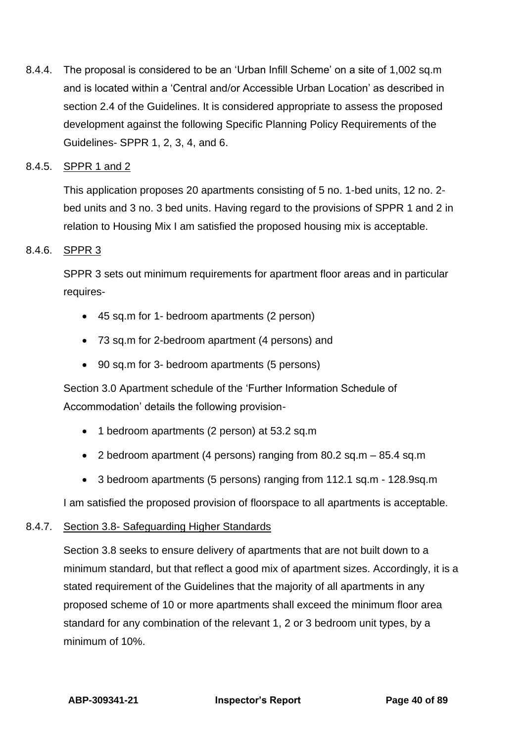8.4.4. The proposal is considered to be an 'Urban Infill Scheme' on a site of 1,002 sq.m and is located within a 'Central and/or Accessible Urban Location' as described in section 2.4 of the Guidelines. It is considered appropriate to assess the proposed development against the following Specific Planning Policy Requirements of the Guidelines- SPPR 1, 2, 3, 4, and 6.

## 8.4.5. SPPR 1 and 2

This application proposes 20 apartments consisting of 5 no. 1-bed units, 12 no. 2 bed units and 3 no. 3 bed units. Having regard to the provisions of SPPR 1 and 2 in relation to Housing Mix I am satisfied the proposed housing mix is acceptable.

# 8.4.6. SPPR 3

SPPR 3 sets out minimum requirements for apartment floor areas and in particular requires-

- 45 sq.m for 1- bedroom apartments (2 person)
- 73 sq.m for 2-bedroom apartment (4 persons) and
- 90 sq.m for 3- bedroom apartments (5 persons)

Section 3.0 Apartment schedule of the 'Further Information Schedule of Accommodation' details the following provision-

- 1 bedroom apartments (2 person) at 53.2 sq.m
- 2 bedroom apartment (4 persons) ranging from 80.2 sq.m 85.4 sq.m
- 3 bedroom apartments (5 persons) ranging from 112.1 sq.m 128.9sq.m

I am satisfied the proposed provision of floorspace to all apartments is acceptable.

### 8.4.7. Section 3.8- Safeguarding Higher Standards

Section 3.8 seeks to ensure delivery of apartments that are not built down to a minimum standard, but that reflect a good mix of apartment sizes. Accordingly, it is a stated requirement of the Guidelines that the majority of all apartments in any proposed scheme of 10 or more apartments shall exceed the minimum floor area standard for any combination of the relevant 1, 2 or 3 bedroom unit types, by a minimum of 10%.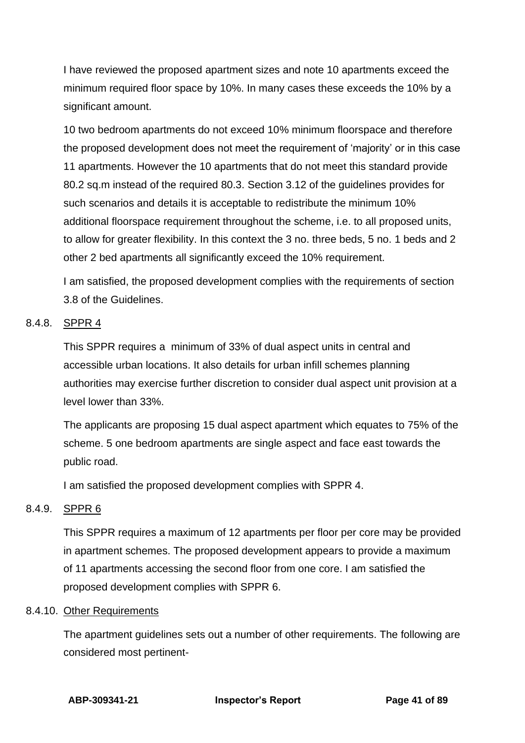I have reviewed the proposed apartment sizes and note 10 apartments exceed the minimum required floor space by 10%. In many cases these exceeds the 10% by a significant amount.

10 two bedroom apartments do not exceed 10% minimum floorspace and therefore the proposed development does not meet the requirement of 'majority' or in this case 11 apartments. However the 10 apartments that do not meet this standard provide 80.2 sq.m instead of the required 80.3. Section 3.12 of the guidelines provides for such scenarios and details it is acceptable to redistribute the minimum 10% additional floorspace requirement throughout the scheme, i.e. to all proposed units, to allow for greater flexibility. In this context the 3 no. three beds, 5 no. 1 beds and 2 other 2 bed apartments all significantly exceed the 10% requirement.

I am satisfied, the proposed development complies with the requirements of section 3.8 of the Guidelines.

### 8.4.8. SPPR 4

This SPPR requires a minimum of 33% of dual aspect units in central and accessible urban locations. It also details for urban infill schemes planning authorities may exercise further discretion to consider dual aspect unit provision at a level lower than 33%.

The applicants are proposing 15 dual aspect apartment which equates to 75% of the scheme. 5 one bedroom apartments are single aspect and face east towards the public road.

I am satisfied the proposed development complies with SPPR 4.

### 8.4.9. SPPR 6

This SPPR requires a maximum of 12 apartments per floor per core may be provided in apartment schemes. The proposed development appears to provide a maximum of 11 apartments accessing the second floor from one core. I am satisfied the proposed development complies with SPPR 6.

### 8.4.10. Other Requirements

The apartment guidelines sets out a number of other requirements. The following are considered most pertinent-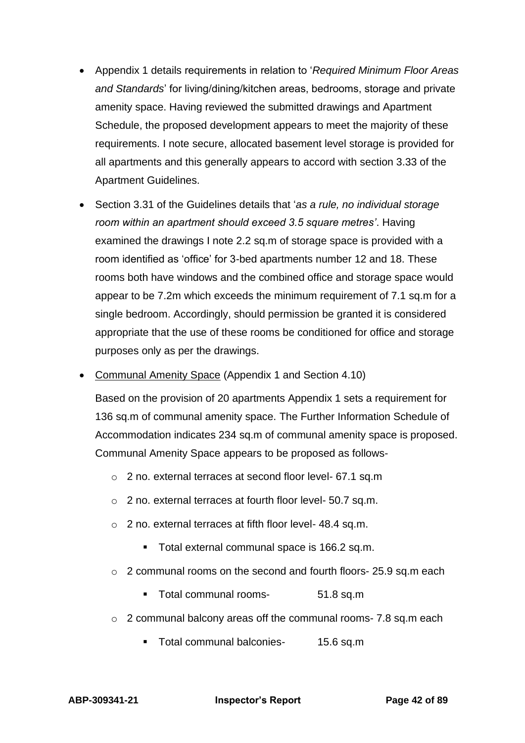- Appendix 1 details requirements in relation to '*Required Minimum Floor Areas and Standards*' for living/dining/kitchen areas, bedrooms, storage and private amenity space. Having reviewed the submitted drawings and Apartment Schedule, the proposed development appears to meet the majority of these requirements. I note secure, allocated basement level storage is provided for all apartments and this generally appears to accord with section 3.33 of the Apartment Guidelines.
- Section 3.31 of the Guidelines details that '*as a rule, no individual storage room within an apartment should exceed 3.5 square metres'*. Having examined the drawings I note 2.2 sq.m of storage space is provided with a room identified as 'office' for 3-bed apartments number 12 and 18. These rooms both have windows and the combined office and storage space would appear to be 7.2m which exceeds the minimum requirement of 7.1 sq.m for a single bedroom. Accordingly, should permission be granted it is considered appropriate that the use of these rooms be conditioned for office and storage purposes only as per the drawings.
- Communal Amenity Space (Appendix 1 and Section 4.10)

Based on the provision of 20 apartments Appendix 1 sets a requirement for 136 sq.m of communal amenity space. The Further Information Schedule of Accommodation indicates 234 sq.m of communal amenity space is proposed. Communal Amenity Space appears to be proposed as follows-

- o 2 no. external terraces at second floor level- 67.1 sq.m
- o 2 no. external terraces at fourth floor level- 50.7 sq.m.
- o 2 no. external terraces at fifth floor level- 48.4 sq.m.
	- Total external communal space is 166.2 sq.m.
- o 2 communal rooms on the second and fourth floors- 25.9 sq.m each
	- Total communal rooms-<br>51.8 sq.m
- o 2 communal balcony areas off the communal rooms- 7.8 sq.m each
	- Total communal balconies- 15.6 sq.m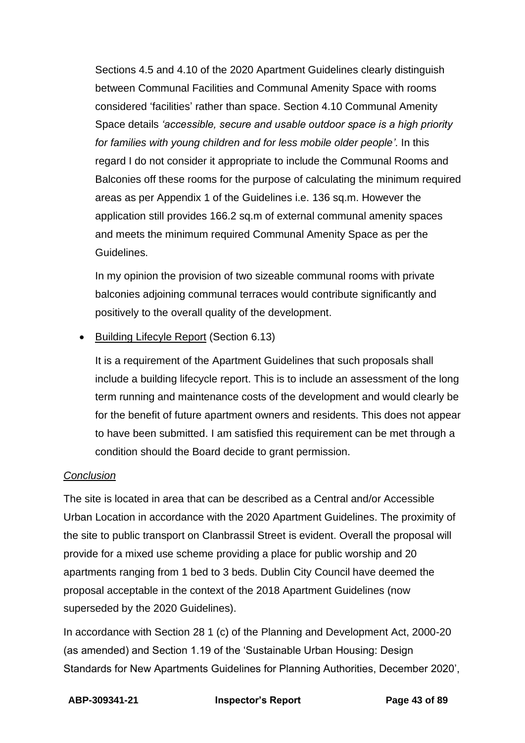Sections 4.5 and 4.10 of the 2020 Apartment Guidelines clearly distinguish between Communal Facilities and Communal Amenity Space with rooms considered 'facilities' rather than space. Section 4.10 Communal Amenity Space details *'accessible, secure and usable outdoor space is a high priority for families with young children and for less mobile older people'.* In this regard I do not consider it appropriate to include the Communal Rooms and Balconies off these rooms for the purpose of calculating the minimum required areas as per Appendix 1 of the Guidelines i.e. 136 sq.m. However the application still provides 166.2 sq.m of external communal amenity spaces and meets the minimum required Communal Amenity Space as per the Guidelines.

In my opinion the provision of two sizeable communal rooms with private balconies adjoining communal terraces would contribute significantly and positively to the overall quality of the development.

• Building Lifecyle Report (Section 6.13)

It is a requirement of the Apartment Guidelines that such proposals shall include a building lifecycle report. This is to include an assessment of the long term running and maintenance costs of the development and would clearly be for the benefit of future apartment owners and residents. This does not appear to have been submitted. I am satisfied this requirement can be met through a condition should the Board decide to grant permission.

# *Conclusion*

The site is located in area that can be described as a Central and/or Accessible Urban Location in accordance with the 2020 Apartment Guidelines. The proximity of the site to public transport on Clanbrassil Street is evident. Overall the proposal will provide for a mixed use scheme providing a place for public worship and 20 apartments ranging from 1 bed to 3 beds. Dublin City Council have deemed the proposal acceptable in the context of the 2018 Apartment Guidelines (now superseded by the 2020 Guidelines).

In accordance with Section 28 1 (c) of the Planning and Development Act, 2000-20 (as amended) and Section 1.19 of the 'Sustainable Urban Housing: Design Standards for New Apartments Guidelines for Planning Authorities, December 2020',

**ABP-309341-21 Inspector's Report Page 43 of 89**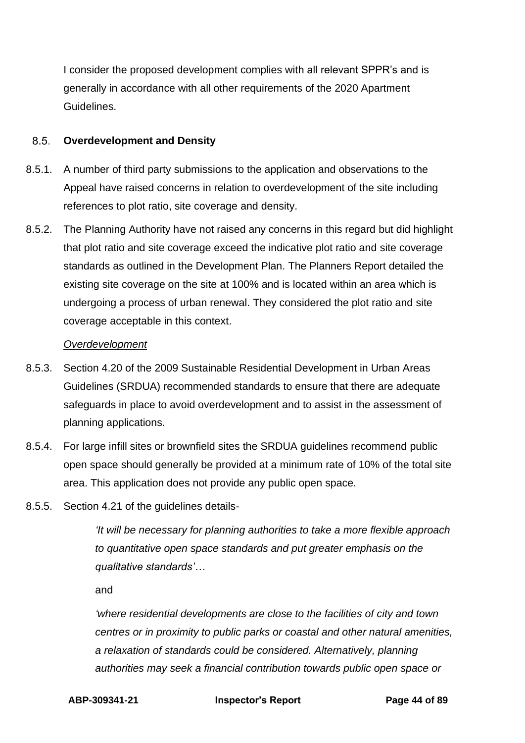I consider the proposed development complies with all relevant SPPR's and is generally in accordance with all other requirements of the 2020 Apartment Guidelines.

#### $8.5.$ **Overdevelopment and Density**

- 8.5.1. A number of third party submissions to the application and observations to the Appeal have raised concerns in relation to overdevelopment of the site including references to plot ratio, site coverage and density.
- 8.5.2. The Planning Authority have not raised any concerns in this regard but did highlight that plot ratio and site coverage exceed the indicative plot ratio and site coverage standards as outlined in the Development Plan. The Planners Report detailed the existing site coverage on the site at 100% and is located within an area which is undergoing a process of urban renewal. They considered the plot ratio and site coverage acceptable in this context.

### *Overdevelopment*

- 8.5.3. Section 4.20 of the 2009 Sustainable Residential Development in Urban Areas Guidelines (SRDUA) recommended standards to ensure that there are adequate safeguards in place to avoid overdevelopment and to assist in the assessment of planning applications.
- 8.5.4. For large infill sites or brownfield sites the SRDUA guidelines recommend public open space should generally be provided at a minimum rate of 10% of the total site area. This application does not provide any public open space.
- 8.5.5. Section 4.21 of the guidelines details-

*'It will be necessary for planning authorities to take a more flexible approach to quantitative open space standards and put greater emphasis on the qualitative standards'…*

and

*'where residential developments are close to the facilities of city and town centres or in proximity to public parks or coastal and other natural amenities, a relaxation of standards could be considered. Alternatively, planning authorities may seek a financial contribution towards public open space or* 

**ABP-309341-21 Inspector's Report Page 44 of 89**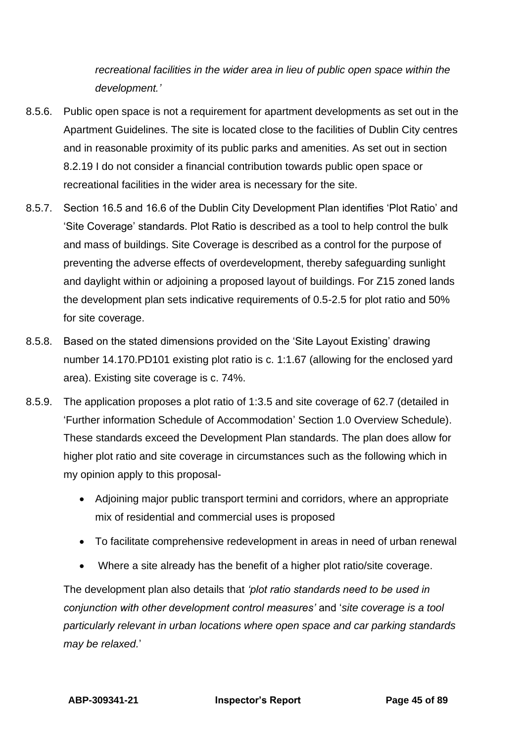*recreational facilities in the wider area in lieu of public open space within the development.'*

- 8.5.6. Public open space is not a requirement for apartment developments as set out in the Apartment Guidelines. The site is located close to the facilities of Dublin City centres and in reasonable proximity of its public parks and amenities. As set out in section 8.2.19 I do not consider a financial contribution towards public open space or recreational facilities in the wider area is necessary for the site.
- 8.5.7. Section 16.5 and 16.6 of the Dublin City Development Plan identifies 'Plot Ratio' and 'Site Coverage' standards. Plot Ratio is described as a tool to help control the bulk and mass of buildings. Site Coverage is described as a control for the purpose of preventing the adverse effects of overdevelopment, thereby safeguarding sunlight and daylight within or adjoining a proposed layout of buildings. For Z15 zoned lands the development plan sets indicative requirements of 0.5-2.5 for plot ratio and 50% for site coverage.
- 8.5.8. Based on the stated dimensions provided on the 'Site Layout Existing' drawing number 14.170.PD101 existing plot ratio is c. 1:1.67 (allowing for the enclosed yard area). Existing site coverage is c. 74%.
- 8.5.9. The application proposes a plot ratio of 1:3.5 and site coverage of 62.7 (detailed in 'Further information Schedule of Accommodation' Section 1.0 Overview Schedule). These standards exceed the Development Plan standards. The plan does allow for higher plot ratio and site coverage in circumstances such as the following which in my opinion apply to this proposal-
	- Adjoining major public transport termini and corridors, where an appropriate mix of residential and commercial uses is proposed
	- To facilitate comprehensive redevelopment in areas in need of urban renewal
	- Where a site already has the benefit of a higher plot ratio/site coverage.

The development plan also details that *'plot ratio standards need to be used in conjunction with other development control measures'* and '*site coverage is a tool particularly relevant in urban locations where open space and car parking standards may be relaxed.*'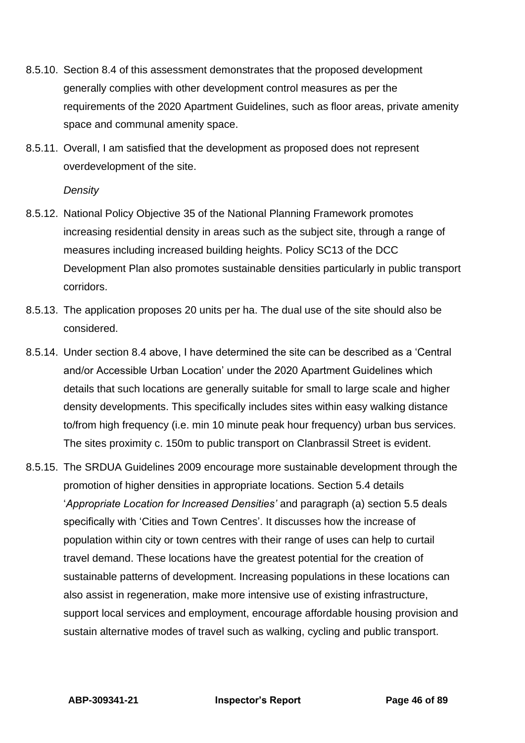- 8.5.10. Section 8.4 of this assessment demonstrates that the proposed development generally complies with other development control measures as per the requirements of the 2020 Apartment Guidelines, such as floor areas, private amenity space and communal amenity space.
- 8.5.11. Overall, I am satisfied that the development as proposed does not represent overdevelopment of the site.

### *Density*

- 8.5.12. National Policy Objective 35 of the National Planning Framework promotes increasing residential density in areas such as the subject site, through a range of measures including increased building heights. Policy SC13 of the DCC Development Plan also promotes sustainable densities particularly in public transport corridors.
- 8.5.13. The application proposes 20 units per ha. The dual use of the site should also be considered.
- 8.5.14. Under section 8.4 above, I have determined the site can be described as a 'Central and/or Accessible Urban Location' under the 2020 Apartment Guidelines which details that such locations are generally suitable for small to large scale and higher density developments. This specifically includes sites within easy walking distance to/from high frequency (i.e. min 10 minute peak hour frequency) urban bus services. The sites proximity c. 150m to public transport on Clanbrassil Street is evident.
- 8.5.15. The SRDUA Guidelines 2009 encourage more sustainable development through the promotion of higher densities in appropriate locations. Section 5.4 details '*Appropriate Location for Increased Densities'* and paragraph (a) section 5.5 deals specifically with 'Cities and Town Centres'. It discusses how the increase of population within city or town centres with their range of uses can help to curtail travel demand. These locations have the greatest potential for the creation of sustainable patterns of development. Increasing populations in these locations can also assist in regeneration, make more intensive use of existing infrastructure, support local services and employment, encourage affordable housing provision and sustain alternative modes of travel such as walking, cycling and public transport.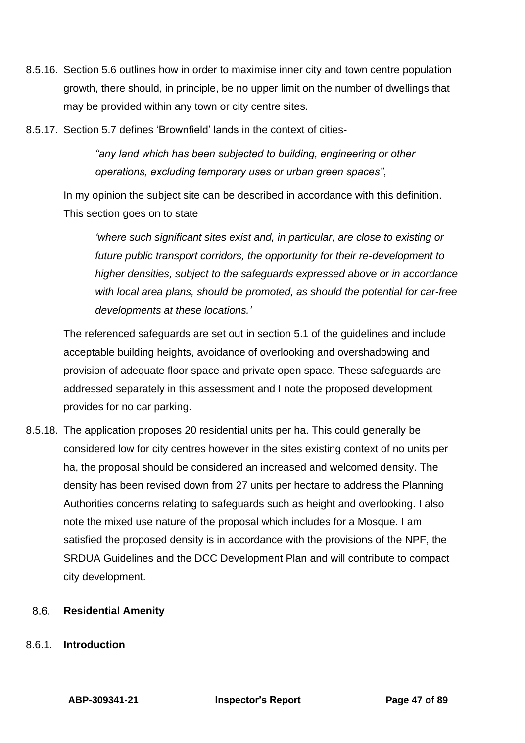- 8.5.16. Section 5.6 outlines how in order to maximise inner city and town centre population growth, there should, in principle, be no upper limit on the number of dwellings that may be provided within any town or city centre sites.
- 8.5.17. Section 5.7 defines 'Brownfield' lands in the context of cities-

*"any land which has been subjected to building, engineering or other operations, excluding temporary uses or urban green spaces"*,

In my opinion the subject site can be described in accordance with this definition. This section goes on to state

*'where such significant sites exist and, in particular, are close to existing or future public transport corridors, the opportunity for their re-development to higher densities, subject to the safeguards expressed above or in accordance with local area plans, should be promoted, as should the potential for car-free developments at these locations.'*

The referenced safeguards are set out in section 5.1 of the guidelines and include acceptable building heights, avoidance of overlooking and overshadowing and provision of adequate floor space and private open space. These safeguards are addressed separately in this assessment and I note the proposed development provides for no car parking.

8.5.18. The application proposes 20 residential units per ha. This could generally be considered low for city centres however in the sites existing context of no units per ha, the proposal should be considered an increased and welcomed density. The density has been revised down from 27 units per hectare to address the Planning Authorities concerns relating to safeguards such as height and overlooking. I also note the mixed use nature of the proposal which includes for a Mosque. I am satisfied the proposed density is in accordance with the provisions of the NPF, the SRDUA Guidelines and the DCC Development Plan and will contribute to compact city development.

#### $8.6.$ **Residential Amenity**

8.6.1. **Introduction**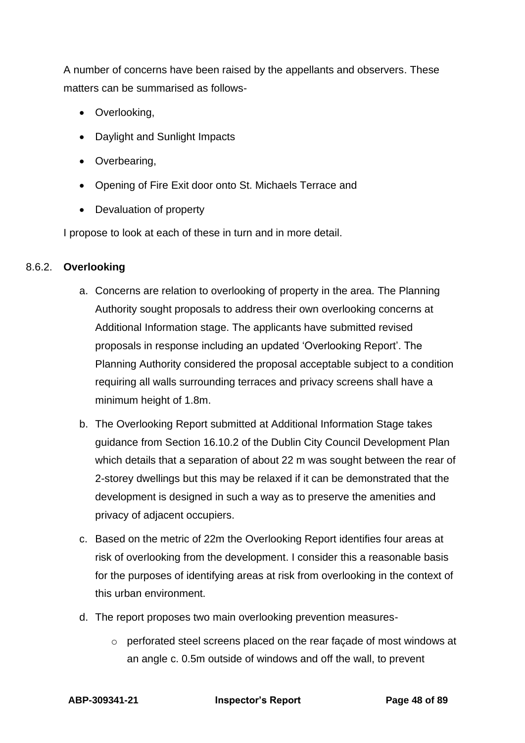A number of concerns have been raised by the appellants and observers. These matters can be summarised as follows-

- Overlooking,
- Daylight and Sunlight Impacts
- Overbearing,
- Opening of Fire Exit door onto St. Michaels Terrace and
- Devaluation of property

I propose to look at each of these in turn and in more detail.

### 8.6.2. **Overlooking**

- a. Concerns are relation to overlooking of property in the area. The Planning Authority sought proposals to address their own overlooking concerns at Additional Information stage. The applicants have submitted revised proposals in response including an updated 'Overlooking Report'. The Planning Authority considered the proposal acceptable subject to a condition requiring all walls surrounding terraces and privacy screens shall have a minimum height of 1.8m.
- b. The Overlooking Report submitted at Additional Information Stage takes guidance from Section 16.10.2 of the Dublin City Council Development Plan which details that a separation of about 22 m was sought between the rear of 2-storey dwellings but this may be relaxed if it can be demonstrated that the development is designed in such a way as to preserve the amenities and privacy of adjacent occupiers.
- c. Based on the metric of 22m the Overlooking Report identifies four areas at risk of overlooking from the development. I consider this a reasonable basis for the purposes of identifying areas at risk from overlooking in the context of this urban environment.
- d. The report proposes two main overlooking prevention measures
	- o perforated steel screens placed on the rear façade of most windows at an angle c. 0.5m outside of windows and off the wall, to prevent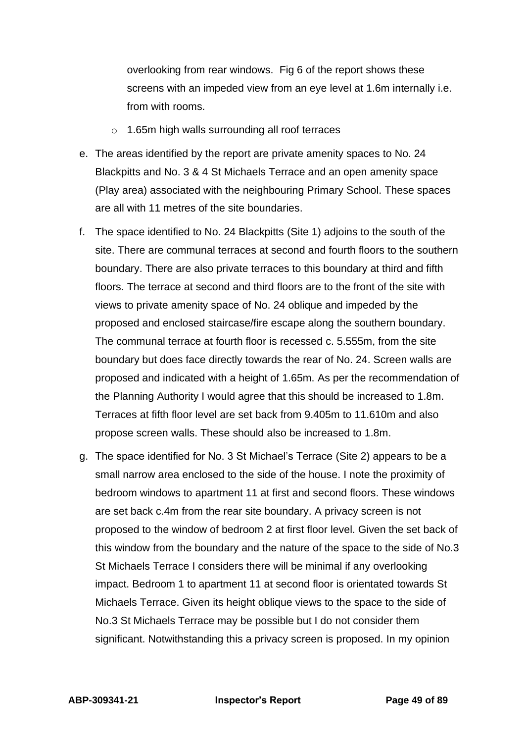overlooking from rear windows. Fig 6 of the report shows these screens with an impeded view from an eye level at 1.6m internally i.e. from with rooms.

- o 1.65m high walls surrounding all roof terraces
- e. The areas identified by the report are private amenity spaces to No. 24 Blackpitts and No. 3 & 4 St Michaels Terrace and an open amenity space (Play area) associated with the neighbouring Primary School. These spaces are all with 11 metres of the site boundaries.
- f. The space identified to No. 24 Blackpitts (Site 1) adjoins to the south of the site. There are communal terraces at second and fourth floors to the southern boundary. There are also private terraces to this boundary at third and fifth floors. The terrace at second and third floors are to the front of the site with views to private amenity space of No. 24 oblique and impeded by the proposed and enclosed staircase/fire escape along the southern boundary. The communal terrace at fourth floor is recessed c. 5.555m, from the site boundary but does face directly towards the rear of No. 24. Screen walls are proposed and indicated with a height of 1.65m. As per the recommendation of the Planning Authority I would agree that this should be increased to 1.8m. Terraces at fifth floor level are set back from 9.405m to 11.610m and also propose screen walls. These should also be increased to 1.8m.
- g. The space identified for No. 3 St Michael's Terrace (Site 2) appears to be a small narrow area enclosed to the side of the house. I note the proximity of bedroom windows to apartment 11 at first and second floors. These windows are set back c.4m from the rear site boundary. A privacy screen is not proposed to the window of bedroom 2 at first floor level. Given the set back of this window from the boundary and the nature of the space to the side of No.3 St Michaels Terrace I considers there will be minimal if any overlooking impact. Bedroom 1 to apartment 11 at second floor is orientated towards St Michaels Terrace. Given its height oblique views to the space to the side of No.3 St Michaels Terrace may be possible but I do not consider them significant. Notwithstanding this a privacy screen is proposed. In my opinion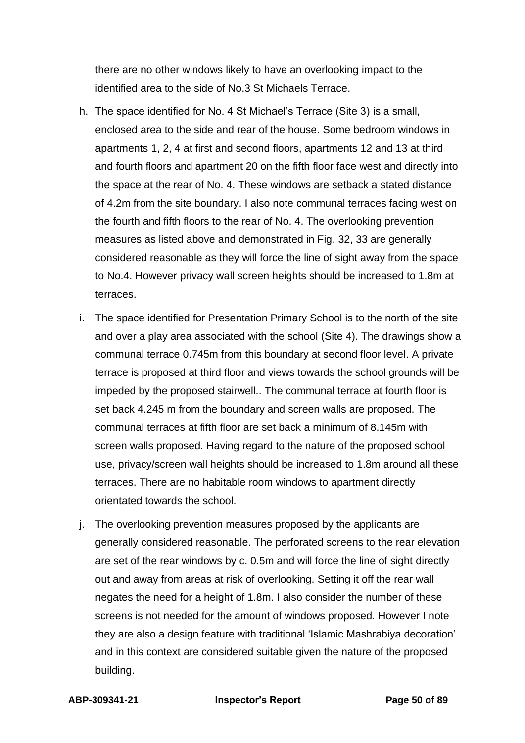there are no other windows likely to have an overlooking impact to the identified area to the side of No.3 St Michaels Terrace.

- h. The space identified for No. 4 St Michael's Terrace (Site 3) is a small, enclosed area to the side and rear of the house. Some bedroom windows in apartments 1, 2, 4 at first and second floors, apartments 12 and 13 at third and fourth floors and apartment 20 on the fifth floor face west and directly into the space at the rear of No. 4. These windows are setback a stated distance of 4.2m from the site boundary. I also note communal terraces facing west on the fourth and fifth floors to the rear of No. 4. The overlooking prevention measures as listed above and demonstrated in Fig. 32, 33 are generally considered reasonable as they will force the line of sight away from the space to No.4. However privacy wall screen heights should be increased to 1.8m at terraces.
- i. The space identified for Presentation Primary School is to the north of the site and over a play area associated with the school (Site 4). The drawings show a communal terrace 0.745m from this boundary at second floor level. A private terrace is proposed at third floor and views towards the school grounds will be impeded by the proposed stairwell.. The communal terrace at fourth floor is set back 4.245 m from the boundary and screen walls are proposed. The communal terraces at fifth floor are set back a minimum of 8.145m with screen walls proposed. Having regard to the nature of the proposed school use, privacy/screen wall heights should be increased to 1.8m around all these terraces. There are no habitable room windows to apartment directly orientated towards the school.
- j. The overlooking prevention measures proposed by the applicants are generally considered reasonable. The perforated screens to the rear elevation are set of the rear windows by c. 0.5m and will force the line of sight directly out and away from areas at risk of overlooking. Setting it off the rear wall negates the need for a height of 1.8m. I also consider the number of these screens is not needed for the amount of windows proposed. However I note they are also a design feature with traditional 'Islamic Mashrabiya decoration' and in this context are considered suitable given the nature of the proposed building.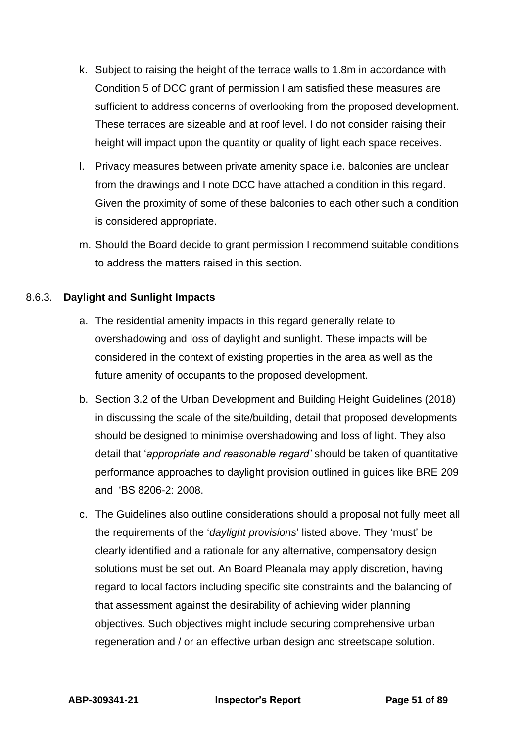- k. Subject to raising the height of the terrace walls to 1.8m in accordance with Condition 5 of DCC grant of permission I am satisfied these measures are sufficient to address concerns of overlooking from the proposed development. These terraces are sizeable and at roof level. I do not consider raising their height will impact upon the quantity or quality of light each space receives.
- l. Privacy measures between private amenity space i.e. balconies are unclear from the drawings and I note DCC have attached a condition in this regard. Given the proximity of some of these balconies to each other such a condition is considered appropriate.
- m. Should the Board decide to grant permission I recommend suitable conditions to address the matters raised in this section.

## 8.6.3. **Daylight and Sunlight Impacts**

- a. The residential amenity impacts in this regard generally relate to overshadowing and loss of daylight and sunlight. These impacts will be considered in the context of existing properties in the area as well as the future amenity of occupants to the proposed development.
- b. Section 3.2 of the Urban Development and Building Height Guidelines (2018) in discussing the scale of the site/building, detail that proposed developments should be designed to minimise overshadowing and loss of light. They also detail that '*appropriate and reasonable regard'* should be taken of quantitative performance approaches to daylight provision outlined in guides like BRE 209 and 'BS 8206-2: 2008.
- c. The Guidelines also outline considerations should a proposal not fully meet all the requirements of the '*daylight provisions*' listed above. They 'must' be clearly identified and a rationale for any alternative, compensatory design solutions must be set out. An Board Pleanala may apply discretion, having regard to local factors including specific site constraints and the balancing of that assessment against the desirability of achieving wider planning objectives. Such objectives might include securing comprehensive urban regeneration and / or an effective urban design and streetscape solution.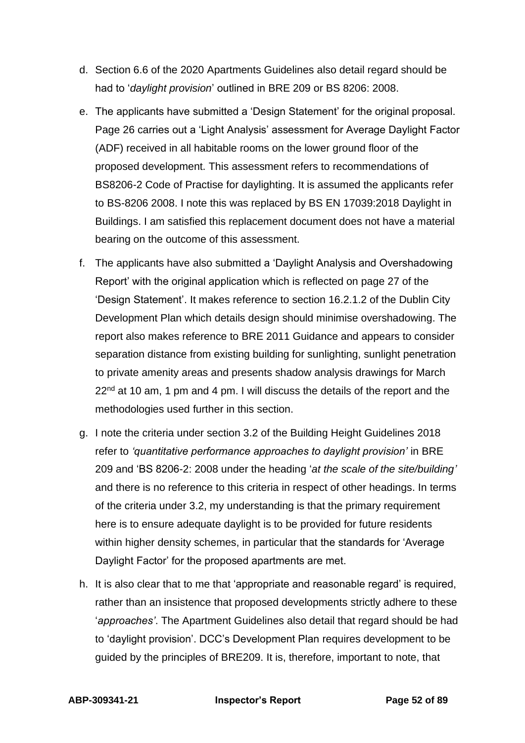- d. Section 6.6 of the 2020 Apartments Guidelines also detail regard should be had to '*daylight provision*' outlined in BRE 209 or BS 8206: 2008.
- e. The applicants have submitted a 'Design Statement' for the original proposal. Page 26 carries out a 'Light Analysis' assessment for Average Daylight Factor (ADF) received in all habitable rooms on the lower ground floor of the proposed development. This assessment refers to recommendations of BS8206-2 Code of Practise for daylighting. It is assumed the applicants refer to BS-8206 2008. I note this was replaced by BS EN 17039:2018 Daylight in Buildings. I am satisfied this replacement document does not have a material bearing on the outcome of this assessment.
- f. The applicants have also submitted a 'Daylight Analysis and Overshadowing Report' with the original application which is reflected on page 27 of the 'Design Statement'. It makes reference to section 16.2.1.2 of the Dublin City Development Plan which details design should minimise overshadowing. The report also makes reference to BRE 2011 Guidance and appears to consider separation distance from existing building for sunlighting, sunlight penetration to private amenity areas and presents shadow analysis drawings for March 22<sup>nd</sup> at 10 am, 1 pm and 4 pm. I will discuss the details of the report and the methodologies used further in this section.
- g. I note the criteria under section 3.2 of the Building Height Guidelines 2018 refer to *'quantitative performance approaches to daylight provision'* in BRE 209 and 'BS 8206-2: 2008 under the heading '*at the scale of the site/building'* and there is no reference to this criteria in respect of other headings. In terms of the criteria under 3.2, my understanding is that the primary requirement here is to ensure adequate daylight is to be provided for future residents within higher density schemes, in particular that the standards for 'Average Daylight Factor' for the proposed apartments are met.
- h. It is also clear that to me that 'appropriate and reasonable regard' is required, rather than an insistence that proposed developments strictly adhere to these '*approaches'*. The Apartment Guidelines also detail that regard should be had to 'daylight provision'. DCC's Development Plan requires development to be guided by the principles of BRE209. It is, therefore, important to note, that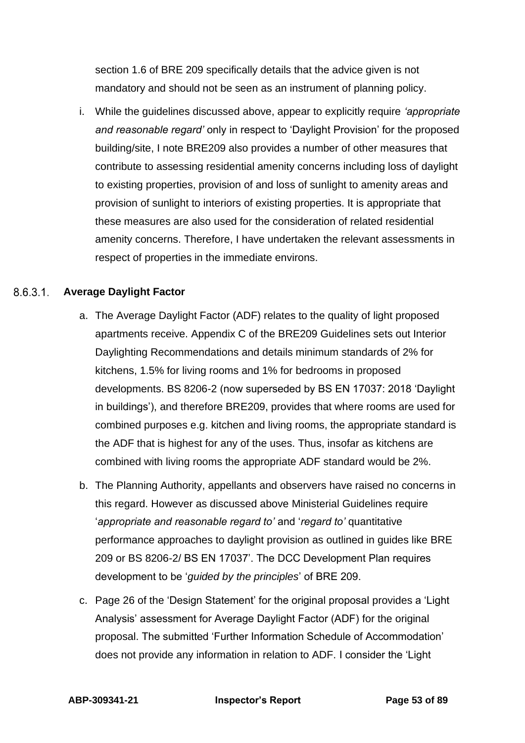section 1.6 of BRE 209 specifically details that the advice given is not mandatory and should not be seen as an instrument of planning policy.

i. While the guidelines discussed above, appear to explicitly require *'appropriate and reasonable regard'* only in respect to 'Daylight Provision' for the proposed building/site, I note BRE209 also provides a number of other measures that contribute to assessing residential amenity concerns including loss of daylight to existing properties, provision of and loss of sunlight to amenity areas and provision of sunlight to interiors of existing properties. It is appropriate that these measures are also used for the consideration of related residential amenity concerns. Therefore, I have undertaken the relevant assessments in respect of properties in the immediate environs.

# **Average Daylight Factor**

- a. The Average Daylight Factor (ADF) relates to the quality of light proposed apartments receive. Appendix C of the BRE209 Guidelines sets out Interior Daylighting Recommendations and details minimum standards of 2% for kitchens, 1.5% for living rooms and 1% for bedrooms in proposed developments. BS 8206-2 (now superseded by BS EN 17037: 2018 'Daylight in buildings'), and therefore BRE209, provides that where rooms are used for combined purposes e.g. kitchen and living rooms, the appropriate standard is the ADF that is highest for any of the uses. Thus, insofar as kitchens are combined with living rooms the appropriate ADF standard would be 2%.
- b. The Planning Authority, appellants and observers have raised no concerns in this regard. However as discussed above Ministerial Guidelines require '*appropriate and reasonable regard to'* and '*regard to'* quantitative performance approaches to daylight provision as outlined in guides like BRE 209 or BS 8206-2/ BS EN 17037'. The DCC Development Plan requires development to be '*guided by the principles*' of BRE 209.
- c. Page 26 of the 'Design Statement' for the original proposal provides a 'Light Analysis' assessment for Average Daylight Factor (ADF) for the original proposal. The submitted 'Further Information Schedule of Accommodation' does not provide any information in relation to ADF. I consider the 'Light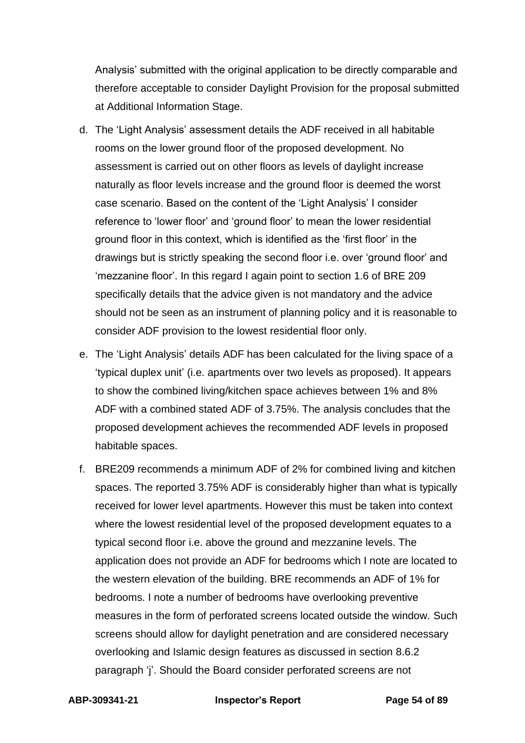Analysis' submitted with the original application to be directly comparable and therefore acceptable to consider Daylight Provision for the proposal submitted at Additional Information Stage.

- d. The 'Light Analysis' assessment details the ADF received in all habitable rooms on the lower ground floor of the proposed development. No assessment is carried out on other floors as levels of daylight increase naturally as floor levels increase and the ground floor is deemed the worst case scenario. Based on the content of the 'Light Analysis' I consider reference to 'lower floor' and 'ground floor' to mean the lower residential ground floor in this context, which is identified as the 'first floor' in the drawings but is strictly speaking the second floor i.e. over 'ground floor' and 'mezzanine floor'. In this regard I again point to section 1.6 of BRE 209 specifically details that the advice given is not mandatory and the advice should not be seen as an instrument of planning policy and it is reasonable to consider ADF provision to the lowest residential floor only.
- e. The 'Light Analysis' details ADF has been calculated for the living space of a 'typical duplex unit' (i.e. apartments over two levels as proposed). It appears to show the combined living/kitchen space achieves between 1% and 8% ADF with a combined stated ADF of 3.75%. The analysis concludes that the proposed development achieves the recommended ADF levels in proposed habitable spaces.
- f. BRE209 recommends a minimum ADF of 2% for combined living and kitchen spaces. The reported 3.75% ADF is considerably higher than what is typically received for lower level apartments. However this must be taken into context where the lowest residential level of the proposed development equates to a typical second floor i.e. above the ground and mezzanine levels. The application does not provide an ADF for bedrooms which I note are located to the western elevation of the building. BRE recommends an ADF of 1% for bedrooms. I note a number of bedrooms have overlooking preventive measures in the form of perforated screens located outside the window. Such screens should allow for daylight penetration and are considered necessary overlooking and Islamic design features as discussed in section 8.6.2 paragraph 'j'. Should the Board consider perforated screens are not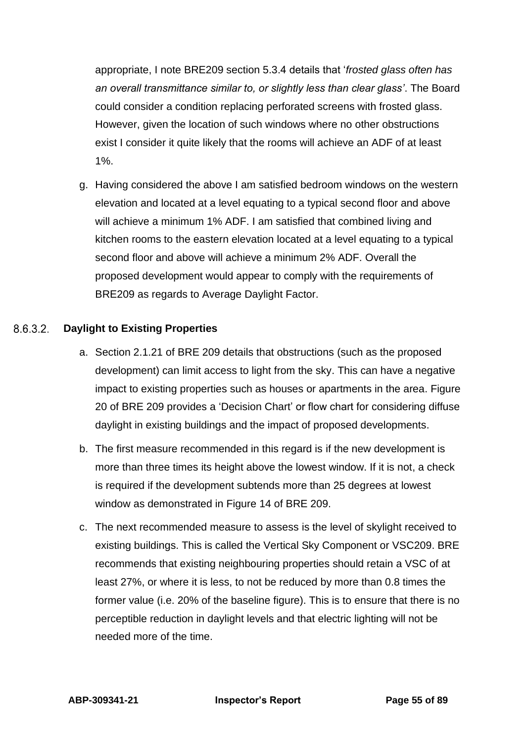appropriate, I note BRE209 section 5.3.4 details that '*frosted glass often has an overall transmittance similar to, or slightly less than clear glass'*. The Board could consider a condition replacing perforated screens with frosted glass. However, given the location of such windows where no other obstructions exist I consider it quite likely that the rooms will achieve an ADF of at least  $1\%$ .

g. Having considered the above I am satisfied bedroom windows on the western elevation and located at a level equating to a typical second floor and above will achieve a minimum 1% ADF. I am satisfied that combined living and kitchen rooms to the eastern elevation located at a level equating to a typical second floor and above will achieve a minimum 2% ADF. Overall the proposed development would appear to comply with the requirements of BRE209 as regards to Average Daylight Factor.

#### 8.6.3.2 **Daylight to Existing Properties**

- a. Section 2.1.21 of BRE 209 details that obstructions (such as the proposed development) can limit access to light from the sky. This can have a negative impact to existing properties such as houses or apartments in the area. Figure 20 of BRE 209 provides a 'Decision Chart' or flow chart for considering diffuse daylight in existing buildings and the impact of proposed developments.
- b. The first measure recommended in this regard is if the new development is more than three times its height above the lowest window. If it is not, a check is required if the development subtends more than 25 degrees at lowest window as demonstrated in Figure 14 of BRE 209.
- c. The next recommended measure to assess is the level of skylight received to existing buildings. This is called the Vertical Sky Component or VSC209. BRE recommends that existing neighbouring properties should retain a VSC of at least 27%, or where it is less, to not be reduced by more than 0.8 times the former value (i.e. 20% of the baseline figure). This is to ensure that there is no perceptible reduction in daylight levels and that electric lighting will not be needed more of the time.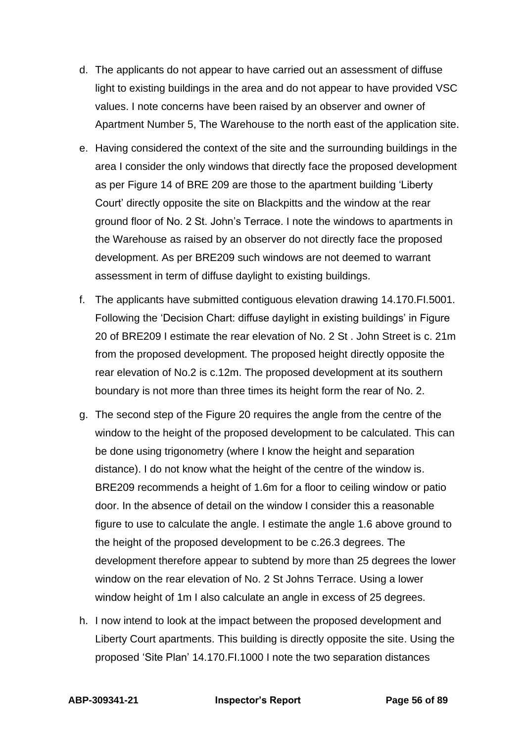- d. The applicants do not appear to have carried out an assessment of diffuse light to existing buildings in the area and do not appear to have provided VSC values. I note concerns have been raised by an observer and owner of Apartment Number 5, The Warehouse to the north east of the application site.
- e. Having considered the context of the site and the surrounding buildings in the area I consider the only windows that directly face the proposed development as per Figure 14 of BRE 209 are those to the apartment building 'Liberty Court' directly opposite the site on Blackpitts and the window at the rear ground floor of No. 2 St. John's Terrace. I note the windows to apartments in the Warehouse as raised by an observer do not directly face the proposed development. As per BRE209 such windows are not deemed to warrant assessment in term of diffuse daylight to existing buildings.
- f. The applicants have submitted contiguous elevation drawing 14.170.FI.5001. Following the 'Decision Chart: diffuse daylight in existing buildings' in Figure 20 of BRE209 I estimate the rear elevation of No. 2 St . John Street is c. 21m from the proposed development. The proposed height directly opposite the rear elevation of No.2 is c.12m. The proposed development at its southern boundary is not more than three times its height form the rear of No. 2.
- g. The second step of the Figure 20 requires the angle from the centre of the window to the height of the proposed development to be calculated. This can be done using trigonometry (where I know the height and separation distance). I do not know what the height of the centre of the window is. BRE209 recommends a height of 1.6m for a floor to ceiling window or patio door. In the absence of detail on the window I consider this a reasonable figure to use to calculate the angle. I estimate the angle 1.6 above ground to the height of the proposed development to be c.26.3 degrees. The development therefore appear to subtend by more than 25 degrees the lower window on the rear elevation of No. 2 St Johns Terrace. Using a lower window height of 1m I also calculate an angle in excess of 25 degrees.
- h. I now intend to look at the impact between the proposed development and Liberty Court apartments. This building is directly opposite the site. Using the proposed 'Site Plan' 14.170.FI.1000 I note the two separation distances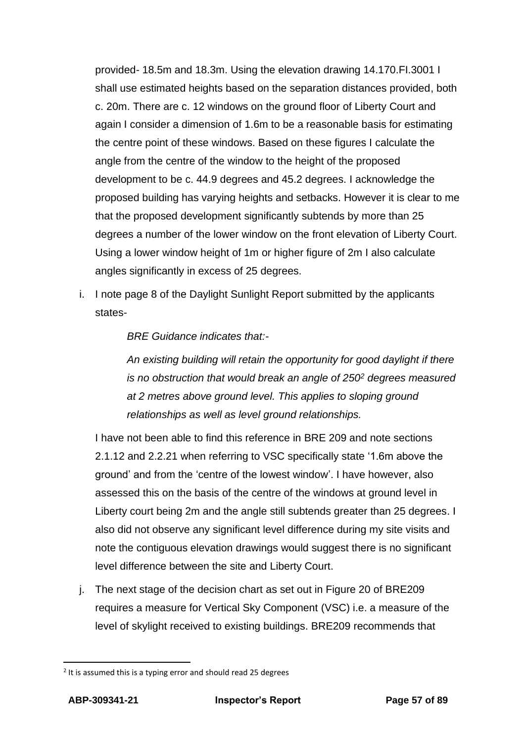provided- 18.5m and 18.3m. Using the elevation drawing 14.170.FI.3001 I shall use estimated heights based on the separation distances provided, both c. 20m. There are c. 12 windows on the ground floor of Liberty Court and again I consider a dimension of 1.6m to be a reasonable basis for estimating the centre point of these windows. Based on these figures I calculate the angle from the centre of the window to the height of the proposed development to be c. 44.9 degrees and 45.2 degrees. I acknowledge the proposed building has varying heights and setbacks. However it is clear to me that the proposed development significantly subtends by more than 25 degrees a number of the lower window on the front elevation of Liberty Court. Using a lower window height of 1m or higher figure of 2m I also calculate angles significantly in excess of 25 degrees.

i. I note page 8 of the Daylight Sunlight Report submitted by the applicants states-

*BRE Guidance indicates that:-*

*An existing building will retain the opportunity for good daylight if there is no obstruction that would break an angle of 250<sup>2</sup> degrees measured at 2 metres above ground level. This applies to sloping ground relationships as well as level ground relationships.*

I have not been able to find this reference in BRE 209 and note sections 2.1.12 and 2.2.21 when referring to VSC specifically state '1.6m above the ground' and from the 'centre of the lowest window'. I have however, also assessed this on the basis of the centre of the windows at ground level in Liberty court being 2m and the angle still subtends greater than 25 degrees. I also did not observe any significant level difference during my site visits and note the contiguous elevation drawings would suggest there is no significant level difference between the site and Liberty Court.

j. The next stage of the decision chart as set out in Figure 20 of BRE209 requires a measure for Vertical Sky Component (VSC) i.e. a measure of the level of skylight received to existing buildings. BRE209 recommends that

 $2$  It is assumed this is a typing error and should read 25 degrees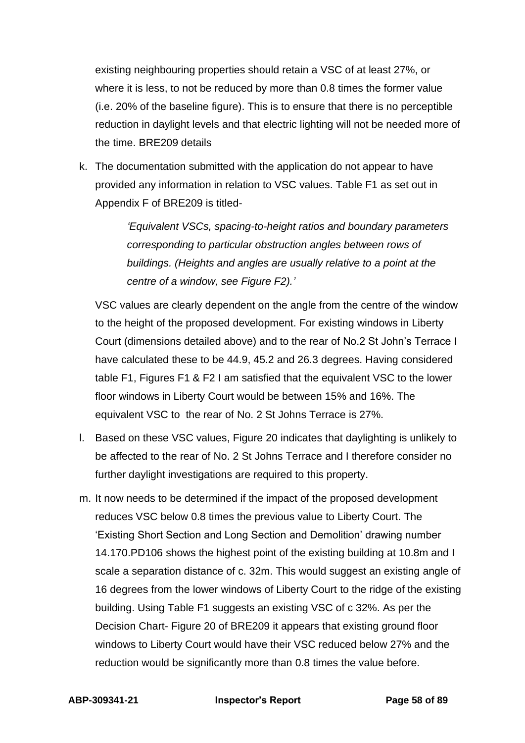existing neighbouring properties should retain a VSC of at least 27%, or where it is less, to not be reduced by more than 0.8 times the former value (i.e. 20% of the baseline figure). This is to ensure that there is no perceptible reduction in daylight levels and that electric lighting will not be needed more of the time. BRE209 details

k. The documentation submitted with the application do not appear to have provided any information in relation to VSC values. Table F1 as set out in Appendix F of BRE209 is titled-

> *'Equivalent VSCs, spacing-to-height ratios and boundary parameters corresponding to particular obstruction angles between rows of buildings. (Heights and angles are usually relative to a point at the centre of a window, see Figure F2).'*

VSC values are clearly dependent on the angle from the centre of the window to the height of the proposed development. For existing windows in Liberty Court (dimensions detailed above) and to the rear of No.2 St John's Terrace I have calculated these to be 44.9, 45.2 and 26.3 degrees. Having considered table F1, Figures F1 & F2 I am satisfied that the equivalent VSC to the lower floor windows in Liberty Court would be between 15% and 16%. The equivalent VSC to the rear of No. 2 St Johns Terrace is 27%.

- l. Based on these VSC values, Figure 20 indicates that daylighting is unlikely to be affected to the rear of No. 2 St Johns Terrace and I therefore consider no further daylight investigations are required to this property.
- m. It now needs to be determined if the impact of the proposed development reduces VSC below 0.8 times the previous value to Liberty Court. The 'Existing Short Section and Long Section and Demolition' drawing number 14.170.PD106 shows the highest point of the existing building at 10.8m and I scale a separation distance of c. 32m. This would suggest an existing angle of 16 degrees from the lower windows of Liberty Court to the ridge of the existing building. Using Table F1 suggests an existing VSC of c 32%. As per the Decision Chart- Figure 20 of BRE209 it appears that existing ground floor windows to Liberty Court would have their VSC reduced below 27% and the reduction would be significantly more than 0.8 times the value before.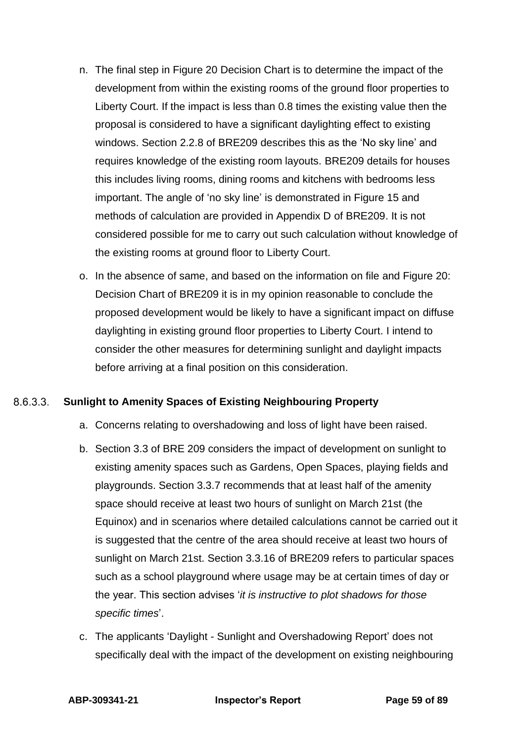- n. The final step in Figure 20 Decision Chart is to determine the impact of the development from within the existing rooms of the ground floor properties to Liberty Court. If the impact is less than 0.8 times the existing value then the proposal is considered to have a significant daylighting effect to existing windows. Section 2.2.8 of BRE209 describes this as the 'No sky line' and requires knowledge of the existing room layouts. BRE209 details for houses this includes living rooms, dining rooms and kitchens with bedrooms less important. The angle of 'no sky line' is demonstrated in Figure 15 and methods of calculation are provided in Appendix D of BRE209. It is not considered possible for me to carry out such calculation without knowledge of the existing rooms at ground floor to Liberty Court.
- o. In the absence of same, and based on the information on file and Figure 20: Decision Chart of BRE209 it is in my opinion reasonable to conclude the proposed development would be likely to have a significant impact on diffuse daylighting in existing ground floor properties to Liberty Court. I intend to consider the other measures for determining sunlight and daylight impacts before arriving at a final position on this consideration.

#### 8.6.3.3. **Sunlight to Amenity Spaces of Existing Neighbouring Property**

- a. Concerns relating to overshadowing and loss of light have been raised.
- b. Section 3.3 of BRE 209 considers the impact of development on sunlight to existing amenity spaces such as Gardens, Open Spaces, playing fields and playgrounds. Section 3.3.7 recommends that at least half of the amenity space should receive at least two hours of sunlight on March 21st (the Equinox) and in scenarios where detailed calculations cannot be carried out it is suggested that the centre of the area should receive at least two hours of sunlight on March 21st. Section 3.3.16 of BRE209 refers to particular spaces such as a school playground where usage may be at certain times of day or the year. This section advises '*it is instructive to plot shadows for those specific times*'.
- c. The applicants 'Daylight Sunlight and Overshadowing Report' does not specifically deal with the impact of the development on existing neighbouring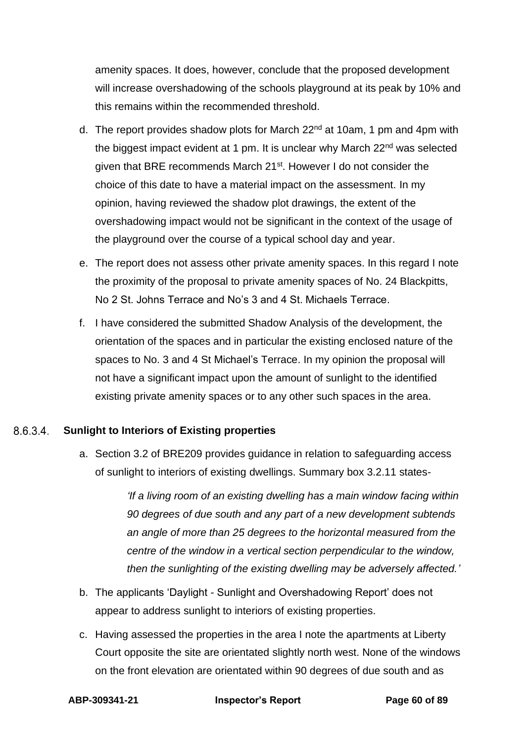amenity spaces. It does, however, conclude that the proposed development will increase overshadowing of the schools playground at its peak by 10% and this remains within the recommended threshold.

- d. The report provides shadow plots for March 22<sup>nd</sup> at 10am, 1 pm and 4pm with the biggest impact evident at 1 pm. It is unclear why March 22<sup>nd</sup> was selected given that BRE recommends March 21st. However I do not consider the choice of this date to have a material impact on the assessment. In my opinion, having reviewed the shadow plot drawings, the extent of the overshadowing impact would not be significant in the context of the usage of the playground over the course of a typical school day and year.
- e. The report does not assess other private amenity spaces. In this regard I note the proximity of the proposal to private amenity spaces of No. 24 Blackpitts, No 2 St. Johns Terrace and No's 3 and 4 St. Michaels Terrace.
- f. I have considered the submitted Shadow Analysis of the development, the orientation of the spaces and in particular the existing enclosed nature of the spaces to No. 3 and 4 St Michael's Terrace. In my opinion the proposal will not have a significant impact upon the amount of sunlight to the identified existing private amenity spaces or to any other such spaces in the area.

#### 8.6.3.4 **Sunlight to Interiors of Existing properties**

a. Section 3.2 of BRE209 provides guidance in relation to safeguarding access of sunlight to interiors of existing dwellings. Summary box 3.2.11 states-

> *'If a living room of an existing dwelling has a main window facing within 90 degrees of due south and any part of a new development subtends an angle of more than 25 degrees to the horizontal measured from the centre of the window in a vertical section perpendicular to the window, then the sunlighting of the existing dwelling may be adversely affected.'*

- b. The applicants 'Daylight Sunlight and Overshadowing Report' does not appear to address sunlight to interiors of existing properties.
- c. Having assessed the properties in the area I note the apartments at Liberty Court opposite the site are orientated slightly north west. None of the windows on the front elevation are orientated within 90 degrees of due south and as

**ABP-309341-21 Inspector's Report Page 60 of 89**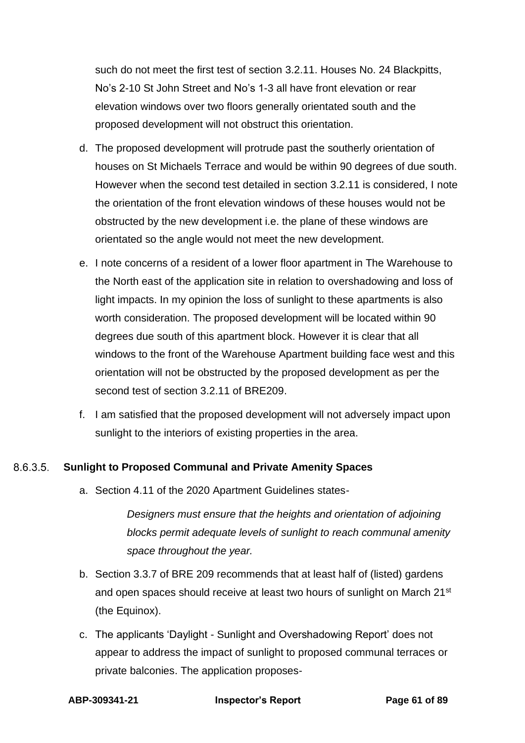such do not meet the first test of section 3.2.11. Houses No. 24 Blackpitts, No's 2-10 St John Street and No's 1-3 all have front elevation or rear elevation windows over two floors generally orientated south and the proposed development will not obstruct this orientation.

- d. The proposed development will protrude past the southerly orientation of houses on St Michaels Terrace and would be within 90 degrees of due south. However when the second test detailed in section 3.2.11 is considered, I note the orientation of the front elevation windows of these houses would not be obstructed by the new development i.e. the plane of these windows are orientated so the angle would not meet the new development.
- e. I note concerns of a resident of a lower floor apartment in The Warehouse to the North east of the application site in relation to overshadowing and loss of light impacts. In my opinion the loss of sunlight to these apartments is also worth consideration. The proposed development will be located within 90 degrees due south of this apartment block. However it is clear that all windows to the front of the Warehouse Apartment building face west and this orientation will not be obstructed by the proposed development as per the second test of section 3.2.11 of BRE209.
- f. I am satisfied that the proposed development will not adversely impact upon sunlight to the interiors of existing properties in the area.

### 8.6.3.5 **Sunlight to Proposed Communal and Private Amenity Spaces**

a. Section 4.11 of the 2020 Apartment Guidelines states-

*Designers must ensure that the heights and orientation of adjoining blocks permit adequate levels of sunlight to reach communal amenity space throughout the year.*

- b. Section 3.3.7 of BRE 209 recommends that at least half of (listed) gardens and open spaces should receive at least two hours of sunlight on March 21<sup>st</sup> (the Equinox).
- c. The applicants 'Daylight Sunlight and Overshadowing Report' does not appear to address the impact of sunlight to proposed communal terraces or private balconies. The application proposes-

**ABP-309341-21 Inspector's Report Page 61 of 89**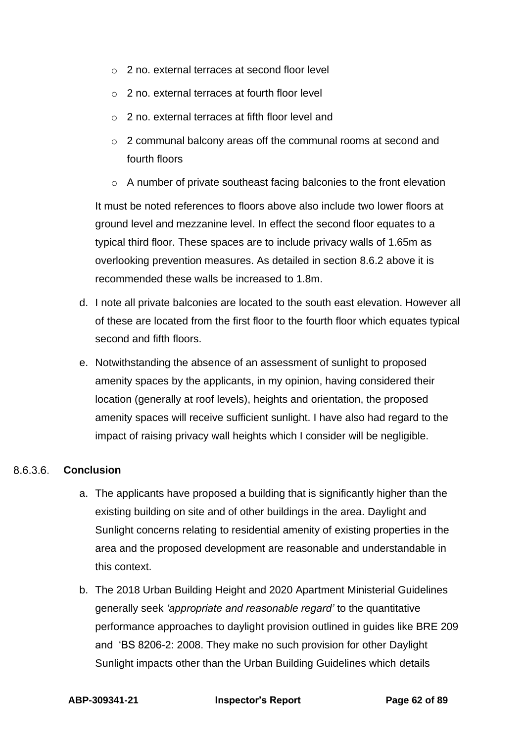- o 2 no. external terraces at second floor level
- o 2 no. external terraces at fourth floor level
- o 2 no. external terraces at fifth floor level and
- o 2 communal balcony areas off the communal rooms at second and fourth floors
- o A number of private southeast facing balconies to the front elevation

It must be noted references to floors above also include two lower floors at ground level and mezzanine level. In effect the second floor equates to a typical third floor. These spaces are to include privacy walls of 1.65m as overlooking prevention measures. As detailed in section 8.6.2 above it is recommended these walls be increased to 1.8m.

- d. I note all private balconies are located to the south east elevation. However all of these are located from the first floor to the fourth floor which equates typical second and fifth floors.
- e. Notwithstanding the absence of an assessment of sunlight to proposed amenity spaces by the applicants, in my opinion, having considered their location (generally at roof levels), heights and orientation, the proposed amenity spaces will receive sufficient sunlight. I have also had regard to the impact of raising privacy wall heights which I consider will be negligible.

#### 8636 **Conclusion**

- a. The applicants have proposed a building that is significantly higher than the existing building on site and of other buildings in the area. Daylight and Sunlight concerns relating to residential amenity of existing properties in the area and the proposed development are reasonable and understandable in this context.
- b. The 2018 Urban Building Height and 2020 Apartment Ministerial Guidelines generally seek *'appropriate and reasonable regard'* to the quantitative performance approaches to daylight provision outlined in guides like BRE 209 and 'BS 8206-2: 2008. They make no such provision for other Daylight Sunlight impacts other than the Urban Building Guidelines which details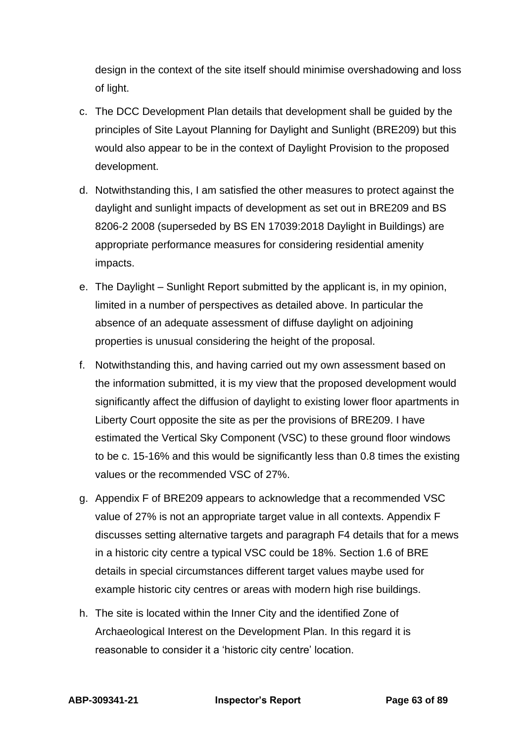design in the context of the site itself should minimise overshadowing and loss of light.

- c. The DCC Development Plan details that development shall be guided by the principles of Site Layout Planning for Daylight and Sunlight (BRE209) but this would also appear to be in the context of Daylight Provision to the proposed development.
- d. Notwithstanding this, I am satisfied the other measures to protect against the daylight and sunlight impacts of development as set out in BRE209 and BS 8206-2 2008 (superseded by BS EN 17039:2018 Daylight in Buildings) are appropriate performance measures for considering residential amenity impacts.
- e. The Daylight Sunlight Report submitted by the applicant is, in my opinion, limited in a number of perspectives as detailed above. In particular the absence of an adequate assessment of diffuse daylight on adjoining properties is unusual considering the height of the proposal.
- f. Notwithstanding this, and having carried out my own assessment based on the information submitted, it is my view that the proposed development would significantly affect the diffusion of daylight to existing lower floor apartments in Liberty Court opposite the site as per the provisions of BRE209. I have estimated the Vertical Sky Component (VSC) to these ground floor windows to be c. 15-16% and this would be significantly less than 0.8 times the existing values or the recommended VSC of 27%.
- g. Appendix F of BRE209 appears to acknowledge that a recommended VSC value of 27% is not an appropriate target value in all contexts. Appendix F discusses setting alternative targets and paragraph F4 details that for a mews in a historic city centre a typical VSC could be 18%. Section 1.6 of BRE details in special circumstances different target values maybe used for example historic city centres or areas with modern high rise buildings.
- h. The site is located within the Inner City and the identified Zone of Archaeological Interest on the Development Plan. In this regard it is reasonable to consider it a 'historic city centre' location.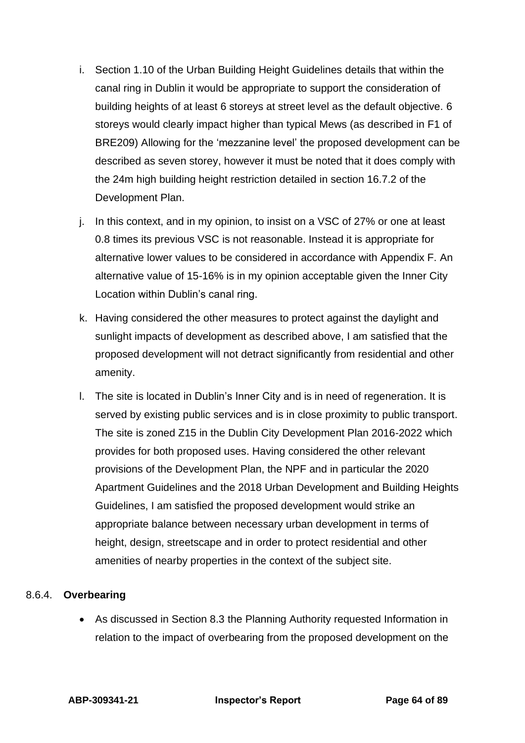- i. Section 1.10 of the Urban Building Height Guidelines details that within the canal ring in Dublin it would be appropriate to support the consideration of building heights of at least 6 storeys at street level as the default objective. 6 storeys would clearly impact higher than typical Mews (as described in F1 of BRE209) Allowing for the 'mezzanine level' the proposed development can be described as seven storey, however it must be noted that it does comply with the 24m high building height restriction detailed in section 16.7.2 of the Development Plan.
- j. In this context, and in my opinion, to insist on a VSC of 27% or one at least 0.8 times its previous VSC is not reasonable. Instead it is appropriate for alternative lower values to be considered in accordance with Appendix F. An alternative value of 15-16% is in my opinion acceptable given the Inner City Location within Dublin's canal ring.
- k. Having considered the other measures to protect against the daylight and sunlight impacts of development as described above, I am satisfied that the proposed development will not detract significantly from residential and other amenity.
- l. The site is located in Dublin's Inner City and is in need of regeneration. It is served by existing public services and is in close proximity to public transport. The site is zoned Z15 in the Dublin City Development Plan 2016-2022 which provides for both proposed uses. Having considered the other relevant provisions of the Development Plan, the NPF and in particular the 2020 Apartment Guidelines and the 2018 Urban Development and Building Heights Guidelines, I am satisfied the proposed development would strike an appropriate balance between necessary urban development in terms of height, design, streetscape and in order to protect residential and other amenities of nearby properties in the context of the subject site.

# 8.6.4. **Overbearing**

• As discussed in Section 8.3 the Planning Authority requested Information in relation to the impact of overbearing from the proposed development on the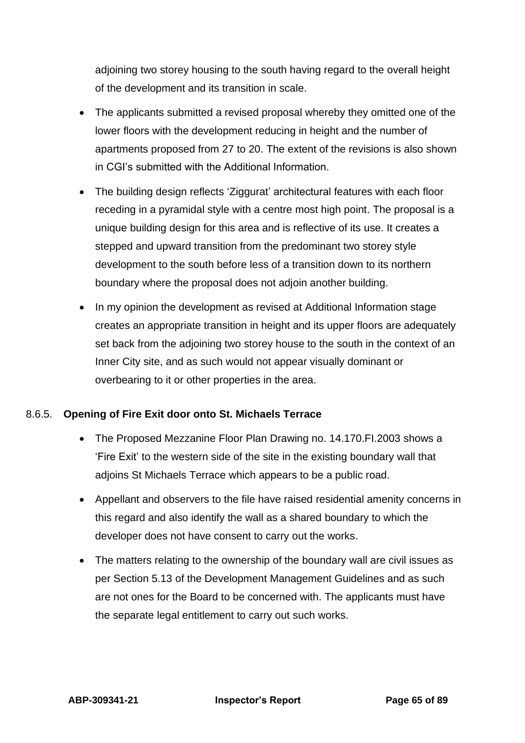adjoining two storey housing to the south having regard to the overall height of the development and its transition in scale.

- The applicants submitted a revised proposal whereby they omitted one of the lower floors with the development reducing in height and the number of apartments proposed from 27 to 20. The extent of the revisions is also shown in CGI's submitted with the Additional Information.
- The building design reflects 'Ziggurat' architectural features with each floor receding in a pyramidal style with a centre most high point. The proposal is a unique building design for this area and is reflective of its use. It creates a stepped and upward transition from the predominant two storey style development to the south before less of a transition down to its northern boundary where the proposal does not adjoin another building.
- In my opinion the development as revised at Additional Information stage creates an appropriate transition in height and its upper floors are adequately set back from the adjoining two storey house to the south in the context of an Inner City site, and as such would not appear visually dominant or overbearing to it or other properties in the area.

# 8.6.5. **Opening of Fire Exit door onto St. Michaels Terrace**

- The Proposed Mezzanine Floor Plan Drawing no. 14.170.FI.2003 shows a 'Fire Exit' to the western side of the site in the existing boundary wall that adjoins St Michaels Terrace which appears to be a public road.
- Appellant and observers to the file have raised residential amenity concerns in this regard and also identify the wall as a shared boundary to which the developer does not have consent to carry out the works.
- The matters relating to the ownership of the boundary wall are civil issues as per Section 5.13 of the Development Management Guidelines and as such are not ones for the Board to be concerned with. The applicants must have the separate legal entitlement to carry out such works.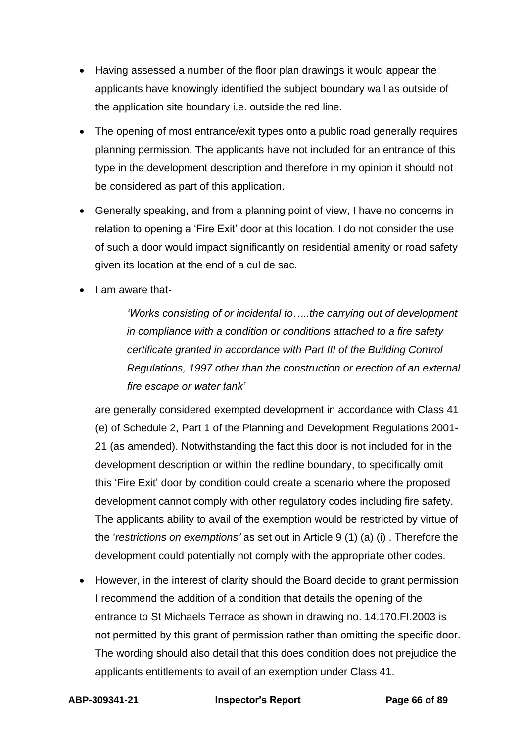- Having assessed a number of the floor plan drawings it would appear the applicants have knowingly identified the subject boundary wall as outside of the application site boundary i.e. outside the red line.
- The opening of most entrance/exit types onto a public road generally requires planning permission. The applicants have not included for an entrance of this type in the development description and therefore in my opinion it should not be considered as part of this application.
- Generally speaking, and from a planning point of view, I have no concerns in relation to opening a 'Fire Exit' door at this location. I do not consider the use of such a door would impact significantly on residential amenity or road safety given its location at the end of a cul de sac.
- I am aware that-

*'Works consisting of or incidental to…..the carrying out of development in compliance with a condition or conditions attached to a fire safety certificate granted in accordance with Part III of the Building Control Regulations, 1997 other than the construction or erection of an external fire escape or water tank'*

are generally considered exempted development in accordance with Class 41 (e) of Schedule 2, Part 1 of the Planning and Development Regulations 2001- 21 (as amended). Notwithstanding the fact this door is not included for in the development description or within the redline boundary, to specifically omit this 'Fire Exit' door by condition could create a scenario where the proposed development cannot comply with other regulatory codes including fire safety. The applicants ability to avail of the exemption would be restricted by virtue of the '*restrictions on exemptions'* as set out in Article 9 (1) (a) (i) . Therefore the development could potentially not comply with the appropriate other codes.

• However, in the interest of clarity should the Board decide to grant permission I recommend the addition of a condition that details the opening of the entrance to St Michaels Terrace as shown in drawing no. 14.170.FI.2003 is not permitted by this grant of permission rather than omitting the specific door. The wording should also detail that this does condition does not prejudice the applicants entitlements to avail of an exemption under Class 41.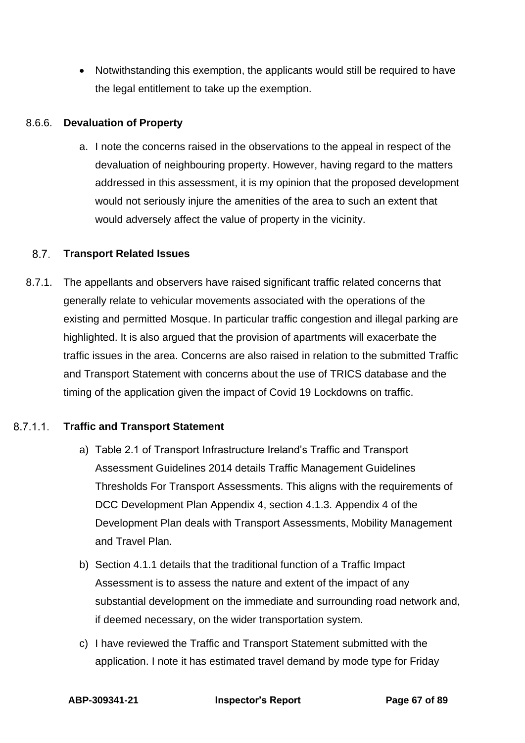• Notwithstanding this exemption, the applicants would still be required to have the legal entitlement to take up the exemption.

## 8.6.6. **Devaluation of Property**

a. I note the concerns raised in the observations to the appeal in respect of the devaluation of neighbouring property. However, having regard to the matters addressed in this assessment, it is my opinion that the proposed development would not seriously injure the amenities of the area to such an extent that would adversely affect the value of property in the vicinity.

### $8.7$ **Transport Related Issues**

8.7.1. The appellants and observers have raised significant traffic related concerns that generally relate to vehicular movements associated with the operations of the existing and permitted Mosque. In particular traffic congestion and illegal parking are highlighted. It is also argued that the provision of apartments will exacerbate the traffic issues in the area. Concerns are also raised in relation to the submitted Traffic and Transport Statement with concerns about the use of TRICS database and the timing of the application given the impact of Covid 19 Lockdowns on traffic.

### 8.7.1.1 **Traffic and Transport Statement**

- a) Table 2.1 of Transport Infrastructure Ireland's Traffic and Transport Assessment Guidelines 2014 details Traffic Management Guidelines Thresholds For Transport Assessments. This aligns with the requirements of DCC Development Plan Appendix 4, section 4.1.3. Appendix 4 of the Development Plan deals with Transport Assessments, Mobility Management and Travel Plan.
- b) Section 4.1.1 details that the traditional function of a Traffic Impact Assessment is to assess the nature and extent of the impact of any substantial development on the immediate and surrounding road network and, if deemed necessary, on the wider transportation system.
- c) I have reviewed the Traffic and Transport Statement submitted with the application. I note it has estimated travel demand by mode type for Friday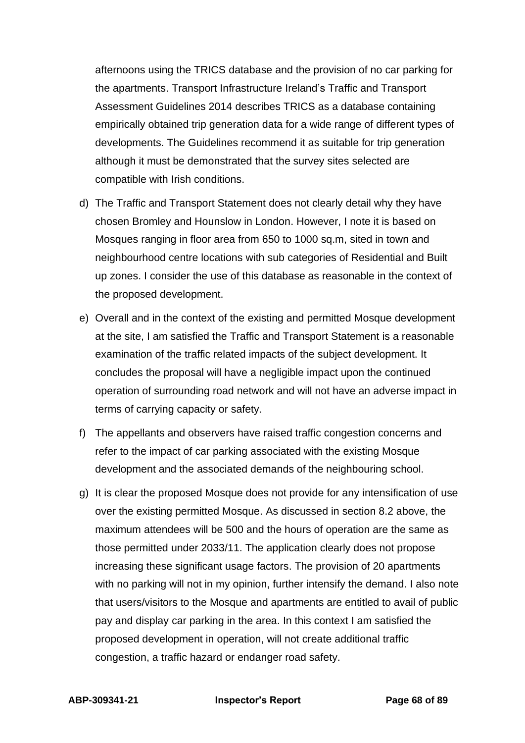afternoons using the TRICS database and the provision of no car parking for the apartments. Transport Infrastructure Ireland's Traffic and Transport Assessment Guidelines 2014 describes TRICS as a database containing empirically obtained trip generation data for a wide range of different types of developments. The Guidelines recommend it as suitable for trip generation although it must be demonstrated that the survey sites selected are compatible with Irish conditions.

- d) The Traffic and Transport Statement does not clearly detail why they have chosen Bromley and Hounslow in London. However, I note it is based on Mosques ranging in floor area from 650 to 1000 sq.m, sited in town and neighbourhood centre locations with sub categories of Residential and Built up zones. I consider the use of this database as reasonable in the context of the proposed development.
- e) Overall and in the context of the existing and permitted Mosque development at the site, I am satisfied the Traffic and Transport Statement is a reasonable examination of the traffic related impacts of the subject development. It concludes the proposal will have a negligible impact upon the continued operation of surrounding road network and will not have an adverse impact in terms of carrying capacity or safety.
- f) The appellants and observers have raised traffic congestion concerns and refer to the impact of car parking associated with the existing Mosque development and the associated demands of the neighbouring school.
- g) It is clear the proposed Mosque does not provide for any intensification of use over the existing permitted Mosque. As discussed in section 8.2 above, the maximum attendees will be 500 and the hours of operation are the same as those permitted under 2033/11. The application clearly does not propose increasing these significant usage factors. The provision of 20 apartments with no parking will not in my opinion, further intensify the demand. I also note that users/visitors to the Mosque and apartments are entitled to avail of public pay and display car parking in the area. In this context I am satisfied the proposed development in operation, will not create additional traffic congestion, a traffic hazard or endanger road safety.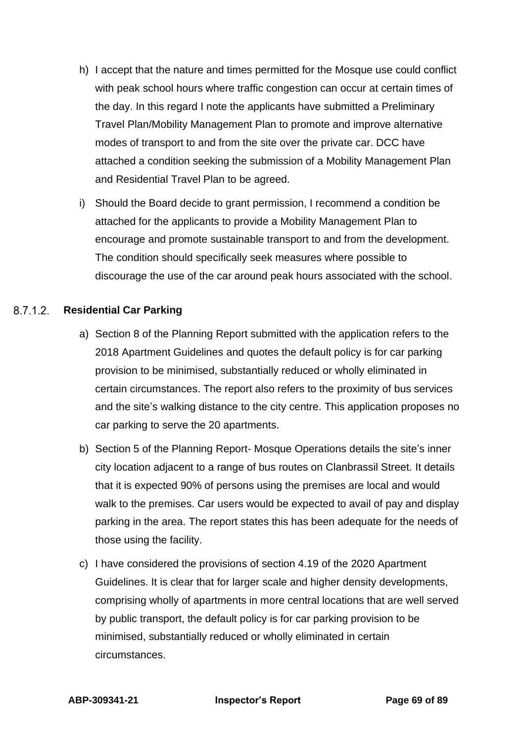- h) I accept that the nature and times permitted for the Mosque use could conflict with peak school hours where traffic congestion can occur at certain times of the day. In this regard I note the applicants have submitted a Preliminary Travel Plan/Mobility Management Plan to promote and improve alternative modes of transport to and from the site over the private car. DCC have attached a condition seeking the submission of a Mobility Management Plan and Residential Travel Plan to be agreed.
- i) Should the Board decide to grant permission, I recommend a condition be attached for the applicants to provide a Mobility Management Plan to encourage and promote sustainable transport to and from the development. The condition should specifically seek measures where possible to discourage the use of the car around peak hours associated with the school.

### 8712 **Residential Car Parking**

- a) Section 8 of the Planning Report submitted with the application refers to the 2018 Apartment Guidelines and quotes the default policy is for car parking provision to be minimised, substantially reduced or wholly eliminated in certain circumstances. The report also refers to the proximity of bus services and the site's walking distance to the city centre. This application proposes no car parking to serve the 20 apartments.
- b) Section 5 of the Planning Report- Mosque Operations details the site's inner city location adjacent to a range of bus routes on Clanbrassil Street. It details that it is expected 90% of persons using the premises are local and would walk to the premises. Car users would be expected to avail of pay and display parking in the area. The report states this has been adequate for the needs of those using the facility.
- c) I have considered the provisions of section 4.19 of the 2020 Apartment Guidelines. It is clear that for larger scale and higher density developments, comprising wholly of apartments in more central locations that are well served by public transport, the default policy is for car parking provision to be minimised, substantially reduced or wholly eliminated in certain circumstances.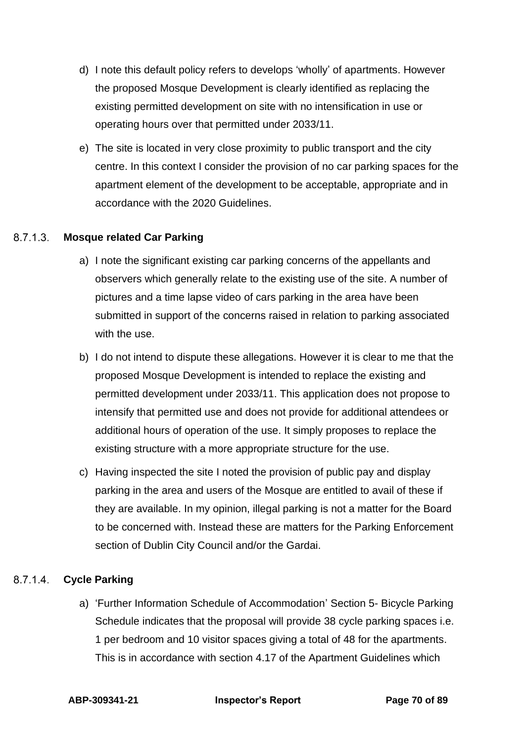- d) I note this default policy refers to develops 'wholly' of apartments. However the proposed Mosque Development is clearly identified as replacing the existing permitted development on site with no intensification in use or operating hours over that permitted under 2033/11.
- e) The site is located in very close proximity to public transport and the city centre. In this context I consider the provision of no car parking spaces for the apartment element of the development to be acceptable, appropriate and in accordance with the 2020 Guidelines.

### $8.7.1.3$ **Mosque related Car Parking**

- a) I note the significant existing car parking concerns of the appellants and observers which generally relate to the existing use of the site. A number of pictures and a time lapse video of cars parking in the area have been submitted in support of the concerns raised in relation to parking associated with the use.
- b) I do not intend to dispute these allegations. However it is clear to me that the proposed Mosque Development is intended to replace the existing and permitted development under 2033/11. This application does not propose to intensify that permitted use and does not provide for additional attendees or additional hours of operation of the use. It simply proposes to replace the existing structure with a more appropriate structure for the use.
- c) Having inspected the site I noted the provision of public pay and display parking in the area and users of the Mosque are entitled to avail of these if they are available. In my opinion, illegal parking is not a matter for the Board to be concerned with. Instead these are matters for the Parking Enforcement section of Dublin City Council and/or the Gardai.

### 8.7.1.4 **Cycle Parking**

a) 'Further Information Schedule of Accommodation' Section 5- Bicycle Parking Schedule indicates that the proposal will provide 38 cycle parking spaces i.e. 1 per bedroom and 10 visitor spaces giving a total of 48 for the apartments. This is in accordance with section 4.17 of the Apartment Guidelines which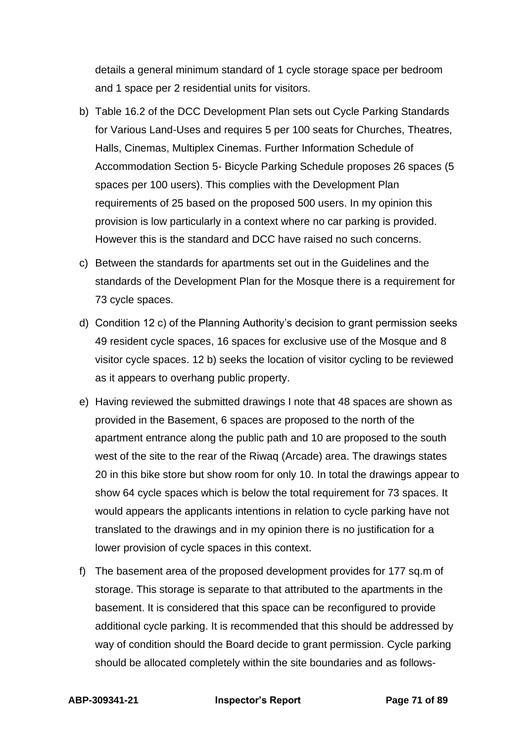details a general minimum standard of 1 cycle storage space per bedroom and 1 space per 2 residential units for visitors.

- b) Table 16.2 of the DCC Development Plan sets out Cycle Parking Standards for Various Land-Uses and requires 5 per 100 seats for Churches, Theatres, Halls, Cinemas, Multiplex Cinemas. Further Information Schedule of Accommodation Section 5- Bicycle Parking Schedule proposes 26 spaces (5 spaces per 100 users). This complies with the Development Plan requirements of 25 based on the proposed 500 users. In my opinion this provision is low particularly in a context where no car parking is provided. However this is the standard and DCC have raised no such concerns.
- c) Between the standards for apartments set out in the Guidelines and the standards of the Development Plan for the Mosque there is a requirement for 73 cycle spaces.
- d) Condition 12 c) of the Planning Authority's decision to grant permission seeks 49 resident cycle spaces, 16 spaces for exclusive use of the Mosque and 8 visitor cycle spaces. 12 b) seeks the location of visitor cycling to be reviewed as it appears to overhang public property.
- e) Having reviewed the submitted drawings I note that 48 spaces are shown as provided in the Basement, 6 spaces are proposed to the north of the apartment entrance along the public path and 10 are proposed to the south west of the site to the rear of the Riwaq (Arcade) area. The drawings states 20 in this bike store but show room for only 10. In total the drawings appear to show 64 cycle spaces which is below the total requirement for 73 spaces. It would appears the applicants intentions in relation to cycle parking have not translated to the drawings and in my opinion there is no justification for a lower provision of cycle spaces in this context.
- f) The basement area of the proposed development provides for 177 sq.m of storage. This storage is separate to that attributed to the apartments in the basement. It is considered that this space can be reconfigured to provide additional cycle parking. It is recommended that this should be addressed by way of condition should the Board decide to grant permission. Cycle parking should be allocated completely within the site boundaries and as follows-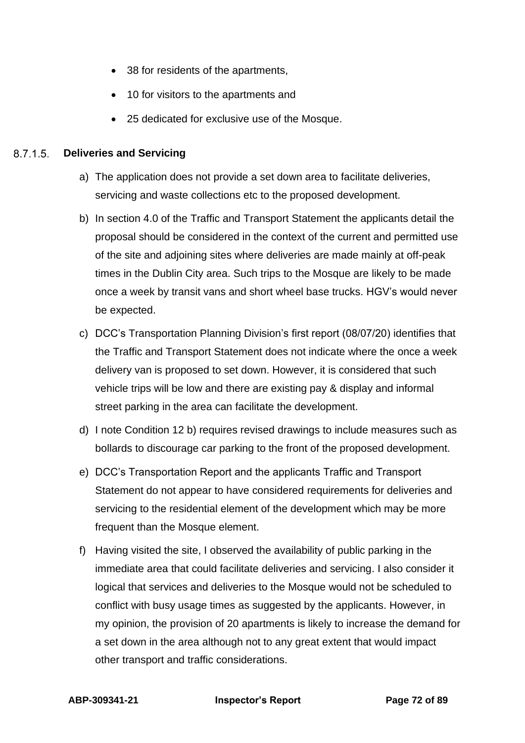- 38 for residents of the apartments,
- 10 for visitors to the apartments and
- 25 dedicated for exclusive use of the Mosque.

#### 8.7.1.5 **Deliveries and Servicing**

- a) The application does not provide a set down area to facilitate deliveries, servicing and waste collections etc to the proposed development.
- b) In section 4.0 of the Traffic and Transport Statement the applicants detail the proposal should be considered in the context of the current and permitted use of the site and adjoining sites where deliveries are made mainly at off-peak times in the Dublin City area. Such trips to the Mosque are likely to be made once a week by transit vans and short wheel base trucks. HGV's would never be expected.
- c) DCC's Transportation Planning Division's first report (08/07/20) identifies that the Traffic and Transport Statement does not indicate where the once a week delivery van is proposed to set down. However, it is considered that such vehicle trips will be low and there are existing pay & display and informal street parking in the area can facilitate the development.
- d) I note Condition 12 b) requires revised drawings to include measures such as bollards to discourage car parking to the front of the proposed development.
- e) DCC's Transportation Report and the applicants Traffic and Transport Statement do not appear to have considered requirements for deliveries and servicing to the residential element of the development which may be more frequent than the Mosque element.
- f) Having visited the site, I observed the availability of public parking in the immediate area that could facilitate deliveries and servicing. I also consider it logical that services and deliveries to the Mosque would not be scheduled to conflict with busy usage times as suggested by the applicants. However, in my opinion, the provision of 20 apartments is likely to increase the demand for a set down in the area although not to any great extent that would impact other transport and traffic considerations.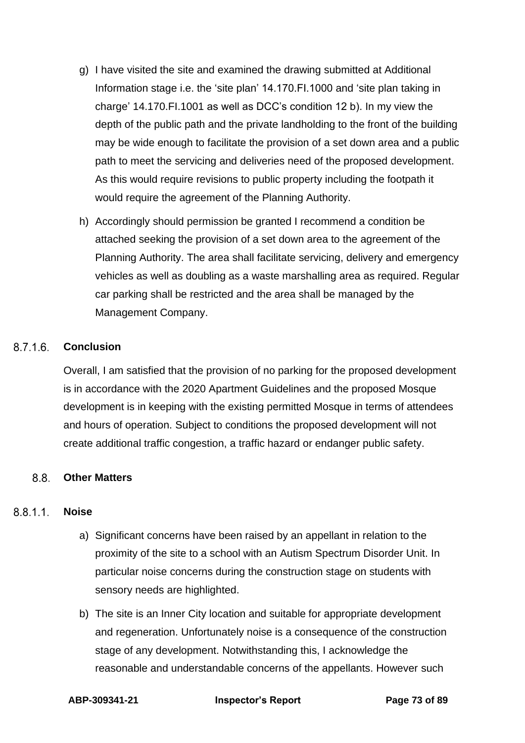- g) I have visited the site and examined the drawing submitted at Additional Information stage i.e. the 'site plan' 14.170.FI.1000 and 'site plan taking in charge' 14.170.FI.1001 as well as DCC's condition 12 b). In my view the depth of the public path and the private landholding to the front of the building may be wide enough to facilitate the provision of a set down area and a public path to meet the servicing and deliveries need of the proposed development. As this would require revisions to public property including the footpath it would require the agreement of the Planning Authority.
- h) Accordingly should permission be granted I recommend a condition be attached seeking the provision of a set down area to the agreement of the Planning Authority. The area shall facilitate servicing, delivery and emergency vehicles as well as doubling as a waste marshalling area as required. Regular car parking shall be restricted and the area shall be managed by the Management Company.

#### $8.7.1.6$ **Conclusion**

Overall, I am satisfied that the provision of no parking for the proposed development is in accordance with the 2020 Apartment Guidelines and the proposed Mosque development is in keeping with the existing permitted Mosque in terms of attendees and hours of operation. Subject to conditions the proposed development will not create additional traffic congestion, a traffic hazard or endanger public safety.

#### $8.8.$ **Other Matters**

#### $8.8.1.1$ **Noise**

- a) Significant concerns have been raised by an appellant in relation to the proximity of the site to a school with an Autism Spectrum Disorder Unit. In particular noise concerns during the construction stage on students with sensory needs are highlighted.
- b) The site is an Inner City location and suitable for appropriate development and regeneration. Unfortunately noise is a consequence of the construction stage of any development. Notwithstanding this, I acknowledge the reasonable and understandable concerns of the appellants. However such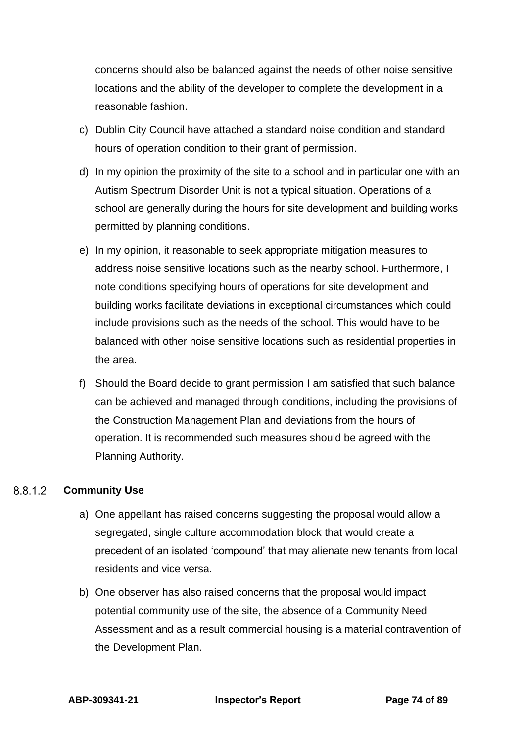concerns should also be balanced against the needs of other noise sensitive locations and the ability of the developer to complete the development in a reasonable fashion.

- c) Dublin City Council have attached a standard noise condition and standard hours of operation condition to their grant of permission.
- d) In my opinion the proximity of the site to a school and in particular one with an Autism Spectrum Disorder Unit is not a typical situation. Operations of a school are generally during the hours for site development and building works permitted by planning conditions.
- e) In my opinion, it reasonable to seek appropriate mitigation measures to address noise sensitive locations such as the nearby school. Furthermore, I note conditions specifying hours of operations for site development and building works facilitate deviations in exceptional circumstances which could include provisions such as the needs of the school. This would have to be balanced with other noise sensitive locations such as residential properties in the area.
- f) Should the Board decide to grant permission I am satisfied that such balance can be achieved and managed through conditions, including the provisions of the Construction Management Plan and deviations from the hours of operation. It is recommended such measures should be agreed with the Planning Authority.

#### 8812 **Community Use**

- a) One appellant has raised concerns suggesting the proposal would allow a segregated, single culture accommodation block that would create a precedent of an isolated 'compound' that may alienate new tenants from local residents and vice versa.
- b) One observer has also raised concerns that the proposal would impact potential community use of the site, the absence of a Community Need Assessment and as a result commercial housing is a material contravention of the Development Plan.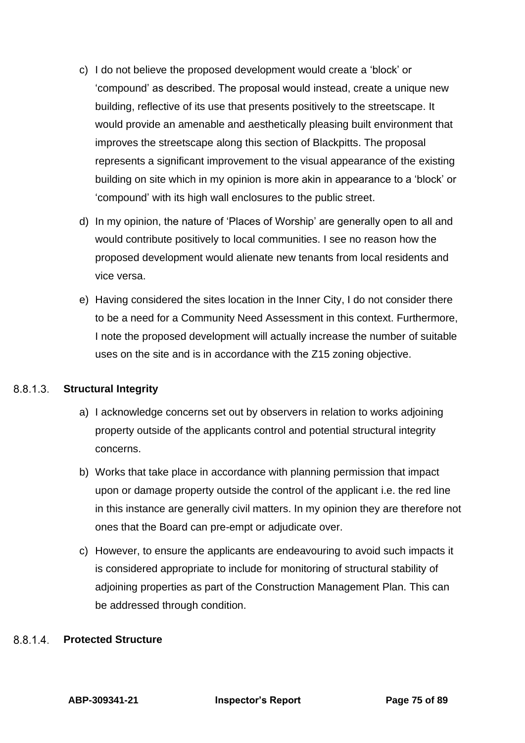- c) I do not believe the proposed development would create a 'block' or 'compound' as described. The proposal would instead, create a unique new building, reflective of its use that presents positively to the streetscape. It would provide an amenable and aesthetically pleasing built environment that improves the streetscape along this section of Blackpitts. The proposal represents a significant improvement to the visual appearance of the existing building on site which in my opinion is more akin in appearance to a 'block' or 'compound' with its high wall enclosures to the public street.
- d) In my opinion, the nature of 'Places of Worship' are generally open to all and would contribute positively to local communities. I see no reason how the proposed development would alienate new tenants from local residents and vice versa.
- e) Having considered the sites location in the Inner City, I do not consider there to be a need for a Community Need Assessment in this context. Furthermore, I note the proposed development will actually increase the number of suitable uses on the site and is in accordance with the Z15 zoning objective.

#### $8.8.1.3$ **Structural Integrity**

- a) I acknowledge concerns set out by observers in relation to works adjoining property outside of the applicants control and potential structural integrity concerns.
- b) Works that take place in accordance with planning permission that impact upon or damage property outside the control of the applicant i.e. the red line in this instance are generally civil matters. In my opinion they are therefore not ones that the Board can pre-empt or adjudicate over.
- c) However, to ensure the applicants are endeavouring to avoid such impacts it is considered appropriate to include for monitoring of structural stability of adjoining properties as part of the Construction Management Plan. This can be addressed through condition.

#### 8814 **Protected Structure**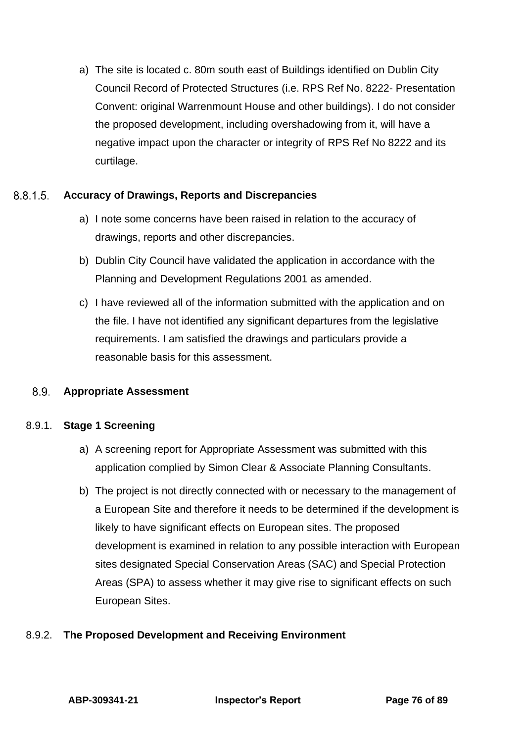a) The site is located c. 80m south east of Buildings identified on Dublin City Council Record of Protected Structures (i.e. RPS Ref No. 8222- Presentation Convent: original Warrenmount House and other buildings). I do not consider the proposed development, including overshadowing from it, will have a negative impact upon the character or integrity of RPS Ref No 8222 and its curtilage.

#### $8.8.1.5$ **Accuracy of Drawings, Reports and Discrepancies**

- a) I note some concerns have been raised in relation to the accuracy of drawings, reports and other discrepancies.
- b) Dublin City Council have validated the application in accordance with the Planning and Development Regulations 2001 as amended.
- c) I have reviewed all of the information submitted with the application and on the file. I have not identified any significant departures from the legislative requirements. I am satisfied the drawings and particulars provide a reasonable basis for this assessment.

#### 8.9. **Appropriate Assessment**

# 8.9.1. **Stage 1 Screening**

- a) A screening report for Appropriate Assessment was submitted with this application complied by Simon Clear & Associate Planning Consultants.
- b) The project is not directly connected with or necessary to the management of a European Site and therefore it needs to be determined if the development is likely to have significant effects on European sites. The proposed development is examined in relation to any possible interaction with European sites designated Special Conservation Areas (SAC) and Special Protection Areas (SPA) to assess whether it may give rise to significant effects on such European Sites.

# 8.9.2. **The Proposed Development and Receiving Environment**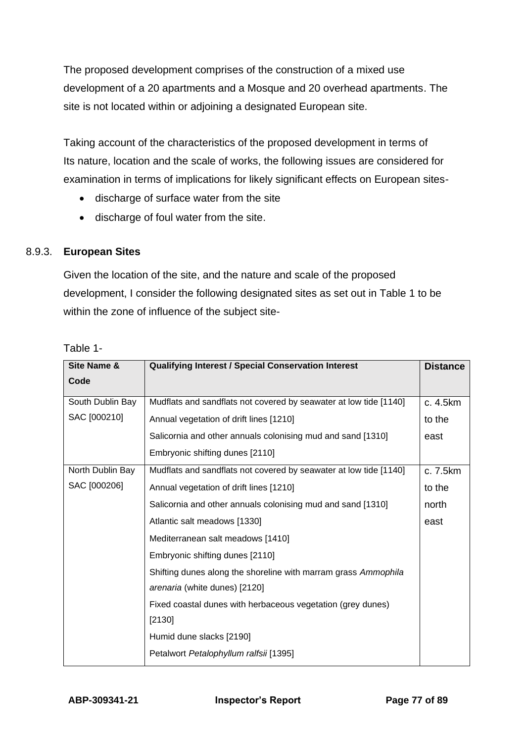The proposed development comprises of the construction of a mixed use development of a 20 apartments and a Mosque and 20 overhead apartments. The site is not located within or adjoining a designated European site.

Taking account of the characteristics of the proposed development in terms of Its nature, location and the scale of works, the following issues are considered for examination in terms of implications for likely significant effects on European sites-

- discharge of surface water from the site
- discharge of foul water from the site.

## 8.9.3. **European Sites**

Given the location of the site, and the nature and scale of the proposed development, I consider the following designated sites as set out in Table 1 to be within the zone of influence of the subject site-

| Site Name &      | <b>Qualifying Interest / Special Conservation Interest</b>        | <b>Distance</b> |
|------------------|-------------------------------------------------------------------|-----------------|
| Code             |                                                                   |                 |
| South Dublin Bay | Mudflats and sandflats not covered by seawater at low tide [1140] | c. 4.5km        |
| SAC [000210]     | Annual vegetation of drift lines [1210]                           | to the          |
|                  | Salicornia and other annuals colonising mud and sand [1310]       | east            |
|                  | Embryonic shifting dunes [2110]                                   |                 |
| North Dublin Bay | Mudflats and sandflats not covered by seawater at low tide [1140] | c. 7.5km        |
| SAC [000206]     | Annual vegetation of drift lines [1210]                           | to the          |
|                  | Salicornia and other annuals colonising mud and sand [1310]       | north           |
|                  | Atlantic salt meadows [1330]                                      | east            |
|                  | Mediterranean salt meadows [1410]                                 |                 |
|                  | Embryonic shifting dunes [2110]                                   |                 |
|                  | Shifting dunes along the shoreline with marram grass Ammophila    |                 |
|                  | arenaria (white dunes) [2120]                                     |                 |
|                  | Fixed coastal dunes with herbaceous vegetation (grey dunes)       |                 |
|                  | [2130]                                                            |                 |
|                  | Humid dune slacks [2190]                                          |                 |
|                  | Petalwort Petalophyllum ralfsii [1395]                            |                 |

## Table 1-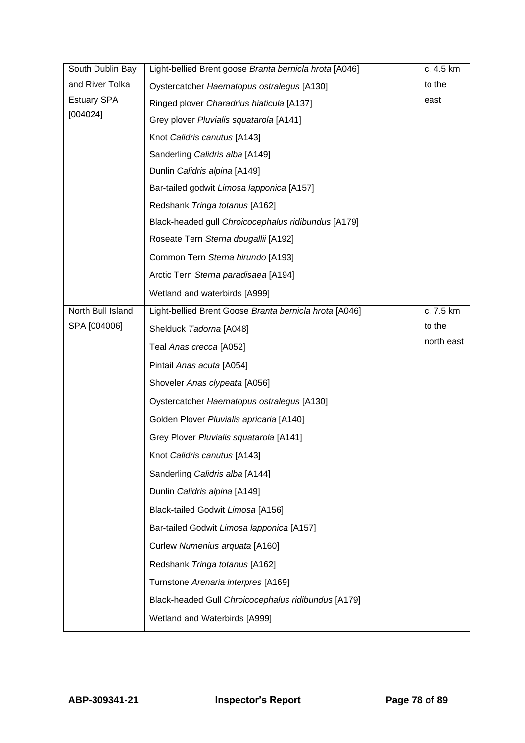| South Dublin Bay   | Light-bellied Brent goose Branta bernicla hrota [A046] | c. 4.5 km  |
|--------------------|--------------------------------------------------------|------------|
| and River Tolka    | Oystercatcher Haematopus ostralegus [A130]             | to the     |
| <b>Estuary SPA</b> | Ringed plover Charadrius hiaticula [A137]              | east       |
| [004024]           | Grey plover Pluvialis squatarola [A141]                |            |
|                    | Knot Calidris canutus [A143]                           |            |
|                    | Sanderling Calidris alba [A149]                        |            |
|                    | Dunlin Calidris alpina [A149]                          |            |
|                    | Bar-tailed godwit Limosa lapponica [A157]              |            |
|                    | Redshank Tringa totanus [A162]                         |            |
|                    | Black-headed gull Chroicocephalus ridibundus [A179]    |            |
|                    | Roseate Tern Sterna dougallii [A192]                   |            |
|                    | Common Tern Sterna hirundo [A193]                      |            |
|                    | Arctic Tern Sterna paradisaea [A194]                   |            |
|                    | Wetland and waterbirds [A999]                          |            |
| North Bull Island  | Light-bellied Brent Goose Branta bernicla hrota [A046] | c. 7.5 km  |
| SPA [004006]       | Shelduck Tadorna [A048]                                | to the     |
|                    | Teal Anas crecca [A052]                                | north east |
|                    | Pintail Anas acuta [A054]                              |            |
|                    | Shoveler Anas clypeata [A056]                          |            |
|                    | Oystercatcher Haematopus ostralegus [A130]             |            |
|                    | Golden Plover Pluvialis apricaria [A140]               |            |
|                    | Grey Plover Pluvialis squatarola [A141]                |            |
|                    | Knot Calidris canutus [A143]                           |            |
|                    | Sanderling Calidris alba [A144]                        |            |
|                    | Dunlin Calidris alpina [A149]                          |            |
|                    | Black-tailed Godwit Limosa [A156]                      |            |
|                    | Bar-tailed Godwit Limosa lapponica [A157]              |            |
|                    | Curlew Numenius arquata [A160]                         |            |
|                    | Redshank Tringa totanus [A162]                         |            |
|                    | Turnstone Arenaria interpres [A169]                    |            |
|                    | Black-headed Gull Chroicocephalus ridibundus [A179]    |            |
|                    | Wetland and Waterbirds [A999]                          |            |
|                    |                                                        |            |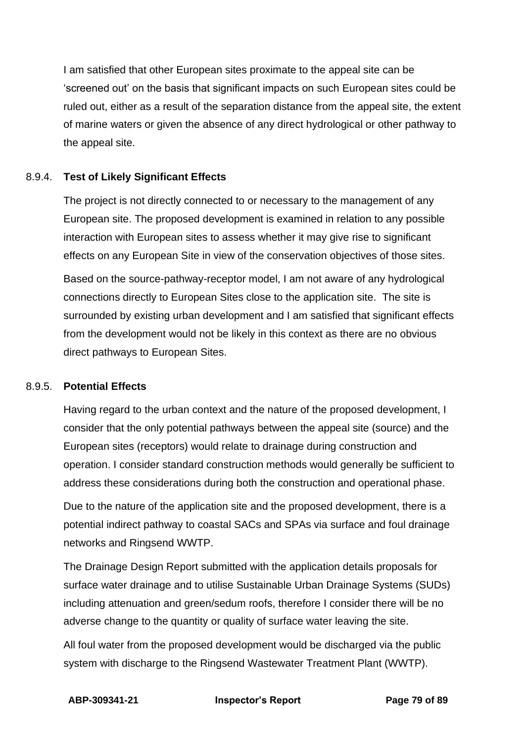I am satisfied that other European sites proximate to the appeal site can be 'screened out' on the basis that significant impacts on such European sites could be ruled out, either as a result of the separation distance from the appeal site, the extent of marine waters or given the absence of any direct hydrological or other pathway to the appeal site.

## 8.9.4. **Test of Likely Significant Effects**

The project is not directly connected to or necessary to the management of any European site. The proposed development is examined in relation to any possible interaction with European sites to assess whether it may give rise to significant effects on any European Site in view of the conservation objectives of those sites.

Based on the source-pathway-receptor model, I am not aware of any hydrological connections directly to European Sites close to the application site. The site is surrounded by existing urban development and I am satisfied that significant effects from the development would not be likely in this context as there are no obvious direct pathways to European Sites.

### 8.9.5. **Potential Effects**

Having regard to the urban context and the nature of the proposed development, I consider that the only potential pathways between the appeal site (source) and the European sites (receptors) would relate to drainage during construction and operation. I consider standard construction methods would generally be sufficient to address these considerations during both the construction and operational phase.

Due to the nature of the application site and the proposed development, there is a potential indirect pathway to coastal SACs and SPAs via surface and foul drainage networks and Ringsend WWTP.

The Drainage Design Report submitted with the application details proposals for surface water drainage and to utilise Sustainable Urban Drainage Systems (SUDs) including attenuation and green/sedum roofs, therefore I consider there will be no adverse change to the quantity or quality of surface water leaving the site.

All foul water from the proposed development would be discharged via the public system with discharge to the Ringsend Wastewater Treatment Plant (WWTP).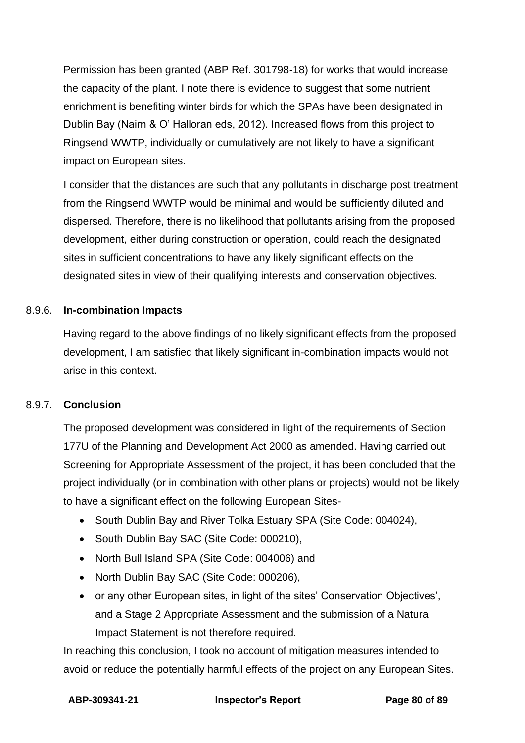Permission has been granted (ABP Ref. 301798-18) for works that would increase the capacity of the plant. I note there is evidence to suggest that some nutrient enrichment is benefiting winter birds for which the SPAs have been designated in Dublin Bay (Nairn & O' Halloran eds, 2012). Increased flows from this project to Ringsend WWTP, individually or cumulatively are not likely to have a significant impact on European sites.

I consider that the distances are such that any pollutants in discharge post treatment from the Ringsend WWTP would be minimal and would be sufficiently diluted and dispersed. Therefore, there is no likelihood that pollutants arising from the proposed development, either during construction or operation, could reach the designated sites in sufficient concentrations to have any likely significant effects on the designated sites in view of their qualifying interests and conservation objectives.

## 8.9.6. **In-combination Impacts**

Having regard to the above findings of no likely significant effects from the proposed development, I am satisfied that likely significant in-combination impacts would not arise in this context.

### 8.9.7. **Conclusion**

The proposed development was considered in light of the requirements of Section 177U of the Planning and Development Act 2000 as amended. Having carried out Screening for Appropriate Assessment of the project, it has been concluded that the project individually (or in combination with other plans or projects) would not be likely to have a significant effect on the following European Sites-

- South Dublin Bay and River Tolka Estuary SPA (Site Code: 004024),
- South Dublin Bay SAC (Site Code: 000210),
- North Bull Island SPA (Site Code: 004006) and
- North Dublin Bay SAC (Site Code: 000206),
- or any other European sites, in light of the sites' Conservation Objectives', and a Stage 2 Appropriate Assessment and the submission of a Natura Impact Statement is not therefore required.

In reaching this conclusion, I took no account of mitigation measures intended to avoid or reduce the potentially harmful effects of the project on any European Sites.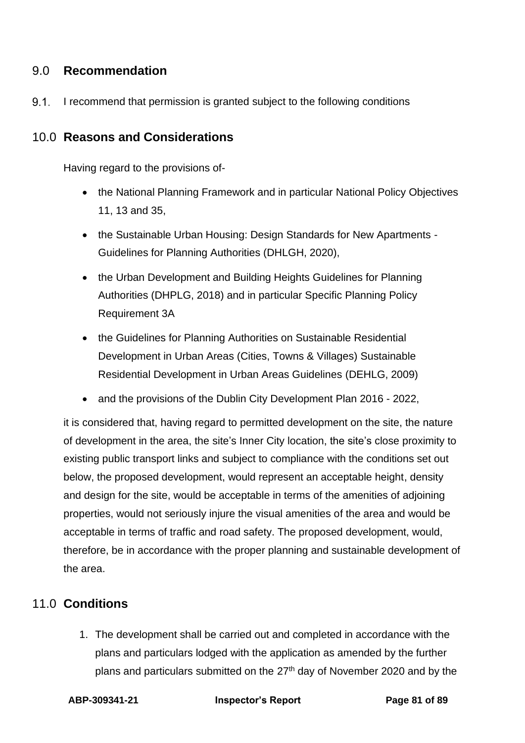# 9.0 **Recommendation**

 $9.1.$ I recommend that permission is granted subject to the following conditions

# 10.0 **Reasons and Considerations**

Having regard to the provisions of-

- the National Planning Framework and in particular National Policy Objectives 11, 13 and 35,
- the Sustainable Urban Housing: Design Standards for New Apartments Guidelines for Planning Authorities (DHLGH, 2020),
- the Urban Development and Building Heights Guidelines for Planning Authorities (DHPLG, 2018) and in particular Specific Planning Policy Requirement 3A
- the Guidelines for Planning Authorities on Sustainable Residential Development in Urban Areas (Cities, Towns & Villages) Sustainable Residential Development in Urban Areas Guidelines (DEHLG, 2009)
- and the provisions of the Dublin City Development Plan 2016 2022,

it is considered that, having regard to permitted development on the site, the nature of development in the area, the site's Inner City location, the site's close proximity to existing public transport links and subject to compliance with the conditions set out below, the proposed development, would represent an acceptable height, density and design for the site, would be acceptable in terms of the amenities of adjoining properties, would not seriously injure the visual amenities of the area and would be acceptable in terms of traffic and road safety. The proposed development, would, therefore, be in accordance with the proper planning and sustainable development of the area.

# 11.0 **Conditions**

1. The development shall be carried out and completed in accordance with the plans and particulars lodged with the application as amended by the further plans and particulars submitted on the  $27<sup>th</sup>$  day of November 2020 and by the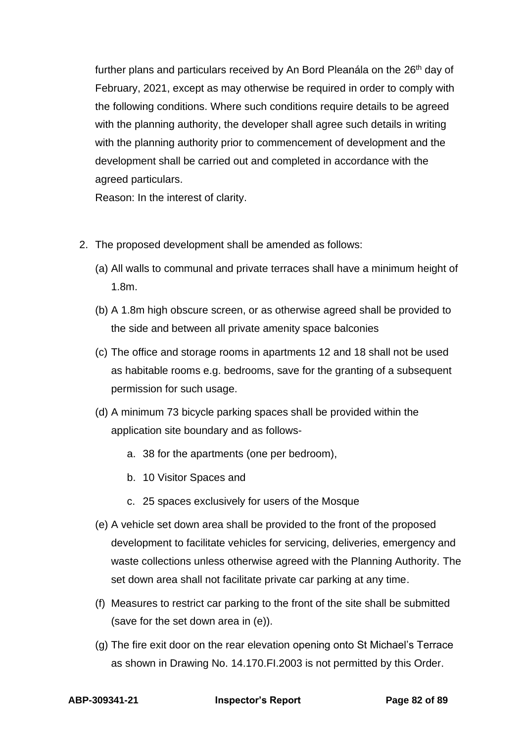further plans and particulars received by An Bord Pleanála on the 26<sup>th</sup> day of February, 2021, except as may otherwise be required in order to comply with the following conditions. Where such conditions require details to be agreed with the planning authority, the developer shall agree such details in writing with the planning authority prior to commencement of development and the development shall be carried out and completed in accordance with the agreed particulars.

Reason: In the interest of clarity.

- 2. The proposed development shall be amended as follows:
	- (a) All walls to communal and private terraces shall have a minimum height of 1.8m.
	- (b) A 1.8m high obscure screen, or as otherwise agreed shall be provided to the side and between all private amenity space balconies
	- (c) The office and storage rooms in apartments 12 and 18 shall not be used as habitable rooms e.g. bedrooms, save for the granting of a subsequent permission for such usage.
	- (d) A minimum 73 bicycle parking spaces shall be provided within the application site boundary and as follows
		- a. 38 for the apartments (one per bedroom),
		- b. 10 Visitor Spaces and
		- c. 25 spaces exclusively for users of the Mosque
	- (e) A vehicle set down area shall be provided to the front of the proposed development to facilitate vehicles for servicing, deliveries, emergency and waste collections unless otherwise agreed with the Planning Authority. The set down area shall not facilitate private car parking at any time.
	- (f) Measures to restrict car parking to the front of the site shall be submitted (save for the set down area in (e)).
	- (g) The fire exit door on the rear elevation opening onto St Michael's Terrace as shown in Drawing No. 14.170.FI.2003 is not permitted by this Order.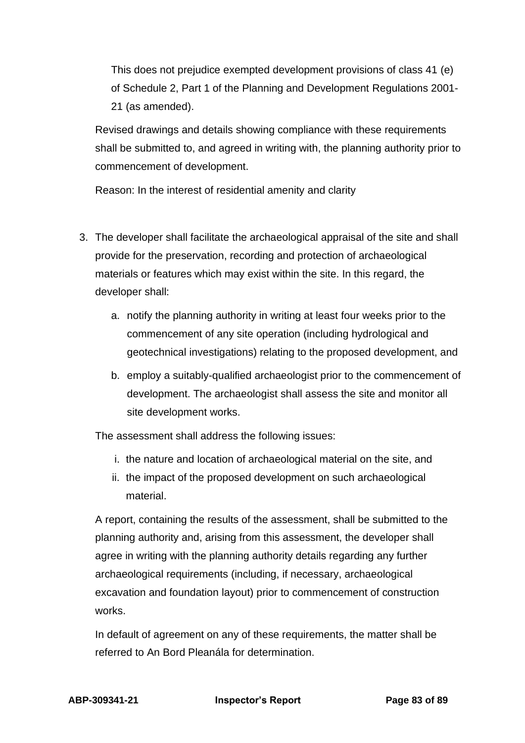This does not prejudice exempted development provisions of class 41 (e) of Schedule 2, Part 1 of the Planning and Development Regulations 2001- 21 (as amended).

Revised drawings and details showing compliance with these requirements shall be submitted to, and agreed in writing with, the planning authority prior to commencement of development.

Reason: In the interest of residential amenity and clarity

- 3. The developer shall facilitate the archaeological appraisal of the site and shall provide for the preservation, recording and protection of archaeological materials or features which may exist within the site. In this regard, the developer shall:
	- a. notify the planning authority in writing at least four weeks prior to the commencement of any site operation (including hydrological and geotechnical investigations) relating to the proposed development, and
	- b. employ a suitably-qualified archaeologist prior to the commencement of development. The archaeologist shall assess the site and monitor all site development works.

The assessment shall address the following issues:

- i. the nature and location of archaeological material on the site, and
- ii. the impact of the proposed development on such archaeological material.

A report, containing the results of the assessment, shall be submitted to the planning authority and, arising from this assessment, the developer shall agree in writing with the planning authority details regarding any further archaeological requirements (including, if necessary, archaeological excavation and foundation layout) prior to commencement of construction works.

In default of agreement on any of these requirements, the matter shall be referred to An Bord Pleanála for determination.

**ABP-309341-21 Inspector's Report Page 83 of 89**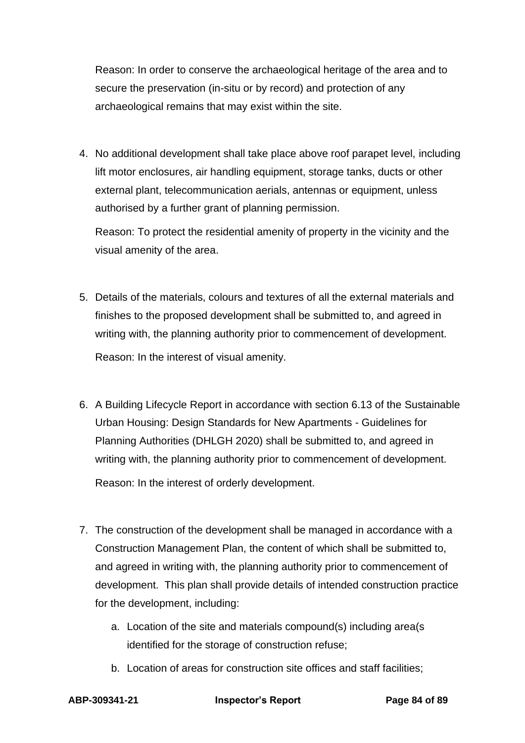Reason: In order to conserve the archaeological heritage of the area and to secure the preservation (in-situ or by record) and protection of any archaeological remains that may exist within the site.

4. No additional development shall take place above roof parapet level, including lift motor enclosures, air handling equipment, storage tanks, ducts or other external plant, telecommunication aerials, antennas or equipment, unless authorised by a further grant of planning permission.

Reason: To protect the residential amenity of property in the vicinity and the visual amenity of the area.

- 5. Details of the materials, colours and textures of all the external materials and finishes to the proposed development shall be submitted to, and agreed in writing with, the planning authority prior to commencement of development. Reason: In the interest of visual amenity.
- 6. A Building Lifecycle Report in accordance with section 6.13 of the Sustainable Urban Housing: Design Standards for New Apartments - Guidelines for Planning Authorities (DHLGH 2020) shall be submitted to, and agreed in writing with, the planning authority prior to commencement of development. Reason: In the interest of orderly development.
- 7. The construction of the development shall be managed in accordance with a Construction Management Plan, the content of which shall be submitted to, and agreed in writing with, the planning authority prior to commencement of development. This plan shall provide details of intended construction practice for the development, including:
	- a. Location of the site and materials compound(s) including area(s identified for the storage of construction refuse;
	- b. Location of areas for construction site offices and staff facilities;

**ABP-309341-21 Inspector's Report Page 84 of 89**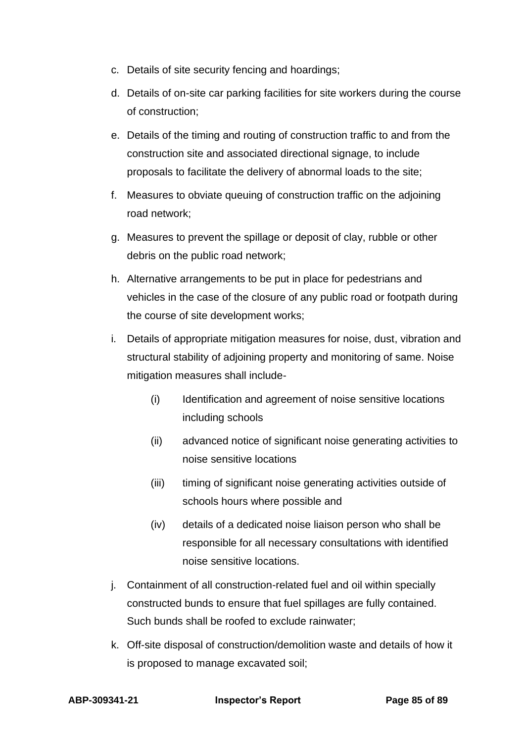- c. Details of site security fencing and hoardings;
- d. Details of on-site car parking facilities for site workers during the course of construction;
- e. Details of the timing and routing of construction traffic to and from the construction site and associated directional signage, to include proposals to facilitate the delivery of abnormal loads to the site;
- f. Measures to obviate queuing of construction traffic on the adjoining road network;
- g. Measures to prevent the spillage or deposit of clay, rubble or other debris on the public road network;
- h. Alternative arrangements to be put in place for pedestrians and vehicles in the case of the closure of any public road or footpath during the course of site development works;
- i. Details of appropriate mitigation measures for noise, dust, vibration and structural stability of adjoining property and monitoring of same. Noise mitigation measures shall include-
	- (i) Identification and agreement of noise sensitive locations including schools
	- (ii) advanced notice of significant noise generating activities to noise sensitive locations
	- (iii) timing of significant noise generating activities outside of schools hours where possible and
	- (iv) details of a dedicated noise liaison person who shall be responsible for all necessary consultations with identified noise sensitive locations.
- j. Containment of all construction-related fuel and oil within specially constructed bunds to ensure that fuel spillages are fully contained. Such bunds shall be roofed to exclude rainwater;
- k. Off-site disposal of construction/demolition waste and details of how it is proposed to manage excavated soil;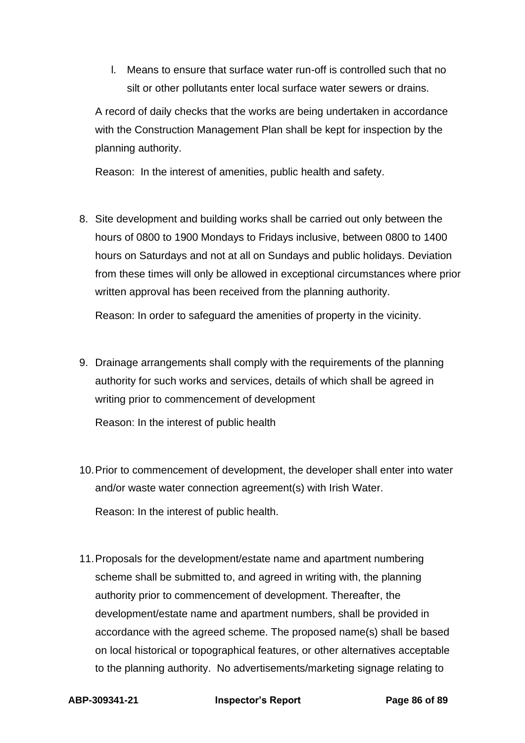l. Means to ensure that surface water run-off is controlled such that no silt or other pollutants enter local surface water sewers or drains.

A record of daily checks that the works are being undertaken in accordance with the Construction Management Plan shall be kept for inspection by the planning authority.

Reason: In the interest of amenities, public health and safety.

8. Site development and building works shall be carried out only between the hours of 0800 to 1900 Mondays to Fridays inclusive, between 0800 to 1400 hours on Saturdays and not at all on Sundays and public holidays. Deviation from these times will only be allowed in exceptional circumstances where prior written approval has been received from the planning authority.

Reason: In order to safeguard the amenities of property in the vicinity.

9. Drainage arrangements shall comply with the requirements of the planning authority for such works and services, details of which shall be agreed in writing prior to commencement of development

Reason: In the interest of public health

- 10.Prior to commencement of development, the developer shall enter into water and/or waste water connection agreement(s) with Irish Water. Reason: In the interest of public health.
- 11.Proposals for the development/estate name and apartment numbering scheme shall be submitted to, and agreed in writing with, the planning authority prior to commencement of development. Thereafter, the development/estate name and apartment numbers, shall be provided in accordance with the agreed scheme. The proposed name(s) shall be based on local historical or topographical features, or other alternatives acceptable to the planning authority. No advertisements/marketing signage relating to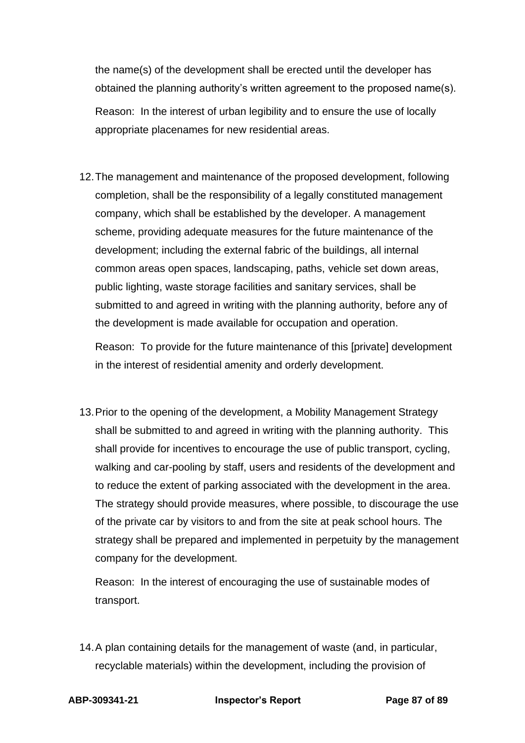the name(s) of the development shall be erected until the developer has obtained the planning authority's written agreement to the proposed name(s). Reason: In the interest of urban legibility and to ensure the use of locally appropriate placenames for new residential areas.

12.The management and maintenance of the proposed development, following completion, shall be the responsibility of a legally constituted management company, which shall be established by the developer. A management scheme, providing adequate measures for the future maintenance of the development; including the external fabric of the buildings, all internal common areas open spaces, landscaping, paths, vehicle set down areas, public lighting, waste storage facilities and sanitary services, shall be submitted to and agreed in writing with the planning authority, before any of the development is made available for occupation and operation.

Reason: To provide for the future maintenance of this [private] development in the interest of residential amenity and orderly development.

13.Prior to the opening of the development, a Mobility Management Strategy shall be submitted to and agreed in writing with the planning authority. This shall provide for incentives to encourage the use of public transport, cycling, walking and car-pooling by staff, users and residents of the development and to reduce the extent of parking associated with the development in the area. The strategy should provide measures, where possible, to discourage the use of the private car by visitors to and from the site at peak school hours. The strategy shall be prepared and implemented in perpetuity by the management company for the development.

Reason: In the interest of encouraging the use of sustainable modes of transport.

14.A plan containing details for the management of waste (and, in particular, recyclable materials) within the development, including the provision of

**ABP-309341-21 Inspector's Report Page 87 of 89**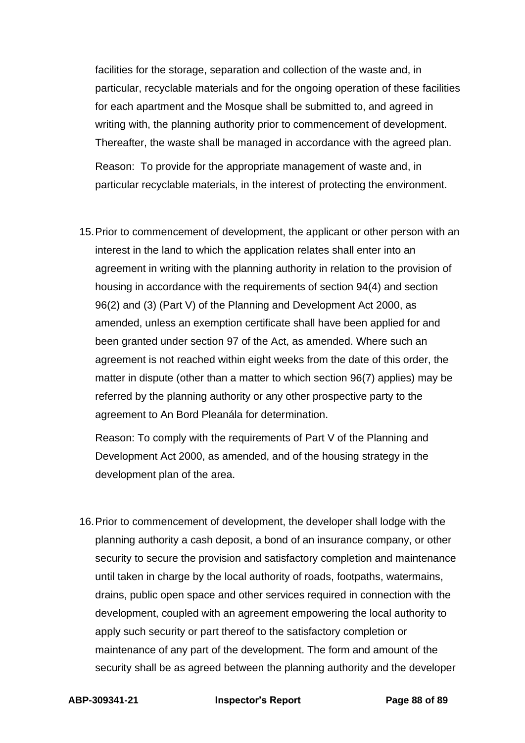facilities for the storage, separation and collection of the waste and, in particular, recyclable materials and for the ongoing operation of these facilities for each apartment and the Mosque shall be submitted to, and agreed in writing with, the planning authority prior to commencement of development. Thereafter, the waste shall be managed in accordance with the agreed plan. Reason: To provide for the appropriate management of waste and, in particular recyclable materials, in the interest of protecting the environment.

15.Prior to commencement of development, the applicant or other person with an interest in the land to which the application relates shall enter into an agreement in writing with the planning authority in relation to the provision of housing in accordance with the requirements of section 94(4) and section 96(2) and (3) (Part V) of the Planning and Development Act 2000, as amended, unless an exemption certificate shall have been applied for and been granted under section 97 of the Act, as amended. Where such an agreement is not reached within eight weeks from the date of this order, the matter in dispute (other than a matter to which section 96(7) applies) may be referred by the planning authority or any other prospective party to the agreement to An Bord Pleanála for determination.

Reason: To comply with the requirements of Part V of the Planning and Development Act 2000, as amended, and of the housing strategy in the development plan of the area.

16.Prior to commencement of development, the developer shall lodge with the planning authority a cash deposit, a bond of an insurance company, or other security to secure the provision and satisfactory completion and maintenance until taken in charge by the local authority of roads, footpaths, watermains, drains, public open space and other services required in connection with the development, coupled with an agreement empowering the local authority to apply such security or part thereof to the satisfactory completion or maintenance of any part of the development. The form and amount of the security shall be as agreed between the planning authority and the developer

**ABP-309341-21 Inspector's Report Page 88 of 89**